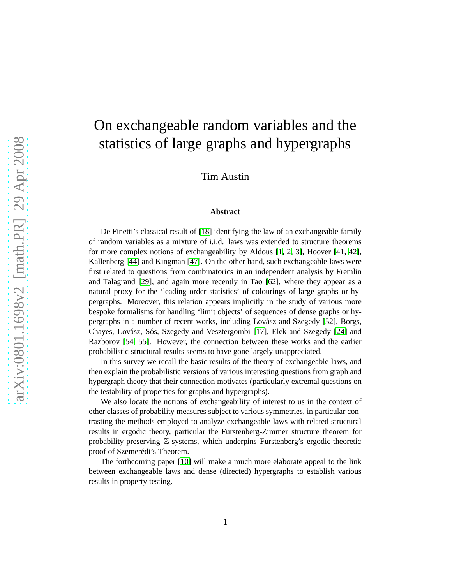# On exchangeable random variables and the statistics of large graphs and hypergraphs

Tim Austin

#### **Abstract**

De Finetti's classical result of [\[18\]](#page-71-0) identifying the law of an exchangeable family of random variables as a mixture of i.i.d. laws was extended to structure theorems for more complex notions of exchangeability by Aldous [\[1,](#page-69-0) [2,](#page-69-1) [3\]](#page-69-2), Hoover [\[41,](#page-72-0) [42\]](#page-72-1), Kallenberg [\[44\]](#page-72-2) and Kingman [\[47\]](#page-73-0). On the other hand, such exchangeable laws were first related to questions from combinatorics in an independent analysis by Fremlin and Talagrand [\[29\]](#page-71-1), and again more recently in Tao [\[62\]](#page-74-0), where they appear as a natural proxy for the 'leading order statistics' of colourings of large graphs or hypergraphs. Moreover, this relation appears implicitly in the study of various more bespoke formalisms for handling 'limit objects' of sequences of dense graphs or hy-pergraphs in a number of recent works, including Lovász and Szegedy [\[52\]](#page-73-1), Borgs, Chayes, Lovász, Sós, Szegedy and Vesztergombi [\[17\]](#page-71-2), Elek and Szegedy [\[24\]](#page-71-3) and Razborov [\[54,](#page-73-2) [55\]](#page-73-3). However, the connection between these works and the earlier probabilistic structural results seems to have gone largely unappreciated.

In this survey we recall the basic results of the theory of exchangeable laws, and then explain the probabilistic versions of various interesting questions from graph and hypergraph theory that their connection motivates (particularly extremal questions on the testability of properties for graphs and hypergraphs).

We also locate the notions of exchangeability of interest to us in the context of other classes of probability measures subject to various symmetries, in particular contrasting the methods employed to analyze exchangeable laws with related structural results in ergodic theory, particular the Furstenberg-Zimmer structure theorem for probability-preserving Z-systems, which underpins Furstenberg's ergodic-theoretic proof of Szemerédi's Theorem.

The forthcoming paper [\[10\]](#page-70-0) will make a much more elaborate appeal to the link between exchangeable laws and dense (directed) hypergraphs to establish various results in property testing.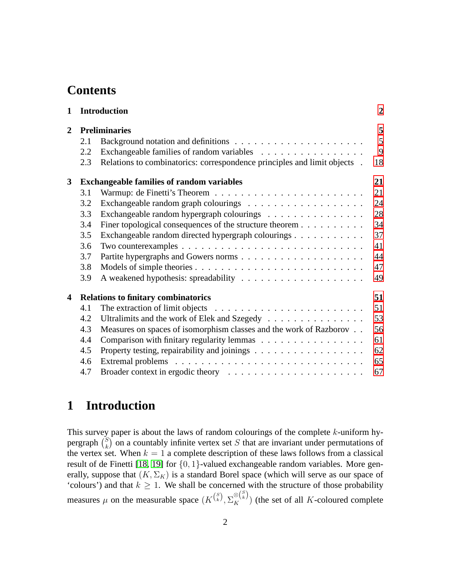## **Contents**

| $\mathbf{1}$   |                      | <b>Introduction</b>                                                                       | $\overline{2}$ |
|----------------|----------------------|-------------------------------------------------------------------------------------------|----------------|
| $\overline{2}$ | <b>Preliminaries</b> |                                                                                           |                |
|                | 2.1                  |                                                                                           | 5              |
|                | 2.2                  | Exchangeable families of random variables                                                 | 9              |
|                | 2.3                  | Relations to combinatorics: correspondence principles and limit objects .                 | 18             |
| 3              |                      | <b>Exchangeable families of random variables</b>                                          | 21             |
|                | 3.1                  |                                                                                           | 21             |
|                | 3.2                  |                                                                                           | 24             |
|                | 3.3                  | Exchangeable random hypergraph colourings                                                 | 28             |
|                | 3.4                  | Finer topological consequences of the structure theorem                                   | 34             |
|                | 3.5                  | Exchangeable random directed hypergraph colourings                                        | 37             |
|                | 3.6                  |                                                                                           | 41             |
|                | 3.7                  |                                                                                           | 44             |
|                | 3.8                  |                                                                                           | 47             |
|                | 3.9                  |                                                                                           | 49             |
| 4              |                      | <b>Relations to finitary combinatorics</b>                                                | 51             |
|                | 4.1                  | The extraction of limit objects $\ldots \ldots \ldots \ldots \ldots \ldots \ldots \ldots$ | 51             |
|                | 4.2                  | Ultralimits and the work of Elek and Szegedy                                              | 53             |
|                | 4.3                  | Measures on spaces of isomorphism classes and the work of Razborov                        | 56             |
|                | 4.4                  | Comparison with finitary regularity lemmas                                                | 61             |
|                | 4.5                  |                                                                                           | 62             |
|                | 4.6                  |                                                                                           | 65             |
|                | 4.7                  |                                                                                           | 67             |

# <span id="page-1-0"></span>**1 Introduction**

This survey paper is about the laws of random colourings of the complete  $k$ -uniform hypergraph  $\binom{S}{k}$  $\binom{S}{k}$  on a countably infinite vertex set S that are invariant under permutations of the vertex set. When  $k = 1$  a complete description of these laws follows from a classical result of de Finetti [\[18,](#page-71-0) [19\]](#page-71-4) for  $\{0, 1\}$ -valued exchangeable random variables. More generally, suppose that  $(K, \Sigma_K)$  is a standard Borel space (which will serve as our space of 'colours') and that  $k \ge 1$ . We shall be concerned with the structure of those probability measures  $\mu$  on the measurable space  $(K^{S}(\{K}^S), \Sigma_K^{\otimes {S}(\{K}^S)})$  (the set of all K-coloured complete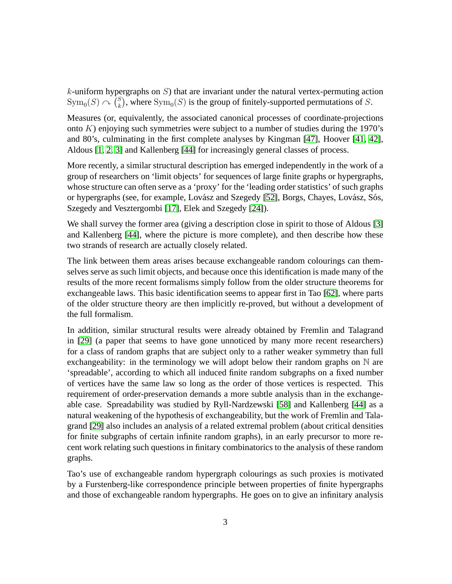$k$ -uniform hypergraphs on  $S$ ) that are invariant under the natural vertex-permuting action  $\text{Sym}_0(S) \curvearrowright {\binom{S}{k}}$  $k<sub>k</sub>$ ), where  $Sym_0(S)$  is the group of finitely-supported permutations of S.

Measures (or, equivalently, the associated canonical processes of coordinate-projections onto  $K$ ) enjoying such symmetries were subject to a number of studies during the 1970's and 80's, culminating in the first complete analyses by Kingman [\[47\]](#page-73-0), Hoover [\[41,](#page-72-0) [42\]](#page-72-1), Aldous [\[1,](#page-69-0) [2,](#page-69-1) [3\]](#page-69-2) and Kallenberg [\[44\]](#page-72-2) for increasingly general classes of process.

More recently, a similar structural description has emerged independently in the work of a group of researchers on 'limit objects' for sequences of large finite graphs or hypergraphs, whose structure can often serve as a 'proxy' for the 'leading order statistics' of such graphs or hypergraphs (see, for example, Lovász and Szegedy [\[52\]](#page-73-1), Borgs, Chayes, Lovász, Sós, Szegedy and Vesztergombi [\[17\]](#page-71-2), Elek and Szegedy [\[24\]](#page-71-3)).

We shall survey the former area (giving a description close in spirit to those of Aldous [\[3\]](#page-69-2) and Kallenberg [\[44\]](#page-72-2), where the picture is more complete), and then describe how these two strands of research are actually closely related.

The link between them areas arises because exchangeable random colourings can themselves serve as such limit objects, and because once this identification is made many of the results of the more recent formalisms simply follow from the older structure theorems for exchangeable laws. This basic identification seems to appear first in Tao [\[62\]](#page-74-0), where parts of the older structure theory are then implicitly re-proved, but without a development of the full formalism.

In addition, similar structural results were already obtained by Fremlin and Talagrand in [\[29\]](#page-71-1) (a paper that seems to have gone unnoticed by many more recent researchers) for a class of random graphs that are subject only to a rather weaker symmetry than full exchangeability: in the terminology we will adopt below their random graphs on  $\mathbb N$  are 'spreadable', according to which all induced finite random subgraphs on a fixed number of vertices have the same law so long as the order of those vertices is respected. This requirement of order-preservation demands a more subtle analysis than in the exchangeable case. Spreadability was studied by Ryll-Nardzewski [\[58\]](#page-73-4) and Kallenberg [\[44\]](#page-72-2) as a natural weakening of the hypothesis of exchangeability, but the work of Fremlin and Talagrand [\[29\]](#page-71-1) also includes an analysis of a related extremal problem (about critical densities for finite subgraphs of certain infinite random graphs), in an early precursor to more recent work relating such questions in finitary combinatorics to the analysis of these random graphs.

Tao's use of exchangeable random hypergraph colourings as such proxies is motivated by a Furstenberg-like correspondence principle between properties of finite hypergraphs and those of exchangeable random hypergraphs. He goes on to give an infinitary analysis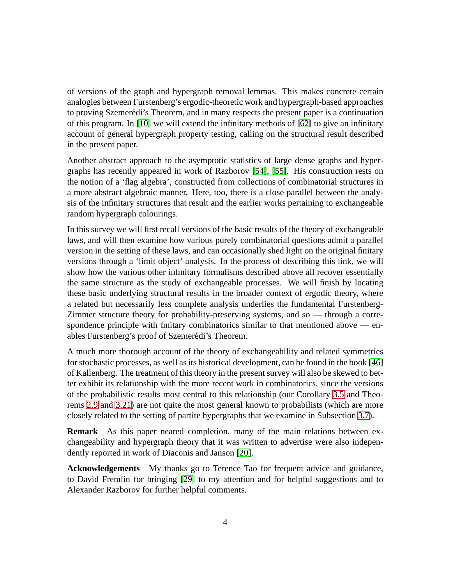of versions of the graph and hypergraph removal lemmas. This makes concrete certain analogies between Furstenberg's ergodic-theoretic work and hypergraph-based approaches to proving Szemerédi's Theorem, and in many respects the present paper is a continuation of this program. In [\[10\]](#page-70-0) we will extend the infinitary methods of [\[62\]](#page-74-0) to give an infinitary account of general hypergraph property testing, calling on the structural result described in the present paper.

Another abstract approach to the asymptotic statistics of large dense graphs and hypergraphs has recently appeared in work of Razborov [\[54\]](#page-73-2), [\[55\]](#page-73-3). His construction rests on the notion of a 'flag algebra', constructed from collections of combinatorial structures in a more abstract algebraic manner. Here, too, there is a close parallel between the analysis of the infinitary structures that result and the earlier works pertaining to exchangeable random hypergraph colourings.

In this survey we will first recall versions of the basic results of the theory of exchangeable laws, and will then examine how various purely combinatorial questions admit a parallel version in the setting of these laws, and can occasionally shed light on the original finitary versions through a 'limit object' analysis. In the process of describing this link, we will show how the various other infinitary formalisms described above all recover essentially the same structure as the study of exchangeable processes. We will finish by locating these basic underlying structural results in the broader context of ergodic theory, where a related but necessarily less complete analysis underlies the fundamental Furstenberg-Zimmer structure theory for probability-preserving systems, and so — through a correspondence principle with finitary combinatorics similar to that mentioned above — enables Furstenberg's proof of Szemerédi's Theorem.

A much more thorough account of the theory of exchangeability and related symmetries for stochastic processes, as well as its historical development, can be found in the book [\[46\]](#page-73-5) of Kallenberg. The treatment of this theory in the present survey will also be skewed to better exhibit its relationship with the more recent work in combinatorics, since the versions of the probabilistic results most central to this relationship (our Corollary [3.5](#page-26-0) and Theorems [2.9](#page-15-0) and [3.21\)](#page-37-0) are not quite the most general known to probabilists (which are more closely related to the setting of partite hypergraphs that we examine in Subsection [3.7\)](#page-43-0).

**Remark** As this paper neared completion, many of the main relations between exchangeability and hypergraph theory that it was written to advertise were also independently reported in work of Diaconis and Janson [\[20\]](#page-71-5).

**Acknowledgements** My thanks go to Terence Tao for frequent advice and guidance, to David Fremlin for bringing [\[29\]](#page-71-1) to my attention and for helpful suggestions and to Alexander Razborov for further helpful comments.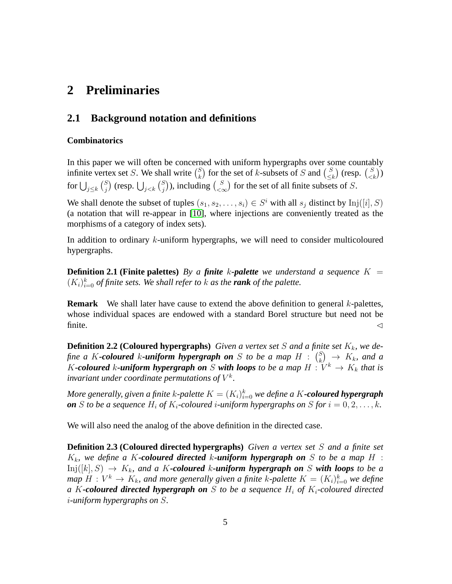# <span id="page-4-1"></span><span id="page-4-0"></span>**2 Preliminaries**

### **2.1 Background notation and definitions**

#### **Combinatorics**

In this paper we will often be concerned with uniform hypergraphs over some countably infinite vertex set *S*. We shall write  $\binom{S}{k}$  $\binom{S}{k}$  for the set of k-subsets of S and  $\binom{S}{\leq k}$  $\binom{S}{\leq k}$  (resp.  $\binom{S}{\leq k}$ ) for  $\bigcup_{j\leq k} {S \choose j}$  $_j^S$ ) (resp.  $\bigcup_{j < k} {S \choose j}$  $\binom{S}{j}$ ), including  $\binom{S}{<\infty}$  $\binom{S}{<\infty}$  for the set of all finite subsets of S.

We shall denote the subset of tuples  $(s_1, s_2, \ldots, s_i) \in S^i$  with all  $s_j$  distinct by  $Inj([i], S)$ (a notation that will re-appear in [\[10\]](#page-70-0), where injections are conveniently treated as the morphisms of a category of index sets).

<span id="page-4-2"></span>In addition to ordinary k-uniform hypergraphs, we will need to consider multicoloured hypergraphs.

**Definition 2.1 (Finite palettes)** *By a finite k*-palette we understand a sequence  $K =$  $(K_i)_{i=0}^k$  *of finite sets. We shall refer to*  $k$  *as the rank of the palette.* 

<span id="page-4-3"></span>**Remark** We shall later have cause to extend the above definition to general k-palettes, whose individual spaces are endowed with a standard Borel structure but need not be finite.  $\triangleleft$ 

**Definition 2.2 (Coloured hypergraphs)** *Given a vertex set*  $S$  *and a finite set*  $K_k$ *, we de*fine a K-coloured k-uniform hypergraph on S to be a map  $H$  :  $\binom{S}{k}$  $\binom{S}{k}$   $\rightarrow$   $K_k$ , and a K-coloured k-uniform hypergraph on S with loops to be a map  $H: V^k \to K_k$  that is invariant under coordinate permutations of  $V^k$ .

 $M$ ore generally, given a finite  $k$ -palette  $K=(K_i)_{i=0}^k$  we define a  $K$ **-coloured hypergraph** *on S to be a sequence*  $H_i$  *of*  $K_i$ -coloured *i*-uniform hypergraphs on *S for*  $i = 0, 2, ..., k$ *.* 

We will also need the analog of the above definition in the directed case.

**Definition 2.3 (Coloured directed hypergraphs)** *Given a vertex set* S *and a finite set*  $K_k$ , we define a K-coloured directed k-uniform hypergraph on S to be a map H :  $\text{Inj}([k], S) \rightarrow K_k$ , and a K-coloured k-uniform hypergraph on S with loops to be a *map*  $H: V^k \to K_k$ , and more generally given a finite k-palette  $K = (K_i)_{i=0}^k$  we define *a* K-coloured directed hypergraph on S to be a sequence  $H_i$  of  $K_i$ -coloured directed i*-uniform hypergraphs on* S*.*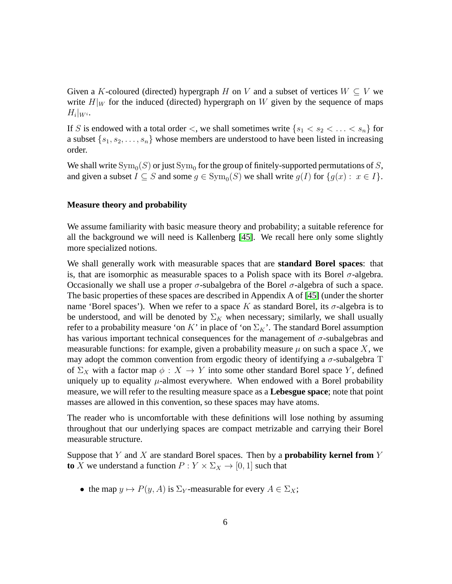Given a K-coloured (directed) hypergraph H on V and a subset of vertices  $W \subseteq V$  we write  $H|_W$  for the induced (directed) hypergraph on W given by the sequence of maps  $H_i|_{W^i}$ .

If S is endowed with a total order  $\lt$ , we shall sometimes write  $\{s_1 < s_2 < \ldots < s_n\}$  for a subset  $\{s_1, s_2, \ldots, s_n\}$  whose members are understood to have been listed in increasing order.

We shall write  $\mathrm{Sym}_0(S)$  or just  $\mathrm{Sym}_0$  for the group of finitely-supported permutations of  $S,$ and given a subset  $I \subseteq S$  and some  $g \in \text{Sym}_0(S)$  we shall write  $g(I)$  for  $\{g(x) : x \in I\}$ .

#### **Measure theory and probability**

We assume familiarity with basic measure theory and probability; a suitable reference for all the background we will need is Kallenberg [\[45\]](#page-73-6). We recall here only some slightly more specialized notions.

We shall generally work with measurable spaces that are **standard Borel spaces**: that is, that are isomorphic as measurable spaces to a Polish space with its Borel  $\sigma$ -algebra. Occasionally we shall use a proper  $\sigma$ -subalgebra of the Borel  $\sigma$ -algebra of such a space. The basic properties of these spaces are described in Appendix A of [\[45\]](#page-73-6) (under the shorter name 'Borel spaces'). When we refer to a space K as standard Borel, its  $\sigma$ -algebra is to be understood, and will be denoted by  $\Sigma_K$  when necessary; similarly, we shall usually refer to a probability measure 'on K' in place of 'on  $\Sigma_K$ '. The standard Borel assumption has various important technical consequences for the management of  $\sigma$ -subalgebras and measurable functions: for example, given a probability measure  $\mu$  on such a space X, we may adopt the common convention from ergodic theory of identifying a  $\sigma$ -subalgebra T of  $\Sigma_X$  with a factor map  $\phi: X \to Y$  into some other standard Borel space Y, defined uniquely up to equality  $\mu$ -almost everywhere. When endowed with a Borel probability measure, we will refer to the resulting measure space as a **Lebesgue space**; note that point masses are allowed in this convention, so these spaces may have atoms.

The reader who is uncomfortable with these definitions will lose nothing by assuming throughout that our underlying spaces are compact metrizable and carrying their Borel measurable structure.

Suppose that Y and X are standard Borel spaces. Then by a **probability kernel from** Y **to** X we understand a function  $P: Y \times \Sigma_X \rightarrow [0, 1]$  such that

• the map  $y \mapsto P(y, A)$  is  $\Sigma_Y$ -measurable for every  $A \in \Sigma_X$ ;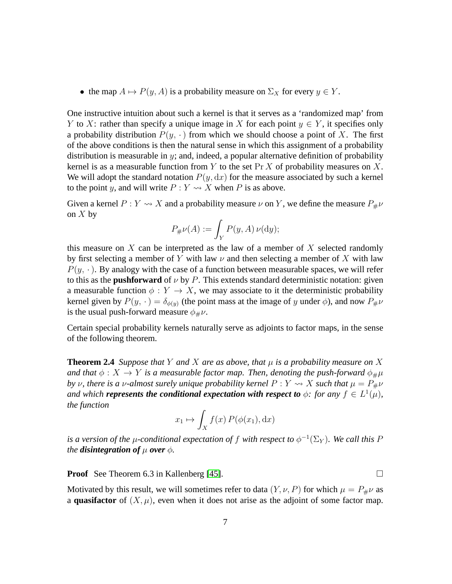• the map  $A \mapsto P(y, A)$  is a probability measure on  $\Sigma_X$  for every  $y \in Y$ .

One instructive intuition about such a kernel is that it serves as a 'randomized map' from Y to X: rather than specify a unique image in X for each point  $y \in Y$ , it specifies only a probability distribution  $P(y, \cdot)$  from which we should choose a point of X. The first of the above conditions is then the natural sense in which this assignment of a probability distribution is measurable in  $y$ ; and, indeed, a popular alternative definition of probability kernel is as a measurable function from Y to the set  $\Pr X$  of probability measures on X. We will adopt the standard notation  $P(y, dx)$  for the measure associated by such a kernel to the point y, and will write  $P: Y \rightarrow X$  when P is as above.

Given a kernel  $P: Y \rightarrow X$  and a probability measure  $\nu$  on Y, we define the measure  $P_{\#}\nu$ on  $X$  by

$$
P_{\#}\nu(A) := \int_Y P(y, A) \, \nu(\mathrm{d}y);
$$

this measure on  $X$  can be interpreted as the law of a member of  $X$  selected randomly by first selecting a member of Y with law  $\nu$  and then selecting a member of X with law  $P(y, \cdot)$ . By analogy with the case of a function between measurable spaces, we will refer to this as the **pushforward** of  $\nu$  by P. This extends standard deterministic notation: given a measurable function  $\phi: Y \to X$ , we may associate to it the deterministic probability kernel given by  $P(y, \cdot) = \delta_{\phi(y)}$  (the point mass at the image of y under  $\phi$ ), and now  $P_{\#}\nu$ is the usual push-forward measure  $\phi_{\#}\nu$ .

Certain special probability kernels naturally serve as adjoints to factor maps, in the sense of the following theorem.

**Theorem 2.4** *Suppose that* Y *and* X *are as above, that*  $\mu$  *is a probability measure on* X *and that*  $\phi: X \to Y$  *is a measurable factor map. Then, denoting the push-forward*  $\phi_{\#}\mu$ *by*  $\nu$ , there is a  $\nu$ -almost surely unique probability kernel  $P: Y \rightsquigarrow X$  such that  $\mu = P_{\#} \nu$ and which **represents the conditional expectation with respect to**  $\phi$ : for any  $f \in L^1(\mu)$ , *the function*

$$
x_1 \mapsto \int_X f(x) P(\phi(x_1), dx)
$$

is a version of the  $\mu$ -conditional expectation of  $f$  with respect to  $\phi^{-1}(\Sigma_Y)$ . We call this F *the disintegration of*  $\mu$  *over*  $\phi$ *.* 

**Proof** See Theorem 6.3 in Kallenberg [\[45\]](#page-73-6). □

Motivated by this result, we will sometimes refer to data  $(Y, \nu, P)$  for which  $\mu = P_{\#} \nu$  as a **quasifactor** of  $(X, \mu)$ , even when it does not arise as the adjoint of some factor map.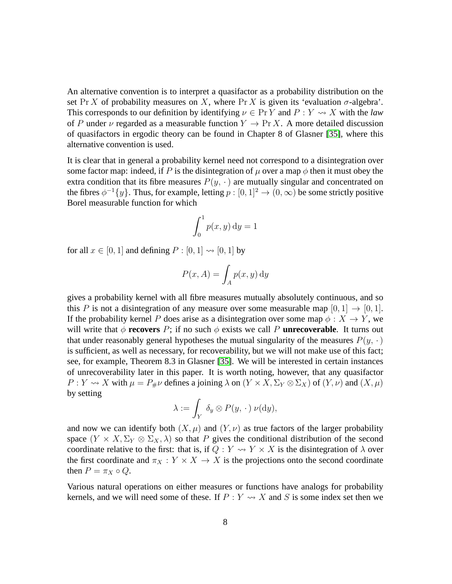An alternative convention is to interpret a quasifactor as a probability distribution on the set Pr X of probability measures on X, where Pr X is given its 'evaluation  $\sigma$ -algebra'. This corresponds to our definition by identifying  $\nu \in \Pr Y$  and  $P : Y \rightsquigarrow X$  with the *law* of P under  $\nu$  regarded as a measurable function  $Y \to \Pr X$ . A more detailed discussion of quasifactors in ergodic theory can be found in Chapter 8 of Glasner [\[35\]](#page-72-3), where this alternative convention is used.

It is clear that in general a probability kernel need not correspond to a disintegration over some factor map: indeed, if P is the disintegration of  $\mu$  over a map  $\phi$  then it must obey the extra condition that its fibre measures  $P(y, \cdot)$  are mutually singular and concentrated on the fibres  $\phi^{-1}{y}$ . Thus, for example, letting  $p:[0,1]^2 \to (0,\infty)$  be some strictly positive Borel measurable function for which

$$
\int_0^1 p(x, y) \, \mathrm{d}y = 1
$$

for all  $x \in [0, 1]$  and defining  $P : [0, 1] \rightarrow [0, 1]$  by

$$
P(x, A) = \int_A p(x, y) \, dy
$$

gives a probability kernel with all fibre measures mutually absolutely continuous, and so this P is not a disintegration of any measure over some measurable map  $[0, 1] \rightarrow [0, 1]$ . If the probability kernel P does arise as a disintegration over some map  $\phi: X \to Y$ , we will write that  $\phi$  **recovers** P; if no such  $\phi$  exists we call P **unrecoverable**. It turns out that under reasonably general hypotheses the mutual singularity of the measures  $P(y, \cdot)$ is sufficient, as well as necessary, for recoverability, but we will not make use of this fact; see, for example, Theorem 8.3 in Glasner [\[35\]](#page-72-3). We will be interested in certain instances of unrecoverability later in this paper. It is worth noting, however, that any quasifactor  $P: Y \rightsquigarrow X$  with  $\mu = P_{\#}\nu$  defines a joining  $\lambda$  on  $(Y \times X, \Sigma_Y \otimes \Sigma_X)$  of  $(Y, \nu)$  and  $(X, \mu)$ by setting

$$
\lambda := \int_Y \delta_y \otimes P(y, \, \cdot \,) \, \nu(\mathrm{d}y),
$$

and now we can identify both  $(X, \mu)$  and  $(Y, \nu)$  as true factors of the larger probability space  $(Y \times X, \Sigma_Y \otimes \Sigma_X, \lambda)$  so that P gives the conditional distribution of the second coordinate relative to the first: that is, if  $Q: Y \rightsquigarrow Y \times X$  is the disintegration of  $\lambda$  over the first coordinate and  $\pi_X : Y \times X \to X$  is the projections onto the second coordinate then  $P = \pi_X \circ Q$ .

Various natural operations on either measures or functions have analogs for probability kernels, and we will need some of these. If  $P: Y \rightsquigarrow X$  and S is some index set then we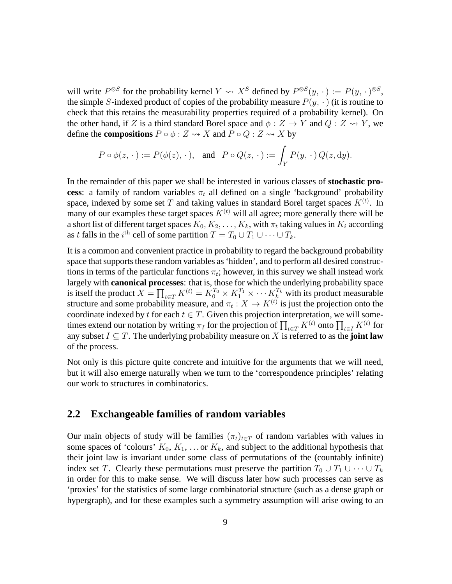will write  $P^{\otimes S}$  for the probability kernel  $Y \rightsquigarrow X^S$  defined by  $P^{\otimes S}(y, \cdot) := P(y, \cdot)^{\otimes S}$ , the simple S-indexed product of copies of the probability measure  $P(y, \cdot)$  (it is routine to check that this retains the measurability properties required of a probability kernel). On the other hand, if Z is a third standard Borel space and  $\phi : Z \to Y$  and  $Q : Z \leadsto Y$ , we define the **compositions**  $P \circ \phi : Z \rightarrow X$  and  $P \circ Q : Z \rightarrow X$  by

$$
P \circ \phi(z, \cdot) := P(\phi(z), \cdot), \text{ and } P \circ Q(z, \cdot) := \int_Y P(y, \cdot) Q(z, dy).
$$

In the remainder of this paper we shall be interested in various classes of **stochastic process**: a family of random variables  $\pi_t$  all defined on a single 'background' probability space, indexed by some set T and taking values in standard Borel target spaces  $K^{(t)}$ . In many of our examples these target spaces  $K^{(t)}$  will all agree; more generally there will be a short list of different target spaces  $K_0, K_2, \ldots, K_k$ , with  $\pi_t$  taking values in  $K_i$  according as t falls in the  $i^{\text{th}}$  cell of some partition  $T = T_0 \cup T_1 \cup \cdots \cup T_k$ .

It is a common and convenient practice in probability to regard the background probability space that supports these random variables as 'hidden', and to perform all desired constructions in terms of the particular functions  $\pi_t$ ; however, in this survey we shall instead work largely with **canonical processes**: that is, those for which the underlying probability space is itself the product  $X = \prod_{t \in T} K^{(t)} = K_0^{T_0} \times K_1^{T_1} \times \cdots K_k^{T_k}$  with its product measurable structure and some probability measure, and  $\pi_t : X \to K^{(t)}$  is just the projection onto the coordinate indexed by t for each  $t \in T$ . Given this projection interpretation, we will sometimes extend our notation by writing  $\pi_I$  for the projection of  $\prod_{t\in T} K^{(t)}$  onto  $\prod_{t\in I} K^{(t)}$  for any subset  $I \subseteq T$ . The underlying probability measure on X is referred to as the **joint law** of the process.

Not only is this picture quite concrete and intuitive for the arguments that we will need, but it will also emerge naturally when we turn to the 'correspondence principles' relating our work to structures in combinatorics.

#### <span id="page-8-0"></span>**2.2 Exchangeable families of random variables**

Our main objects of study will be families  $(\pi_t)_{t\in T}$  of random variables with values in some spaces of 'colours'  $K_0, K_1, \ldots$  or  $K_k$ , and subject to the additional hypothesis that their joint law is invariant under some class of permutations of the (countably infinite) index set T. Clearly these permutations must preserve the partition  $T_0 \cup T_1 \cup \cdots \cup T_k$ in order for this to make sense. We will discuss later how such processes can serve as 'proxies' for the statistics of some large combinatorial structure (such as a dense graph or hypergraph), and for these examples such a symmetry assumption will arise owing to an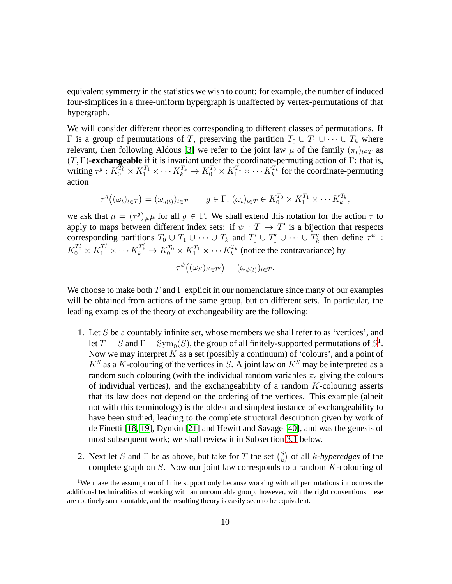equivalent symmetry in the statistics we wish to count: for example, the number of induced four-simplices in a three-uniform hypergraph is unaffected by vertex-permutations of that hypergraph.

We will consider different theories corresponding to different classes of permutations. If  $Γ$  is a group of permutations of T, preserving the partition  $T_0 ∪ T_1 ∪ ⋯ ∪ T_k$  where relevant, then following Aldous [\[3\]](#page-69-2) we refer to the joint law  $\mu$  of the family  $(\pi_t)_{t \in T}$  as (T, Γ)-**exchangeable** if it is invariant under the coordinate-permuting action of Γ: that is, writing  $\tau^g: K_0^{T_0} \times K_1^{T_1} \times \cdots K_k^{T_k} \to K_0^{T_0} \times K_1^{T_1} \times \cdots K_k^{T_k}$  for the coordinate-permuting action

$$
\tau^g\big((\omega_t)_{t\in T}\big)=(\omega_{g(t)})_{t\in T} \qquad g\in\Gamma,\ (\omega_t)_{t\in T}\in K_0^{T_0}\times K_1^{T_1}\times\cdots K_k^{T_k},
$$

we ask that  $\mu = (\tau^g)_{\#}\mu$  for all  $g \in \Gamma$ . We shall extend this notation for the action  $\tau$  to apply to maps between different index sets: if  $\psi : T \to T'$  is a bijection that respects corresponding partitions  $T_0 \cup T_1 \cup \cdots \cup T_k$  and  $T'_0 \cup T'_1 \cup \cdots \cup T'_k$  then define  $\tau^{\psi}$ :  $K_0^{T'_0} \times K_1^{T'_1} \times \cdots K_k^{T_k} \to K_0^{T_0} \times K_1^{T_1} \times \cdots K_k^{T_k}$  (notice the contravariance) by

$$
\tau^{\psi} \big( (\omega_{t'})_{t' \in T'} \big) = (\omega_{\psi(t)})_{t \in T}.
$$

We choose to make both T and  $\Gamma$  explicit in our nomenclature since many of our examples will be obtained from actions of the same group, but on different sets. In particular, the leading examples of the theory of exchangeability are the following:

- 1. Let S be a countably infinite set, whose members we shall refer to as 'vertices', and let  $T = S$  and  $\Gamma = \text{Sym}_0(S)$ , the group of all finitely-supported permutations of  $S^1$  $S^1$ . Now we may interpret  $K$  as a set (possibly a continuum) of 'colours', and a point of  $K^S$  as a K-colouring of the vertices in S. A joint law on  $K^S$  may be interpreted as a random such colouring (with the individual random variables  $\pi_s$  giving the colours of individual vertices), and the exchangeability of a random  $K$ -colouring asserts that its law does not depend on the ordering of the vertices. This example (albeit not with this terminology) is the oldest and simplest instance of exchangeability to have been studied, leading to the complete structural description given by work of de Finetti [\[18,](#page-71-0) [19\]](#page-71-4), Dynkin [\[21\]](#page-71-6) and Hewitt and Savage [\[40\]](#page-72-4), and was the genesis of most subsequent work; we shall review it in Subsection [3.1](#page-20-1) below.
- 2. Next let S and  $\Gamma$  be as above, but take for T the set  $\binom{S}{k}$  $\binom{S}{k}$  of all *k*-*hyperedges* of the complete graph on S. Now our joint law corresponds to a random K-colouring of

<span id="page-9-0"></span><sup>&</sup>lt;sup>1</sup>We make the assumption of finite support only because working with all permutations introduces the additional technicalities of working with an uncountable group; however, with the right conventions these are routinely surmountable, and the resulting theory is easily seen to be equivalent.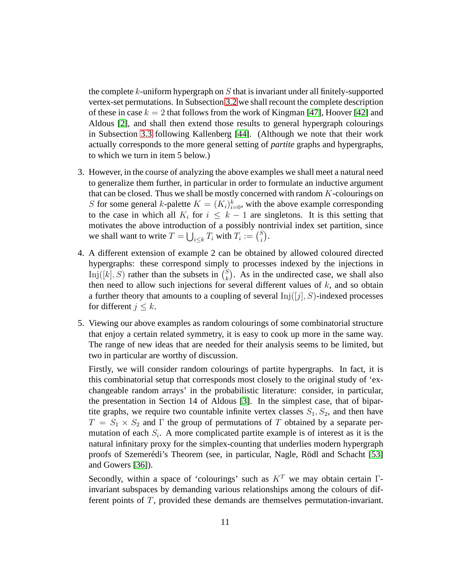the complete  $k$ -uniform hypergraph on  $S$  that is invariant under all finitely-supported vertex-set permutations. In Subsection [3.2](#page-23-0) we shall recount the complete description of these in case  $k = 2$  that follows from the work of Kingman [\[47\]](#page-73-0), Hoover [\[42\]](#page-72-1) and Aldous [\[2\]](#page-69-1), and shall then extend those results to general hypergraph colourings in Subsection [3.3](#page-27-0) following Kallenberg [\[44\]](#page-72-2). (Although we note that their work actually corresponds to the more general setting of *partite* graphs and hypergraphs, to which we turn in item 5 below.)

- 3. However, in the course of analyzing the above examples we shall meet a natural need to generalize them further, in particular in order to formulate an inductive argument that can be closed. Thus we shall be mostly concerned with random  $K$ -colourings on S for some general k-palette  $K = (K_i)_{i=0}^k$ , with the above example corresponding to the case in which all  $K_i$  for  $i \leq k-1$  are singletons. It is this setting that motivates the above introduction of a possibly nontrivial index set partition, since we shall want to write  $T = \bigcup_{i \leq k} T_i$  with  $T_i := {S \choose i}$  $_{i}^{s}).$
- 4. A different extension of example 2 can be obtained by allowed coloured directed hypergraphs: these correspond simply to processes indexed by the injections in Inj([k], S) rather than the subsets in  $\binom{S}{k}$  $\binom{S}{k}$ . As in the undirected case, we shall also then need to allow such injections for several different values of  $k$ , and so obtain a further theory that amounts to a coupling of several  $Inj([j], S)$ -indexed processes for different  $j \leq k$ .
- 5. Viewing our above examples as random colourings of some combinatorial structure that enjoy a certain related symmetry, it is easy to cook up more in the same way. The range of new ideas that are needed for their analysis seems to be limited, but two in particular are worthy of discussion.

Firstly, we will consider random colourings of partite hypergraphs. In fact, it is this combinatorial setup that corresponds most closely to the original study of 'exchangeable random arrays' in the probabilistic literature: consider, in particular, the presentation in Section 14 of Aldous [\[3\]](#page-69-2). In the simplest case, that of bipartite graphs, we require two countable infinite vertex classes  $S_1, S_2$ , and then have  $T = S_1 \times S_2$  and  $\Gamma$  the group of permutations of T obtained by a separate permutation of each  $S_i$ . A more complicated partite example is of interest as it is the natural infinitary proxy for the simplex-counting that underlies modern hypergraph proofs of Szemerédi's Theorem (see, in particular, Nagle, Rödl and Schacht [\[53\]](#page-73-7) and Gowers [\[36\]](#page-72-5)).

Secondly, within a space of 'colourings' such as  $K<sup>T</sup>$  we may obtain certain Γinvariant subspaces by demanding various relationships among the colours of different points of T, provided these demands are themselves permutation-invariant.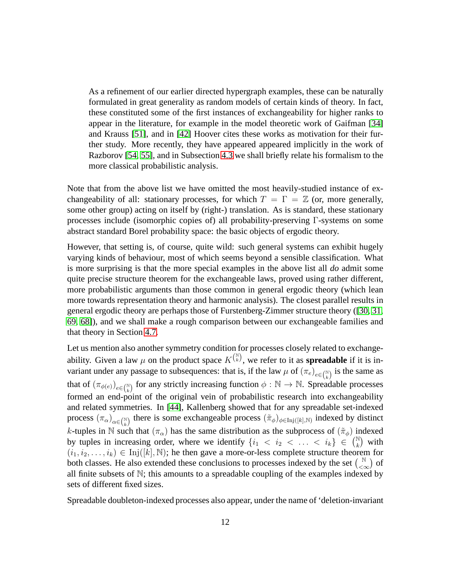As a refinement of our earlier directed hypergraph examples, these can be naturally formulated in great generality as random models of certain kinds of theory. In fact, these constituted some of the first instances of exchangeability for higher ranks to appear in the literature, for example in the model theoretic work of Gaifman [\[34\]](#page-72-6) and Krauss [\[51\]](#page-73-8), and in [\[42\]](#page-72-1) Hoover cites these works as motivation for their further study. More recently, they have appeared appeared implicitly in the work of Razborov [\[54,](#page-73-2) [55\]](#page-73-3), and in Subsection [4.3](#page-55-0) we shall briefly relate his formalism to the more classical probabilistic analysis.

Note that from the above list we have omitted the most heavily-studied instance of exchangeability of all: stationary processes, for which  $T = \Gamma = \mathbb{Z}$  (or, more generally, some other group) acting on itself by (right-) translation. As is standard, these stationary processes include (isomorphic copies of) all probability-preserving Γ-systems on some abstract standard Borel probability space: the basic objects of ergodic theory.

However, that setting is, of course, quite wild: such general systems can exhibit hugely varying kinds of behaviour, most of which seems beyond a sensible classification. What is more surprising is that the more special examples in the above list all *do* admit some quite precise structure theorem for the exchangeable laws, proved using rather different, more probabilistic arguments than those common in general ergodic theory (which lean more towards representation theory and harmonic analysis). The closest parallel results in general ergodic theory are perhaps those of Furstenberg-Zimmer structure theory ([\[30,](#page-72-7) [31,](#page-72-8) [69,](#page-74-1) [68\]](#page-74-2)), and we shall make a rough comparison between our exchangeable families and that theory in Section [4.7.](#page-66-0)

Let us mention also another symmetry condition for processes closely related to exchangeability. Given a law  $\mu$  on the product space  $K^{(\mathbb{N})}_{\mu}$ , we refer to it as **spreadable** if it is invariant under any passage to subsequences: that is, if the law  $\mu$  of  $(\pi_e)_{e \in \binom{N}{k}}$  is the same as that of  $(\pi_{\phi(e)})_{e\in\binom{N}{k}}$  for any strictly increasing function  $\phi:\mathbb{N}\to\mathbb{N}$ . Spreadable processes formed an end-point of the original vein of probabilistic research into exchangeability and related symmetries. In [\[44\]](#page-72-2), Kallenberg showed that for any spreadable set-indexed process  $(\pi_\alpha)_{\alpha\in\binom{\mathbb{N}}{k}}$  there is some exchangeable process  $(\tilde{\pi}_{\phi})_{\phi\in\text{Inj}([k],\mathbb{N})}$  indexed by distinct k-tuples in N such that  $(\pi_{\alpha})$  has the same distribution as the subprocess of  $(\tilde{\pi}_{\phi})$  indexed by tuples in increasing order, where we identify  $\{i_1 < i_2 < \ldots < i_k\} \in \binom{\mathbb{N}}{k}$  $\binom{\mathbb{N}}{k}$  with  $(i_1, i_2, \ldots, i_k) \in Inj([k], \mathbb{N})$ ; he then gave a more-or-less complete structure theorem for both classes. He also extended these conclusions to processes indexed by the set  $\binom{N}{\leq N}$  $\left(\begin{smallmatrix} \mathbb{N} \\ <\infty \end{smallmatrix}\right)$  of all finite subsets of N; this amounts to a spreadable coupling of the examples indexed by sets of different fixed sizes.

Spreadable doubleton-indexed processes also appear, under the name of 'deletion-invariant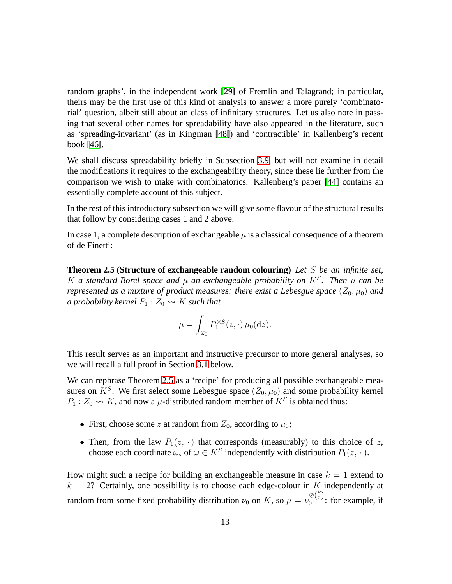random graphs', in the independent work [\[29\]](#page-71-1) of Fremlin and Talagrand; in particular, theirs may be the first use of this kind of analysis to answer a more purely 'combinatorial' question, albeit still about an class of infinitary structures. Let us also note in passing that several other names for spreadability have also appeared in the literature, such as 'spreading-invariant' (as in Kingman [\[48\]](#page-73-9)) and 'contractible' in Kallenberg's recent book [\[46\]](#page-73-5).

We shall discuss spreadability briefly in Subsection [3.9,](#page-48-0) but will not examine in detail the modifications it requires to the exchangeability theory, since these lie further from the comparison we wish to make with combinatorics. Kallenberg's paper [\[44\]](#page-72-2) contains an essentially complete account of this subject.

In the rest of this introductory subsection we will give some flavour of the structural results that follow by considering cases 1 and 2 above.

<span id="page-12-0"></span>In case 1, a complete description of exchangeable  $\mu$  is a classical consequence of a theorem of de Finetti:

**Theorem 2.5 (Structure of exchangeable random colouring)** *Let* S *be an infinite set,* K a standard Borel space and  $\mu$  an exchangeable probability on  $K^S$ . Then  $\mu$  can be *represented as a mixture of product measures: there exist a Lebesgue space*  $(Z_0, \mu_0)$  *and a probability kernel*  $P_1$  :  $Z_0 \rightarrow K$  *such that* 

$$
\mu = \int_{Z_0} P_1^{\otimes S}(z, \cdot) \mu_0(\mathrm{d}z).
$$

This result serves as an important and instructive precursor to more general analyses, so we will recall a full proof in Section [3.1](#page-20-1) below.

We can rephrase Theorem [2.5](#page-12-0) as a 'recipe' for producing all possible exchangeable measures on  $K^S$ . We first select some Lebesgue space  $(Z_0, \mu_0)$  and some probability kernel  $P_1: Z_0 \rightarrow K$ , and now a  $\mu$ -distributed random member of  $K^S$  is obtained thus:

- First, choose some z at random from  $Z_0$ , according to  $\mu_0$ ;
- Then, from the law  $P_1(z, \cdot)$  that corresponds (measurably) to this choice of z, choose each coordinate  $\omega_s$  of  $\omega \in K^S$  independently with distribution  $P_1(z, \cdot)$ .

How might such a recipe for building an exchangeable measure in case  $k = 1$  extend to  $k = 2$ ? Certainly, one possibility is to choose each edge-colour in K independently at random from some fixed probability distribution  $\nu_0$  on K, so  $\mu = \nu_0^{\otimes {S \choose 2}}$  $\int_0^{\infty}$  : for example, if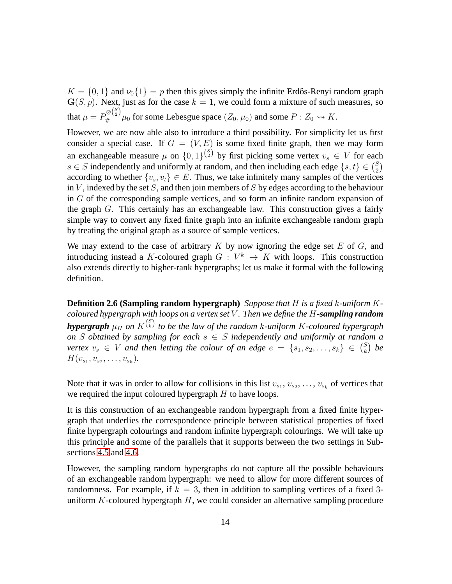$K = \{0, 1\}$  and  $\nu_0\{1\} = p$  then this gives simply the infinite Erdős-Renyi random graph  $\mathbf{G}(S, p)$ . Next, just as for the case  $k = 1$ , we could form a mixture of such measures, so that  $\mu = P_{\#}^{\otimes {S \choose 2}} \mu_0$  for some Lebesgue space  $(Z_0, \mu_0)$  and some  $P: Z_0 \leadsto K$ .

However, we are now able also to introduce a third possibility. For simplicity let us first consider a special case. If  $G = (V, E)$  is some fixed finite graph, then we may form an exchangeable measure  $\mu$  on  $\{0, 1\}^{\binom{S}{2}}$  by first picking some vertex  $v_s \in V$  for each s  $\in$  S independently and uniformly at random, and then including each edge  $\{s, t\} \in \binom{S}{2}$  $_{2}^{S}$ according to whether  $\{v_s, v_t\} \in E$ . Thus, we take infinitely many samples of the vertices in  $V$ , indexed by the set  $S$ , and then join members of  $S$  by edges according to the behaviour in G of the corresponding sample vertices, and so form an infinite random expansion of the graph G. This certainly has an exchangeable law. This construction gives a fairly simple way to convert any fixed finite graph into an infinite exchangeable random graph by treating the original graph as a source of sample vertices.

We may extend to the case of arbitrary  $K$  by now ignoring the edge set  $E$  of  $G$ , and introducing instead a K-coloured graph  $G: V^k \to K$  with loops. This construction also extends directly to higher-rank hypergraphs; let us make it formal with the following definition.

**Definition 2.6 (Sampling random hypergraph)** *Suppose that* H *is a fixed* k*-uniform* K*coloured hypergraph with loops on a vertex set* V *. Then we define the* H*-sampling random* **hypergraph**  $\mu_H$  on  $K^{S}$  to be the law of the random k-uniform K-coloured hypergraph *on* S *obtained by sampling for each* s ∈ S *independently and uniformly at random a vertex*  $v_s \in V$  *and then letting the colour of an edge*  $e = \{s_1, s_2, \ldots, s_k\} \in {S \choose k}$ k *be*  $H(v_{s_1}, v_{s_2}, \ldots, v_{s_k}).$ 

Note that it was in order to allow for collisions in this list  $v_{s_1}, v_{s_2}, \ldots, v_{s_k}$  of vertices that we required the input coloured hypergraph  $H$  to have loops.

It is this construction of an exchangeable random hypergraph from a fixed finite hypergraph that underlies the correspondence principle between statistical properties of fixed finite hypergraph colourings and random infinite hypergraph colourings. We will take up this principle and some of the parallels that it supports between the two settings in Subsections [4.5](#page-61-0) and [4.6.](#page-64-0)

However, the sampling random hypergraphs do not capture all the possible behaviours of an exchangeable random hypergraph: we need to allow for more different sources of randomness. For example, if  $k = 3$ , then in addition to sampling vertices of a fixed 3uniform  $K$ -coloured hypergraph  $H$ , we could consider an alternative sampling procedure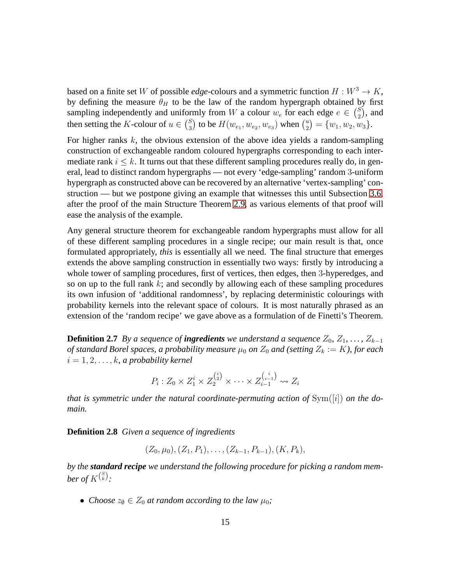based on a finite set W of possible *edge*-colours and a symmetric function  $H : W^3 \to K$ , by defining the measure  $\theta_H$  to be the law of the random hypergraph obtained by first sampling independently and uniformly from W a colour  $w_e$  for each edge  $e \in {S_2 \choose 2}$  $_{2}^{S}$ ), and then setting the *K*-colour of  $u \in {S \choose 3}$  $_3^S$ ) to be  $H(w_{e_1}, w_{e_2}, w_{e_3})$  when  $\binom{u_2}{2}$  $\binom{u}{2} = \{w_1, w_2, w_3\}.$ 

For higher ranks  $k$ , the obvious extension of the above idea yields a random-sampling construction of exchangeable random coloured hypergraphs corresponding to each intermediate rank  $i \leq k$ . It turns out that these different sampling procedures really do, in general, lead to distinct random hypergraphs — not every 'edge-sampling' random 3-uniform hypergraph as constructed above can be recovered by an alternative 'vertex-sampling' construction — but we postpone giving an example that witnesses this until Subsection [3.6,](#page-40-0) after the proof of the main Structure Theorem [2.9,](#page-15-0) as various elements of that proof will ease the analysis of the example.

Any general structure theorem for exchangeable random hypergraphs must allow for all of these different sampling procedures in a single recipe; our main result is that, once formulated appropriately, *this* is essentially all we need. The final structure that emerges extends the above sampling construction in essentially two ways: firstly by introducing a whole tower of sampling procedures, first of vertices, then edges, then 3-hyperedges, and so on up to the full rank  $k$ ; and secondly by allowing each of these sampling procedures its own infusion of 'additional randomness', by replacing deterministic colourings with probability kernels into the relevant space of colours. It is most naturally phrased as an extension of the 'random recipe' we gave above as a formulation of de Finetti's Theorem.

<span id="page-14-0"></span>**Definition 2.7** *By a sequence of ingredients we understand a sequence*  $Z_0$ ,  $Z_1$ , ...,  $Z_{k-1}$ *of standard Borel spaces, a probability measure*  $\mu_0$  *on*  $Z_0$  *and (setting*  $Z_k := K$ *), for each*  $i = 1, 2, \ldots, k$ , a probability kernel

$$
P_i: Z_0 \times Z_1^i \times Z_2^{i\choose 2} \times \cdots \times Z_{i-1}^{i\choose i-1} \rightsquigarrow Z_i
$$

*that is symmetric under the natural coordinate-permuting action of* Sym([i]) *on the domain.*

<span id="page-14-1"></span>**Definition 2.8** *Given a sequence of ingredients*

$$
(Z_0, \mu_0), (Z_1, P_1), \ldots, (Z_{k-1}, P_{k-1}), (K, P_k),
$$

*by the standard recipe we understand the following procedure for picking a random mem*ber of  $K^{\binom{S}{k}}$ :

• *Choose*  $z_{\emptyset} \in Z_0$  *at random according to the law*  $\mu_0$ *;*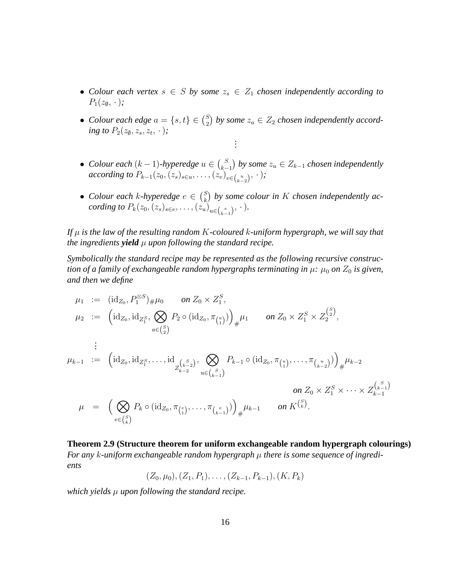- Colour each vertex  $s \in S$  by some  $z_s \in Z_1$  chosen independently according to  $P_1(z_0, \cdot);$
- *Colour each edge*  $a = \{s, t\} \in {S \choose 2}$  $\binom{S}{2}$  by some  $z_a \in Z_2$  chosen independently accord*ing to*  $P_2(z_0, z_s, z_t, \cdot)$ *; . . .*
- *Colour each*  $(k-1)$ -hyperedge  $u \in {S \choose k-1}$  $\binom{S}{k-1}$  by some  $z_u$  ∈  $Z_{k-1}$  chosen independently *according to*  $P_{k-1}(z_0, (z_s)_{s \in u}, \ldots, (z_v)_{v \in {u \choose k-2}}, \cdot)$ *;*
- *Colour each k-hyperedge*  $e \in {S \choose k}$  $\binom{S}{k}$  by some colour in K chosen independently ac*cording to*  $P_k(z_0, (z_s)_{s \in e}, \ldots, (z_u)_{u \in {e \choose k-1}}, \cdot).$

*If* µ *is the law of the resulting random* K*-coloured* k*-uniform hypergraph, we will say that the ingredients yield*  $\mu$  *upon following the standard recipe.* 

*Symbolically the standard recipe may be represented as the following recursive construction of a family of exchangeable random hypergraphs terminating in*  $\mu$ *:*  $\mu_0$  *on*  $Z_0$  *is given, and then we define*

$$
\mu_1 := (\mathrm{id}_{Z_0}, P_1^{\otimes S})_{\#} \mu_0 \quad on \ Z_0 \times Z_1^S,
$$
\n
$$
\mu_2 := \left( \mathrm{id}_{Z_0}, \mathrm{id}_{Z_1^S}, \bigotimes_{a \in {S \choose 2}} P_2 \circ (\mathrm{id}_{Z_0}, \pi_{\binom{a}{1}}) \right)_{\#} \mu_1 \quad on \ Z_0 \times Z_1^S \times Z_2^{\binom{S}{2}},
$$
\n
$$
\vdots
$$
\n
$$
\mu_{k-1} := \left( \mathrm{id}_{Z_0}, \mathrm{id}_{Z_1^S}, \dots, \mathrm{id}_{Z_{k-2}^{\binom{S}{k-2}}}, \bigotimes_{u \in \binom{S}{k-1}} P_{k-1} \circ (\mathrm{id}_{Z_0}, \pi_{\binom{u}{1}}, \dots, \pi_{\binom{u}{k-2}}) \right)_{\#} \mu_{k-2}
$$
\n
$$
\mu = \left( \bigotimes_{e \in {S \choose k}} P_k \circ (\mathrm{id}_{Z_0}, \pi_{\binom{e}{1}}, \dots, \pi_{\binom{e}{k-1}}) \right)_{\#} \mu_{k-1} \quad on \ K^{\binom{S}{k}}.
$$

<span id="page-15-0"></span>**Theorem 2.9 (Structure theorem for uniform exchangeable random hypergraph colourings)** *For any* k*-uniform exchangeable random hypergraph* µ *there is some sequence of ingredients*

 $(Z_0, \mu_0), (Z_1, P_1), \ldots, (Z_{k-1}, P_{k-1}), (K, P_k)$ 

*which yields* µ *upon following the standard recipe.*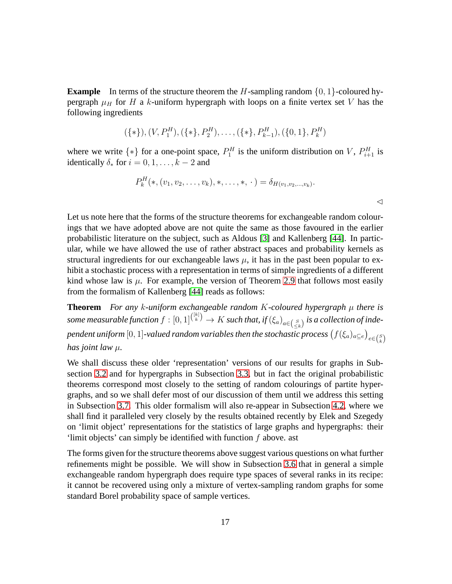**Example** In terms of the structure theorem the H-sampling random  $\{0, 1\}$ -coloured hypergraph  $\mu_H$  for H a k-uniform hypergraph with loops on a finite vertex set V has the following ingredients

$$
(\{* \}, (V, P_1^H), (\{* \}, P_2^H), \ldots, (\{* \}, P_{k-1}^H), (\{0, 1\}, P_k^H)
$$

where we write  $\{*\}$  for a one-point space,  $P_1^H$  is the uniform distribution on V,  $P_{i+1}^H$  is identically  $\delta_*$  for  $i = 0, 1, \ldots, k - 2$  and

$$
P_k^H(*,(v_1,v_2,\ldots,v_k),*,\ldots,*,\cdot)=\delta_{H(v_1,v_2,\ldots,v_k)}.
$$

Let us note here that the forms of the structure theorems for exchangeable random colourings that we have adopted above are not quite the same as those favoured in the earlier probabilistic literature on the subject, such as Aldous [\[3\]](#page-69-2) and Kallenberg [\[44\]](#page-72-2). In particular, while we have allowed the use of rather abstract spaces and probability kernels as structural ingredients for our exchangeable laws  $\mu$ , it has in the past been popular to exhibit a stochastic process with a representation in terms of simple ingredients of a different kind whose law is  $\mu$ . For example, the version of Theorem [2.9](#page-15-0) that follows most easily from the formalism of Kallenberg [\[44\]](#page-72-2) reads as follows:

**Theorem** *For any* k*-uniform exchangeable random* K*-coloured hypergraph* µ *there is* some measurable function  $f:[0,1]^{[k]\choose k}\to K$  such that, if  $(\xi_a)_{a\in \binom{S}{\leq k}}$  is a collection of independent uniform  $[0,1]$ -valued random variables then the stochastic process  $\big(f(\xi_a)_{a\subseteq e}\big)_{e\in {S\choose k}}$ *has joint law* µ*.*

We shall discuss these older 'representation' versions of our results for graphs in Subsection [3.2](#page-23-0) and for hypergraphs in Subsection [3.3,](#page-27-0) but in fact the original probabilistic theorems correspond most closely to the setting of random colourings of partite hypergraphs, and so we shall defer most of our discussion of them until we address this setting in Subsection [3.7.](#page-43-0) This older formalism will also re-appear in Subsection [4.2,](#page-52-0) where we shall find it paralleled very closely by the results obtained recently by Elek and Szegedy on 'limit object' representations for the statistics of large graphs and hypergraphs: their 'limit objects' can simply be identified with function f above. ast

The forms given for the structure theorems above suggest various questions on what further refinements might be possible. We will show in Subsection [3.6](#page-40-0) that in general a simple exchangeable random hypergraph does require type spaces of several ranks in its recipe: it cannot be recovered using only a mixture of vertex-sampling random graphs for some standard Borel probability space of sample vertices.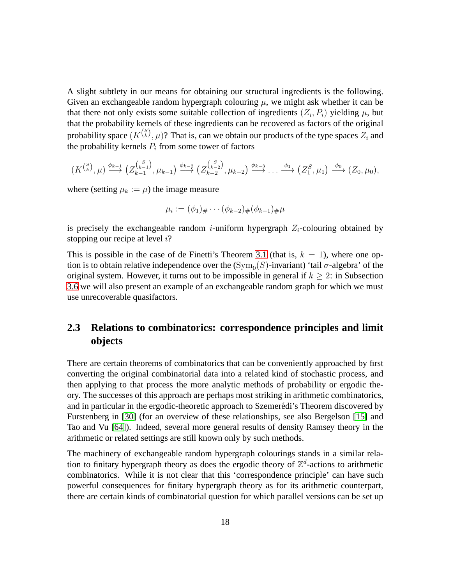A slight subtlety in our means for obtaining our structural ingredients is the following. Given an exchangeable random hypergraph colouring  $\mu$ , we might ask whether it can be that there not only exists some suitable collection of ingredients  $(Z_i, P_i)$  yielding  $\mu$ , but that the probability kernels of these ingredients can be recovered as factors of the original probability space  $(K^{(\frac{S}{k})},\mu)$ ? That is, can we obtain our products of the type spaces  $Z_i$  and the probability kernels  $P_i$  from some tower of factors

$$
(K^{\binom{S}{k}},\mu)\stackrel{\phi_{k-1}}{\longrightarrow}(Z^{\binom{S}{k-1}}_{k-1},\mu_{k-1})\stackrel{\phi_{k-2}}{\longrightarrow}(Z^{\binom{S}{k-2}}_{k-2},\mu_{k-2})\stackrel{\phi_{k-3}}{\longrightarrow}\ldots\stackrel{\phi_1}{\longrightarrow}(Z^S_1,\mu_1)\stackrel{\phi_0}{\longrightarrow}(Z_0,\mu_0),
$$

where (setting  $\mu_k := \mu$ ) the image measure

$$
\mu_i := (\phi_1)_{\#} \cdots (\phi_{k-2})_{\#} (\phi_{k-1})_{\#} \mu
$$

is precisely the exchangeable random *i*-uniform hypergraph  $Z_i$ -colouring obtained by stopping our recipe at level i?

This is possible in the case of de Finetti's Theorem [3.1](#page-21-0) (that is,  $k = 1$ ), where one option is to obtain relative independence over the  $({\rm Sym}_0(S)$ -invariant) 'tail  $\sigma$ -algebra' of the original system. However, it turns out to be impossible in general if  $k > 2$ : in Subsection [3.6](#page-40-0) we will also present an example of an exchangeable random graph for which we must use unrecoverable quasifactors.

### <span id="page-17-0"></span>**2.3 Relations to combinatorics: correspondence principles and limit objects**

There are certain theorems of combinatorics that can be conveniently approached by first converting the original combinatorial data into a related kind of stochastic process, and then applying to that process the more analytic methods of probability or ergodic theory. The successes of this approach are perhaps most striking in arithmetic combinatorics, and in particular in the ergodic-theoretic approach to Szemerédi's Theorem discovered by Furstenberg in [\[30\]](#page-72-7) (for an overview of these relationships, see also Bergelson [\[15\]](#page-70-1) and Tao and Vu [\[64\]](#page-74-3)). Indeed, several more general results of density Ramsey theory in the arithmetic or related settings are still known only by such methods.

The machinery of exchangeable random hypergraph colourings stands in a similar relation to finitary hypergraph theory as does the ergodic theory of  $\mathbb{Z}^d$ -actions to arithmetic combinatorics. While it is not clear that this 'correspondence principle' can have such powerful consequences for finitary hypergraph theory as for its arithmetic counterpart, there are certain kinds of combinatorial question for which parallel versions can be set up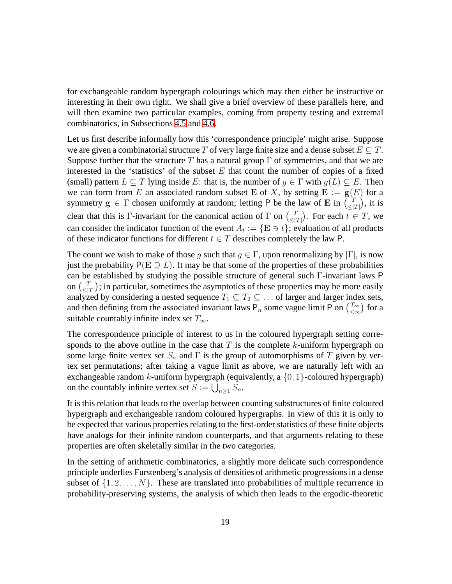for exchangeable random hypergraph colourings which may then either be instructive or interesting in their own right. We shall give a brief overview of these parallels here, and will then examine two particular examples, coming from property testing and extremal combinatorics, in Subsections [4.5](#page-61-0) and [4.6.](#page-64-0)

Let us first describe informally how this 'correspondence principle' might arise. Suppose we are given a combinatorial structure T of very large finite size and a dense subset  $E \subseteq T$ . Suppose further that the structure T has a natural group  $\Gamma$  of symmetries, and that we are interested in the 'statistics' of the subset  $E$  that count the number of copies of a fixed (small) pattern  $L \subseteq T$  lying inside E: that is, the number of  $g \in \Gamma$  with  $g(L) \subseteq E$ . Then we can form from E an associated random subset E of X, by setting  $E := g(E)$  for a symmetry  $g \in \Gamma$  chosen uniformly at random; letting P be the law of E in  $\begin{bmatrix} 7 \\ 5 \end{bmatrix}$  $\frac{T}{\leq |T|}$ ), it is clear that this is Γ-invariant for the canonical action of  $\Gamma$  on  $\binom{T}{\leq T}$  $\frac{T}{\leq |T|}$ . For each  $t \in T$ , we can consider the indicator function of the event  $A_t := \{ \mathbf{E} \ni t \}$ ; evaluation of all products of these indicator functions for different  $t \in T$  describes completely the law P.

The count we wish to make of those q such that  $q \in \Gamma$ , upon renormalizing by  $|\Gamma|$ , is now just the probability  $P(E \supset L)$ . It may be that some of the properties of these probabilities can be established by studying the possible structure of general such Γ-invariant laws P on  $\binom{T}{\leq r}$  $\left\langle \frac{T}{\leq |T|} \right\rangle$ ; in particular, sometimes the asymptotics of these properties may be more easily analyzed by considering a nested sequence  $T_1 \subseteq T_2 \subseteq \ldots$  of larger and larger index sets, and then defining from the associated invariant laws P<sub>n</sub> some vague limit P on  $\binom{T_{\infty}}{2}$  $\binom{T_{\infty}}{<\infty}$  for a suitable countably infinite index set  $T_{\infty}$ .

The correspondence principle of interest to us in the coloured hypergraph setting corresponds to the above outline in the case that  $T$  is the complete k-uniform hypergraph on some large finite vertex set  $S_n$  and  $\Gamma$  is the group of automorphisms of T given by vertex set permutations; after taking a vague limit as above, we are naturally left with an exchangeable random k-uniform hypergraph (equivalently, a  $\{0, 1\}$ -coloured hypergraph) on the countably infinite vertex set  $S := \bigcup_{n \geq 1} S_n$ .

It is this relation that leads to the overlap between counting substructures of finite coloured hypergraph and exchangeable random coloured hypergraphs. In view of this it is only to be expected that various properties relating to the first-order statistics of these finite objects have analogs for their infinite random counterparts, and that arguments relating to these properties are often skeletally similar in the two categories.

In the setting of arithmetic combinatorics, a slightly more delicate such correspondence principle underlies Furstenberg's analysis of densities of arithmetic progressions in a dense subset of  $\{1, 2, \ldots, N\}$ . These are translated into probabilities of multiple recurrence in probability-preserving systems, the analysis of which then leads to the ergodic-theoretic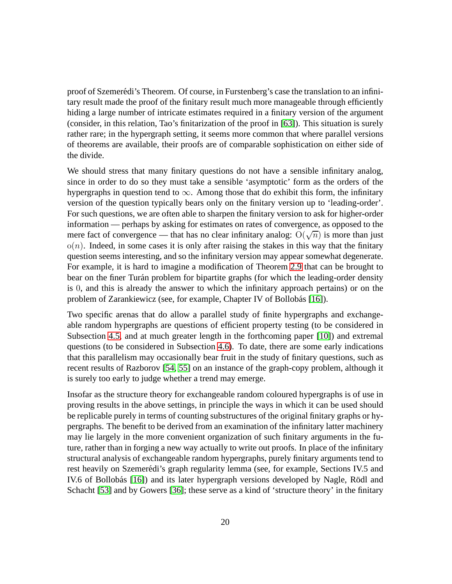proof of Szemerédi's Theorem. Of course, in Furstenberg's case the translation to an infinitary result made the proof of the finitary result much more manageable through efficiently hiding a large number of intricate estimates required in a finitary version of the argument (consider, in this relation, Tao's finitarization of the proof in [\[63\]](#page-74-4)). This situation is surely rather rare; in the hypergraph setting, it seems more common that where parallel versions of theorems are available, their proofs are of comparable sophistication on either side of the divide.

We should stress that many finitary questions do not have a sensible infinitary analog, since in order to do so they must take a sensible 'asymptotic' form as the orders of the hypergraphs in question tend to  $\infty$ . Among those that do exhibit this form, the infinitary version of the question typically bears only on the finitary version up to 'leading-order'. For such questions, we are often able to sharpen the finitary version to ask for higher-order information — perhaps by asking for estimates on rates of convergence, as opposed to the mere fact of convergence — that has no clear infinitary analog:  $O(\sqrt{n})$  is more than just  $o(n)$ . Indeed, in some cases it is only after raising the stakes in this way that the finitary question seems interesting, and so the infinitary version may appear somewhat degenerate. For example, it is hard to imagine a modification of Theorem [2.9](#page-15-0) that can be brought to bear on the finer Turán problem for bipartite graphs (for which the leading-order density is 0, and this is already the answer to which the infinitary approach pertains) or on the problem of Zarankiewicz (see, for example, Chapter IV of Bollobás [\[16\]](#page-70-2)).

Two specific arenas that do allow a parallel study of finite hypergraphs and exchangeable random hypergraphs are questions of efficient property testing (to be considered in Subsection [4.5,](#page-61-0) and at much greater length in the forthcoming paper [\[10\]](#page-70-0)) and extremal questions (to be considered in Subsection [4.6\)](#page-64-0). To date, there are some early indications that this parallelism may occasionally bear fruit in the study of finitary questions, such as recent results of Razborov [\[54,](#page-73-2) [55\]](#page-73-3) on an instance of the graph-copy problem, although it is surely too early to judge whether a trend may emerge.

Insofar as the structure theory for exchangeable random coloured hypergraphs is of use in proving results in the above settings, in principle the ways in which it can be used should be replicable purely in terms of counting substructures of the original finitary graphs or hypergraphs. The benefit to be derived from an examination of the infinitary latter machinery may lie largely in the more convenient organization of such finitary arguments in the future, rather than in forging a new way actually to write out proofs. In place of the infinitary structural analysis of exchangeable random hypergraphs, purely finitary arguments tend to rest heavily on Szemerédi's graph regularity lemma (see, for example, Sections IV.5 and IV.6 of Bollobás [\[16\]](#page-70-2)) and its later hypergraph versions developed by Nagle, Rödl and Schacht [\[53\]](#page-73-7) and by Gowers [\[36\]](#page-72-5); these serve as a kind of 'structure theory' in the finitary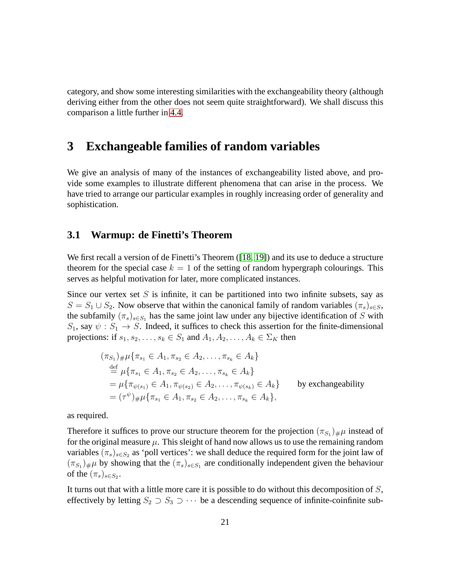category, and show some interesting similarities with the exchangeability theory (although deriving either from the other does not seem quite straightforward). We shall discuss this comparison a little further in [4.4.](#page-60-0)

### <span id="page-20-0"></span>**3 Exchangeable families of random variables**

We give an analysis of many of the instances of exchangeability listed above, and provide some examples to illustrate different phenomena that can arise in the process. We have tried to arrange our particular examples in roughly increasing order of generality and sophistication.

#### <span id="page-20-1"></span>**3.1 Warmup: de Finetti's Theorem**

We first recall a version of de Finetti's Theorem ([\[18,](#page-71-0) [19\]](#page-71-4)) and its use to deduce a structure theorem for the special case  $k = 1$  of the setting of random hypergraph colourings. This serves as helpful motivation for later, more complicated instances.

Since our vertex set  $S$  is infinite, it can be partitioned into two infinite subsets, say as  $S = S_1 \cup S_2$ . Now observe that within the canonical family of random variables  $(\pi_s)_{s \in S}$ , the subfamily  $(\pi_s)_{s \in S_1}$  has the same joint law under any bijective identification of S with  $S_1$ , say  $\psi : S_1 \to S$ . Indeed, it suffices to check this assertion for the finite-dimensional projections: if  $s_1, s_2, \ldots, s_k \in S_1$  and  $A_1, A_2, \ldots, A_k \in \Sigma_K$  then

$$
(\pi_{S_1})_{\#}\mu\{\pi_{s_1} \in A_1, \pi_{s_2} \in A_2, \dots, \pi_{s_k} \in A_k\}
$$
  
\n
$$
\stackrel{\text{def}}{=} \mu\{\pi_{s_1} \in A_1, \pi_{s_2} \in A_2, \dots, \pi_{s_k} \in A_k\}
$$
  
\n
$$
= \mu\{\pi_{\psi(s_1)} \in A_1, \pi_{\psi(s_2)} \in A_2, \dots, \pi_{\psi(s_k)} \in A_k\}
$$
 by exchangeability  
\n
$$
= (\tau^{\psi})_{\#}\mu\{\pi_{s_1} \in A_1, \pi_{s_2} \in A_2, \dots, \pi_{s_k} \in A_k\},
$$

as required.

Therefore it suffices to prove our structure theorem for the projection  $(\pi_{S_1})_{\#}\mu$  instead of for the original measure  $\mu$ . This sleight of hand now allows us to use the remaining random variables  $(\pi_s)_{s \in S_2}$  as 'poll vertices': we shall deduce the required form for the joint law of  $(\pi_{S_1})_{\#}\mu$  by showing that the  $(\pi_s)_{s \in S_1}$  are conditionally independent given the behaviour of the  $(\pi_s)_{s \in S_2}$ .

It turns out that with a little more care it is possible to do without this decomposition of S, effectively by letting  $S_2 \supset S_3 \supset \cdots$  be a descending sequence of infinite-coinfinite sub-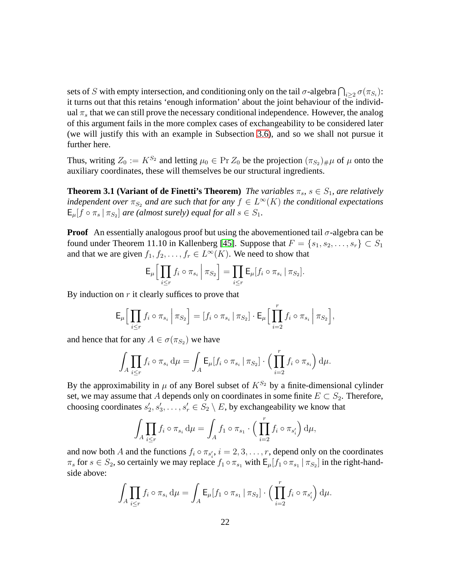sets of S with empty intersection, and conditioning only on the tail  $\sigma$ -algebra  $\bigcap_{i\geq 2}\sigma(\pi_{S_i})$ : it turns out that this retains 'enough information' about the joint behaviour of the individual  $\pi_s$  that we can still prove the necessary conditional independence. However, the analog of this argument fails in the more complex cases of exchangeability to be considered later (we will justify this with an example in Subsection [3.6\)](#page-40-0), and so we shall not pursue it further here.

<span id="page-21-0"></span>Thus, writing  $Z_0 := K^{S_2}$  and letting  $\mu_0 \in \Pr Z_0$  be the projection  $(\pi_{S_2})_{\#}\mu$  of  $\mu$  onto the auxiliary coordinates, these will themselves be our structural ingredients.

**Theorem 3.1 (Variant of de Finetti's Theorem)** *The variables*  $\pi_s$ ,  $s \in S_1$ , are relatively *independent over*  $\pi_{S_2}$  *and are such that for any*  $f \in L^{\infty}(K)$  *the conditional expectations*  $\mathsf{E}_{\mu}[\bar{f} \circ \pi_s \,|\, \pi_{S_2}]$  are (almost surely) equal for all  $s \in S_1$ .

**Proof** An essentially analogous proof but using the abovementioned tail  $\sigma$ -algebra can be found under Theorem 11.10 in Kallenberg [\[45\]](#page-73-6). Suppose that  $F = \{s_1, s_2, \ldots, s_r\} \subset S_1$ and that we are given  $f_1, f_2, \ldots, f_r \in L^{\infty}(K)$ . We need to show that

$$
\mathsf{E}_{\mu}\Big[\prod_{i\leq r}f_i\circ\pi_{s_i}\,\Big|\,\pi_{S_2}\Big]=\prod_{i\leq r}\mathsf{E}_{\mu}[f_i\circ\pi_{s_i}\,|\,\pi_{S_2}].
$$

By induction on  $r$  it clearly suffices to prove that

$$
\mathsf{E}_{\mu} \Big[ \prod_{i \leq r} f_i \circ \pi_{s_i} \, \Big| \, \pi_{S_2} \Big] = [f_i \circ \pi_{s_i} \, \vert \, \pi_{S_2}] \cdot \mathsf{E}_{\mu} \Big[ \prod_{i=2}^r f_i \circ \pi_{s_i} \, \Big| \, \pi_{S_2} \Big],
$$

and hence that for any  $A \in \sigma(\pi_{S_2})$  we have

$$
\int_A \prod_{i \leq r} f_i \circ \pi_{s_i} d\mu = \int_A \mathsf{E}_{\mu}[f_i \circ \pi_{s_i} \, | \, \pi_{S_2}] \cdot \left( \prod_{i=2}^r f_i \circ \pi_{s_i} \right) d\mu.
$$

By the approximability in  $\mu$  of any Borel subset of  $K^{S_2}$  by a finite-dimensional cylinder set, we may assume that A depends only on coordinates in some finite  $E \subset S_2$ . Therefore, choosing coordinates  $s'_2, s'_3, \ldots, s'_r \in S_2 \setminus E$ , by exchangeability we know that

$$
\int_A \prod_{i \leq r} f_i \circ \pi_{s_i} d\mu = \int_A f_1 \circ \pi_{s_1} \cdot \left( \prod_{i=2}^r f_i \circ \pi_{s'_i} \right) d\mu,
$$

and now both A and the functions  $f_i \circ \pi_{s'_i}$ ,  $i = 2, 3, \dots, r$ , depend only on the coordinates  $\pi_s$  for  $s \in S_2$ , so certainly we may replace  $f_1 \circ \pi_{s_1}$  with  $E_\mu[f_1 \circ \pi_{s_1} | \pi_{S_2}]$  in the right-handside above:

$$
\int_A \prod_{i \leq r} f_i \circ \pi_{s_i} d\mu = \int_A \mathsf{E}_{\mu}[f_1 \circ \pi_{s_1} | \pi_{S_2}] \cdot \left( \prod_{i=2}^r f_i \circ \pi_{s'_i} \right) d\mu.
$$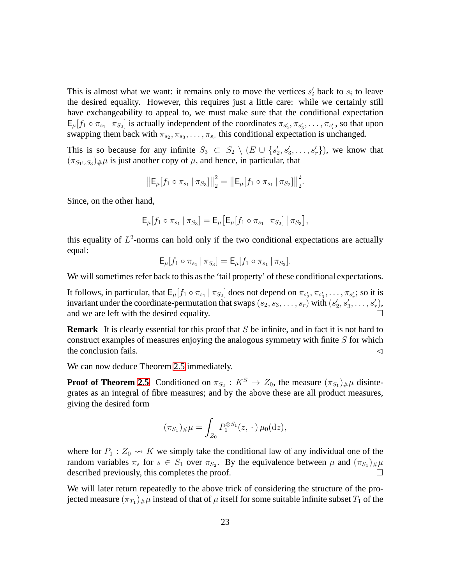This is almost what we want: it remains only to move the vertices  $s_i$  back to  $s_i$  to leave the desired equality. However, this requires just a little care: while we certainly still have exchangeability to appeal to, we must make sure that the conditional expectation  $E_{\mu}[f_1 \circ \pi_{s_1} | \pi_{S_2}]$  is actually independent of the coordinates  $\pi_{s'_2}, \pi_{s'_3}, \ldots, \pi_{s'_r}$ , so that upon swapping them back with  $\pi_{s_2}, \pi_{s_3}, \ldots, \pi_{s_r}$  this conditional expectation is unchanged.

This is so because for any infinite  $S_3 \subset S_2 \setminus (E \cup \{s'_2, s'_3, \ldots, s'_r\})$ , we know that  $(\pi_{S_1 \cup S_3})_{\#} \mu$  is just another copy of  $\mu$ , and hence, in particular, that

$$
\left\|\mathsf{E}_{\mu}[f_1 \circ \pi_{s_1} | \pi_{S_3}]\right\|_2^2 = \left\|\mathsf{E}_{\mu}[f_1 \circ \pi_{s_1} | \pi_{S_2}]\right\|_2^2.
$$

Since, on the other hand,

$$
\mathsf{E}_{\mu}[f_1 \circ \pi_{s_1} | \pi_{S_3}] = \mathsf{E}_{\mu}[\mathsf{E}_{\mu}[f_1 \circ \pi_{s_1} | \pi_{S_2}] | \pi_{S_3}],
$$

this equality of  $L^2$ -norms can hold only if the two conditional expectations are actually equal:

$$
\mathsf{E}_{\mu}[f_1 \circ \pi_{s_1} \, | \, \pi_{S_3}] = \mathsf{E}_{\mu}[f_1 \circ \pi_{s_1} \, | \, \pi_{S_2}].
$$

We will sometimes refer back to this as the 'tail property' of these conditional expectations.

It follows, in particular, that  $E_{\mu}[f_1 \circ \pi_{s_1} | \pi_{S_2}]$  does not depend on  $\pi_{s'_2}, \pi_{s'_3}, \ldots, \pi_{s'_r}$ ; so it is invariant under the coordinate-permutation that swaps  $(s_2, s_3, \ldots, s_r)$  with  $(s'_2, s'_3, \ldots, s'_r)$ , and we are left with the desired equality.

**Remark** It is clearly essential for this proof that S be infinite, and in fact it is not hard to construct examples of measures enjoying the analogous symmetry with finite  $S$  for which the conclusion fails.  $\triangleleft$ 

We can now deduce Theorem [2.5](#page-12-0) immediately.

**Proof of Theorem [2.5](#page-12-0)** Conditioned on  $\pi_{S_2}: K^S \to Z_0$ , the measure  $(\pi_{S_1})_{\#}\mu$  disintegrates as an integral of fibre measures; and by the above these are all product measures, giving the desired form

$$
(\pi_{S_1})_{\#}\mu = \int_{Z_0} P_1^{\otimes S_1}(z, \cdot) \,\mu_0(\mathrm{d}z),
$$

where for  $P_1 : Z_0 \rightarrow K$  we simply take the conditional law of any individual one of the random variables  $\pi_s$  for  $s \in S_1$  over  $\pi_{S_2}$ . By the equivalence between  $\mu$  and  $(\pi_{S_1})_{\#}\mu$ described previously, this completes the proof.

We will later return repeatedly to the above trick of considering the structure of the projected measure  $(\pi_{T_1})_\#\mu$  instead of that of  $\mu$  itself for some suitable infinite subset  $T_1$  of the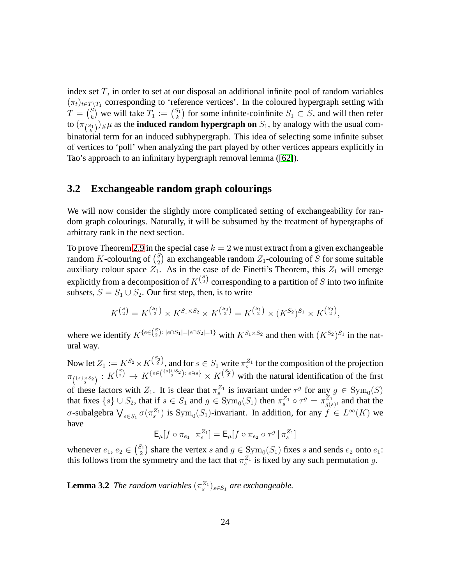index set  $T$ , in order to set at our disposal an additional infinite pool of random variables  $(\pi_t)_{t \in T \setminus T_1}$  corresponding to 'reference vertices'. In the coloured hypergraph setting with  $T = \begin{pmatrix} S \\ k \end{pmatrix}$  $\binom{S}{k}$  we will take  $T_1 := \binom{S_1}{k}$  $S_1^{S_1}$ ) for some infinite-coinfinite  $S_1 \subset S$ , and will then refer to  $(\pi_{\binom{S_1}{k}})_{\#}\mu$  as the **induced random hypergraph on**  $S_1$ , by analogy with the usual combinatorial term for an induced subhypergraph. This idea of selecting some infinite subset of vertices to 'poll' when analyzing the part played by other vertices appears explicitly in Tao's approach to an infinitary hypergraph removal lemma ([\[62\]](#page-74-0)).

#### <span id="page-23-0"></span>**3.2 Exchangeable random graph colourings**

We will now consider the slightly more complicated setting of exchangeability for random graph colourings. Naturally, it will be subsumed by the treatment of hypergraphs of arbitrary rank in the next section.

To prove Theorem [2.9](#page-15-0) in the special case  $k = 2$  we must extract from a given exchangeable random K-colouring of  $\binom{S}{2}$  $2_{2}^{S}$ ) an exchangeable random  $Z_{1}$ -colouring of S for some suitable auxiliary colour space  $Z_1$ . As in the case of de Finetti's Theorem, this  $Z_1$  will emerge explicitly from a decomposition of  $K^{S\choose 2}$  corresponding to a partition of  $S$  into two infinite subsets,  $S = S_1 \cup S_2$ . Our first step, then, is to write

$$
K^{S_2}_{(2)} = K^{S_1}_{(2)} \times K^{S_1 \times S_2} \times K^{S_2}_{(2)} = K^{S_1}_{(2)} \times (K^{S_2})^{S_1} \times K^{S_2}_{(2)},
$$

where we identify  $K^{\{e \in {S \choose 2}: |e \cap S_1| = |e \cap S_2| = 1\}}$  with  $K^{S_1 \times S_2}$  and then with  $(K^{S_2})^{S_1}$  in the natural way.

Now let  $Z_1 := K^{S_2} \times K^{S_2}$ , and for  $s \in S_1$  write  $\pi_s^{Z_1}$  for the composition of the projection  $\pi_{\binom{\{s\}\times S_2}{2}}: K^{\binom{S}{2}} \to K^{\{e\in \binom{\{s\}\cup S_2}{2}\colon e\ni s\}} \times K^{\binom{S_2}{2}}$  with the natural identification of the first of these factors with  $Z_1$ . It is clear that  $\pi_s^{Z_1}$  is invariant under  $\tau^g$  for any  $g \in \text{Sym}_0(S)$ that fixes  $\{s\} \cup S_2$ , that if  $s \in S_1$  and  $g \in \text{Sym}_0(S_1)$  then  $\pi_s^{Z_1} \circ \tau^g = \pi_{g(s)}^{Z_1}$  $g(s)$ , and that the σ-subalgebra  $\bigvee_{s \in S_1} \sigma(\pi_s^{Z_1})$  is  $Sym_0(S_1)$ -invariant. In addition, for any  $f \in L^{\infty}(K)$  we have

$$
\mathsf{E}_\mu[f\circ\pi_{e_1}\,|\,\pi_s^{Z_1}]=\mathsf{E}_\mu[f\circ\pi_{e_2}\circ\tau^g\,|\,\pi_s^{Z_1}]
$$

<span id="page-23-1"></span>whenever  $e_1, e_2 \in \binom{S_1}{2}$  $\binom{2}{2}$  share the vertex s and  $g \in \text{Sym}_0(S_1)$  fixes s and sends  $e_2$  onto  $e_1$ : this follows from the symmetry and the fact that  $\pi_s^{Z_1}$  is fixed by any such permutation g.

**Lemma 3.2** *The random variables*  $(\pi_s^{Z_1})_{s \in S_1}$  *are exchangeable.*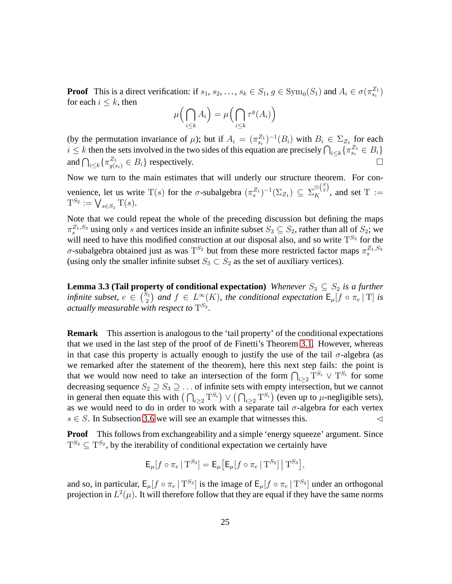**Proof** This is a direct verification: if  $s_1, s_2, ..., s_k \in S_1$ ,  $g \in \text{Sym}_0(S_1)$  and  $A_i \in \sigma(\pi_{s_i}^{Z_1})$ for each  $i \leq k$ , then

$$
\mu\left(\bigcap_{i\leq k} A_i\right) = \mu\left(\bigcap_{i\leq k} \tau^g(A_i)\right)
$$

(by the permutation invariance of  $\mu$ ); but if  $A_i = (\pi_{s_i}^{Z_1})^{-1}(B_i)$  with  $B_i \in \Sigma_{Z_1}$  for each  $i \leq k$  then the sets involved in the two sides of this equation are precisely  $\bigcap_{i \leq k} \{\pi_{s_i}^{Z_1} \in B_i\}$ and  $\bigcap_{i\leq k} {\{\pi_{g(s_i)}^{Z_1} \in B_i\}}$  respectively.

Now we turn to the main estimates that will underly our structure theorem. For convenience, let us write  $T(s)$  for the  $\sigma$ -subalgebra  $(\pi_s^{Z_1})^{-1}(\Sigma_{Z_1}) \subseteq \Sigma_K^{\otimes {S \choose 2}}$ , and set  $T :=$  $T^{S_2} := \bigvee_{s \in S_1} T(s).$ 

Note that we could repeat the whole of the preceding discussion but defining the maps  $\pi_s^{Z_1,S_3}$  using only s and vertices inside an infinite subset  $S_3 \subseteq S_2$ , rather than all of  $S_2$ ; we will need to have this modified construction at our disposal also, and so write  $T^{S_3}$  for the  $\sigma$ -subalgebra obtained just as was  $T^{S_2}$  but from these more restricted factor maps  $\pi_s^{Z_1,S_3}$ (using only the smaller infinite subset  $S_3 \subset S_2$  as the set of auxiliary vertices).

<span id="page-24-0"></span>**Lemma 3.3 (Tail property of conditional expectation)** *Whenever*  $S_3 \subseteq S_2$  *is a further infinite subset,*  $e \in {S_1 \choose 2}$  $\left(\frac{S_1}{2}\right)$  and  $f \in L^{\infty}(K)$ , the conditional expectation  $\mathsf{E}_{\mu}[f \circ \pi_e | T]$  is actually measurable with respect to  $\mathrm{T}^{S_3}.$ 

**Remark** This assertion is analogous to the 'tail property' of the conditional expectations that we used in the last step of the proof of de Finetti's Theorem [3.1.](#page-21-0) However, whereas in that case this property is actually enough to justify the use of the tail  $\sigma$ -algebra (as we remarked after the statement of the theorem), here this next step fails: the point is that we would now need to take an intersection of the form  $\bigcap_{i\geq 2} T^{S_i} \vee T^{S_i}$  for some decreasing sequence  $S_2 \supseteq S_3 \supseteq \ldots$  of infinite sets with empty intersection, but we cannot in general then equate this with  $(\bigcap_{i\geq 2} T^{S_i}) \vee (\bigcap_{i\geq 2} T^{S_i})$  (even up to  $\mu$ -negligible sets), as we would need to do in order to work with a separate tail  $\sigma$ -algebra for each vertex  $s \in S$ . In Subsection [3.6](#page-40-0) we will see an example that witnesses this.  $\triangleleft$ 

**Proof** This follows from exchangeability and a simple 'energy squeeze' argument. Since  $T^{S_3} \subseteq T^{S_2}$ , by the iterability of conditional expectation we certainly have

$$
\mathsf{E}_{\mu}[f \circ \pi_e \,|\, \mathrm{T}^{S_3}] = \mathsf{E}_{\mu}[\mathsf{E}_{\mu}[f \circ \pi_e \,|\, \mathrm{T}^{S_2}]\,|\, \mathrm{T}^{S_3}],
$$

and so, in particular,  $E_{\mu}[f \circ \pi_e | T^{S_3}]$  is the image of  $E_{\mu}[f \circ \pi_e | T^{S_2}]$  under an orthogonal projection in  $L^2(\mu)$ . It will therefore follow that they are equal if they have the same norms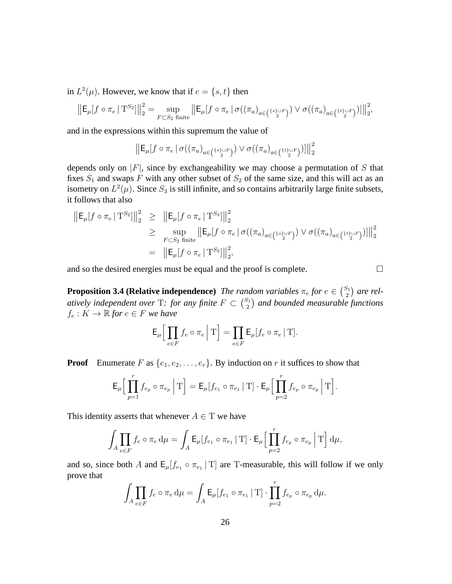in  $L^2(\mu)$ . However, we know that if  $e = \{s, t\}$  then

$$
\left\|\mathsf{E}_\mu[f\circ\pi_e\,|\:\mathrm{T}^{S_2}]\right\|_2^2 = \sup_{F\subset S_2\text{ finite}}\left\|\mathsf{E}_\mu[f\circ\pi_e\,|\,\sigma((\pi_a)_{a\in \binom{\{s\}\cup F}{2}})\vee\sigma((\pi_a)_{a\in \binom{\{t\}\cup F}{2}})]\right\|_2^2,
$$

and in the expressions within this supremum the value of

 $\big\| \mathsf{E}_\mu[f\circ \pi_e\,|\, \sigma((\pi_a)_{a\in \binom{\{s\}\cup F}{2}})\vee \sigma((\pi_a)_{a\in \binom{\{t\}\cup F}{2}})] \big\|$ 2 2

depends only on  $|F|$ , since by exchangeability we may choose a permutation of S that fixes  $S_1$  and swaps F with any other subset of  $S_2$  of the same size, and this will act as an isometry on  $L^2(\mu)$ . Since  $S_3$  is still infinite, and so contains arbitrarily large finite subsets, it follows that also

$$
\|E_{\mu}[f \circ \pi_{e} | T^{S_2}] \|_{2}^{2} \geq \|E_{\mu}[f \circ \pi_{e} | T^{S_3}] \|_{2}^{2}
$$
  
\n
$$
\geq \sup_{F \subset S_2 \text{ finite}} \|E_{\mu}[f \circ \pi_{e} | \sigma((\pi_{a})_{a \in (\{s\} \cup F)}) \vee \sigma((\pi_{a})_{a \in (\{t\} \cup F)})] \|_{2}^{2}
$$
  
\n
$$
= \|E_{\mu}[f \circ \pi_{e} | T^{S_2}] \|_{2}^{2},
$$

<span id="page-25-0"></span>and so the desired energies must be equal and the proof is complete.  $\Box$ 

**Proposition 3.4 (Relative independence)** *The random variables*  $\pi_e$  *for*  $e \in \binom{S_1}{2}$  $\binom{5}{2}$  are rel*atively independent over* T: for any finite  $F \subset \binom{S_1}{2}$  $\binom{S_1}{2}$  and bounded measurable functions  $f_e: K \to \mathbb{R}$  *for*  $e \in F$  *we have* 

$$
\mathsf{E}_{\mu} \Big[ \prod_{e \in F} f_e \circ \pi_e \, \Big| \, \mathrm{T} \Big] = \prod_{e \in F} \mathsf{E}_{\mu} [f_e \circ \pi_e \, \vert \, \mathrm{T}].
$$

**Proof** Enumerate F as  $\{e_1, e_2, \ldots, e_r\}$ . By induction on r it suffices to show that

$$
\mathsf{E}_{\mu}\Big[\prod_{p=1}^r f_{e_p} \circ \pi_{e_p} \Big| \mathrm{T}\Big] = \mathsf{E}_{\mu}[f_{e_1} \circ \pi_{e_1} \,|\, \mathrm{T}] \cdot \mathsf{E}_{\mu}\Big[\prod_{p=2}^r f_{e_p} \circ \pi_{e_p} \,\Big|\, \mathrm{T}\Big].
$$

This identity asserts that whenever  $A \in T$  we have

$$
\int_{A} \prod_{e \in F} f_e \circ \pi_e \, d\mu = \int_{A} \mathsf{E}_{\mu} [f_{e_1} \circ \pi_{e_1} | \mathbf{T}] \cdot \mathsf{E}_{\mu} \Big[ \prod_{p=2}^r f_{e_p} \circ \pi_{e_p} \Big| \mathbf{T} \Big] \, d\mu,
$$

and so, since both A and  $E_{\mu}[f_{e_1} \circ \pi_{e_1} | T]$  are T-measurable, this will follow if we only prove that

$$
\int_{A} \prod_{e \in F} f_e \circ \pi_e \, d\mu = \int_{A} \mathsf{E}_{\mu}[f_{e_1} \circ \pi_{e_1} | \mathbf{T}] \cdot \prod_{p=2}^r f_{e_p} \circ \pi_{e_p} \, d\mu.
$$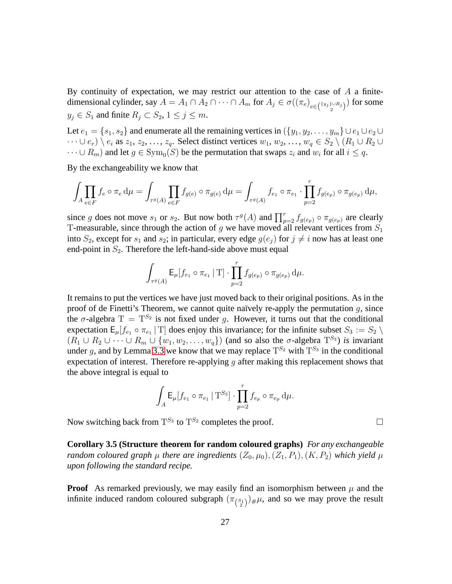By continuity of expectation, we may restrict our attention to the case of  $A$  a finitedimensional cylinder, say  $A = A_1 \cap A_2 \cap \cdots \cap A_m$  for  $A_j \in \sigma((\pi_e)_{e \in \binom{\{y_j\} \cup R_j}{2}})$  for some  $y_j \in S_1$  and finite  $R_j \subset S_2$ ,  $1 \le j \le m$ .

Let  $e_1 = \{s_1, s_2\}$  and enumerate all the remaining vertices in  $(\{y_1, y_2, \ldots, y_m\} \cup e_1 \cup e_2 \cup$  $\cdots \cup e_r) \setminus e_i$  as  $z_1, z_2, \ldots, z_q$ . Select distinct vertices  $w_1, w_2, \ldots, w_q \in S_2 \setminus (R_1 \cup R_2 \cup$  $\dots \cup R_m$ ) and let  $g \in \text{Sym}_0(S)$  be the permutation that swaps  $z_i$  and  $w_i$  for all  $i \leq q$ .

By the exchangeability we know that

$$
\int_A \prod_{e\in F} f_e\circ \pi_e\mathop{}\!\mathrm{d}\mu=\int_{\tau^g(A)} \prod_{e\in F} f_{g(e)}\circ \pi_{g(e)}\mathop{}\!\mathrm{d}\mu=\int_{\tau^g(A)} f_{e_1}\circ \pi_{e_1}\cdot \prod_{p=2}^r f_{g(e_p)}\circ \pi_{g(e_p)}\mathop{}\!\mathrm{d}\mu,
$$

since g does not move  $s_1$  or  $s_2$ . But now both  $\tau^g(A)$  and  $\prod_{p=2}^r f_{g(e_p)} \circ \pi_{g(e_p)}$  are clearly T-measurable, since through the action of g we have moved all relevant vertices from  $S_1$ into  $S_2$ , except for  $s_1$  and  $s_2$ ; in particular, every edge  $g(e_i)$  for  $j \neq i$  now has at least one end-point in  $S_2$ . Therefore the left-hand-side above must equal

$$
\int_{\tau^g(A)} {\sf E}_{\mu} [f_{e_1}\circ \pi_{e_1}\,|\: {\rm T}]\cdot \prod_{p=2}^r f_{g(e_p)}\circ \pi_{g(e_p)}\mathop{}\!\mathrm{d} \mu.
$$

It remains to put the vertices we have just moved back to their original positions. As in the proof of de Finetti's Theorem, we cannot quite naïvely re-apply the permutation  $q$ , since the  $\sigma$ -algebra  $T = T^{S_2}$  is not fixed under g. However, it turns out that the conditional expectation  $\mathsf{E}_{\mu}[f_{e_1} \circ \pi_{e_1} | \mathsf{T}]$  does enjoy this invariance; for the infinite subset  $S_3 := S_2 \setminus$  $(R_1 \cup R_2 \cup \cdots \cup R_m \cup \{w_1, w_2, \ldots, w_q\})$  (and so also the  $\sigma$ -algebra  $T^{S_3}$ ) *is* invariant under g, and by Lemma [3.3](#page-24-0) we know that we may replace  $T^{S_2}$  with  $T^{S_3}$  in the conditional expectation of interest. Therefore re-applying  $g$  after making this replacement shows that the above integral is equal to

$$
\int_{A} \mathsf{E}_{\mu}[f_{e_1} \circ \pi_{e_1} \mid \mathsf{T}^{S_3}] \cdot \prod_{p=2}^{r} f_{e_p} \circ \pi_{e_p} d\mu.
$$

<span id="page-26-0"></span>Now switching back from  $T^{S_3}$  to  $T^{S_2}$  completes the proof.

**Corollary 3.5 (Structure theorem for random coloured graphs)** *For any exchangeable random coloured graph*  $\mu$  *there are ingredients*  $(Z_0, \mu_0), (Z_1, P_1), (K, P_2)$  *which yield*  $\mu$ *upon following the standard recipe.*

**Proof** As remarked previously, we may easily find an isomorphism between  $\mu$  and the infinite induced random coloured subgraph  $(\pi_{\binom{S_1}{2}})_\#\mu$ , and so we may prove the result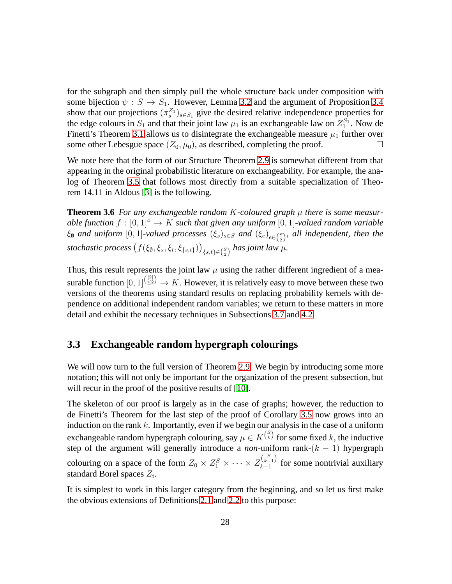for the subgraph and then simply pull the whole structure back under composition with some bijection  $\psi : S \to S_1$ . However, Lemma [3.2](#page-23-1) and the argument of Proposition [3.4](#page-25-0) show that our projections  $(\pi_s^{\mathbb{Z}_1})_{s \in S_1}$  give the desired relative independence properties for the edge colours in  $S_1$  and that their joint law  $\mu_1$  is an exchangeable law on  $Z_1^{S_1}$ . Now de Finetti's Theorem [3.1](#page-21-0) allows us to disintegrate the exchangeable measure  $\mu_1$  further over some other Lebesgue space  $(Z_0, \mu_0)$ , as described, completing the proof.

We note here that the form of our Structure Theorem [2.9](#page-15-0) is somewhat different from that appearing in the original probabilistic literature on exchangeability. For example, the analog of Theorem [3.5](#page-26-0) that follows most directly from a suitable specialization of Theorem 14.11 in Aldous [\[3\]](#page-69-2) is the following.

**Theorem 3.6** For any exchangeable random  $K$ -coloured graph  $\mu$  there is some measur*able function*  $f : [0, 1]^4 \rightarrow K$  *such that given any uniform*  $[0, 1]$ *-valued random variable*  $\xi_{\emptyset}$  and uniform  $[0,1]$ -valued processes  $(\xi_s)_{s\in S}$  and  $(\xi_e)_{e\in {S\choose 2}}$ , all independent, then the  $stochastic$   $\displaystyle \big(f(\xi_{\emptyset},\xi_{s},\xi_{t},\xi_{\{s,t\}})\big)_{\{s,t\}\in \binom{S}{2}}$  has joint law  $\mu$ .

Thus, this result represents the joint law  $\mu$  using the rather different ingredient of a measurable function  $[0,1]^{(\frac{[2]}{\leq 2})} \to K$ . However, it is relatively easy to move between these two versions of the theorems using standard results on replacing probability kernels with dependence on additional independent random variables; we return to these matters in more detail and exhibit the necessary techniques in Subsections [3.7](#page-43-0) and [4.2.](#page-52-0)

#### <span id="page-27-0"></span>**3.3 Exchangeable random hypergraph colourings**

We will now turn to the full version of Theorem [2.9.](#page-15-0) We begin by introducing some more notation; this will not only be important for the organization of the present subsection, but will recur in the proof of the positive results of [\[10\]](#page-70-0).

The skeleton of our proof is largely as in the case of graphs; however, the reduction to de Finetti's Theorem for the last step of the proof of Corollary [3.5](#page-26-0) now grows into an induction on the rank  $k$ . Importantly, even if we begin our analysis in the case of a uniform exchangeable random hypergraph colouring, say  $\mu \in K^{S \choose k}$  for some fixed  $k$ , the inductive step of the argument will generally introduce a *non*-uniform rank- $(k - 1)$  hypergraph colouring on a space of the form  $Z_0 \times Z_1^S \times \cdots \times Z_{k-1}^{S_{k-1}}$  $\lambda_{k-1}^{(k-1)}$  for some nontrivial auxiliary standard Borel spaces  $Z_i$ .

It is simplest to work in this larger category from the beginning, and so let us first make the obvious extensions of Definitions [2.1](#page-4-2) and [2.2](#page-4-3) to this purpose: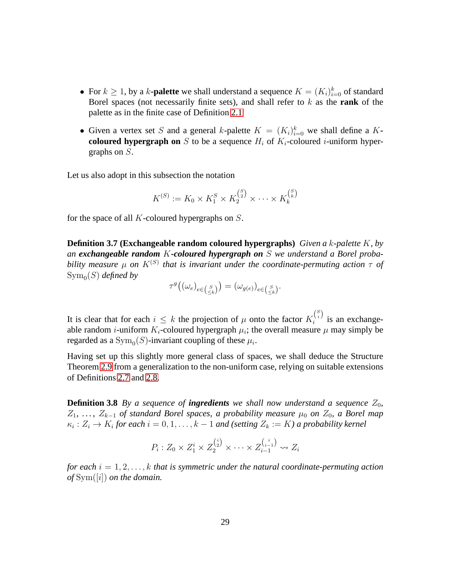- For  $k \geq 1$ , by a k-**palette** we shall understand a sequence  $K = (K_i)_{i=0}^k$  of standard Borel spaces (not necessarily finite sets), and shall refer to k as the **rank** of the palette as in the finite case of Definition [2.1](#page-4-2)
- Given a vertex set S and a general k-palette  $K = (K_i)_{i=0}^k$  we shall define a K**coloured hypergraph on** S to be a sequence  $H_i$  of  $K_i$ -coloured *i*-uniform hypergraphs on S.

Let us also adopt in this subsection the notation

$$
K^{(S)} := K_0 \times K_1^{S} \times K_2^{S_2} \times \cdots \times K_k^{S_k}
$$

for the space of all  $K$ -coloured hypergraphs on  $S$ .

**Definition 3.7 (Exchangeable random coloured hypergraphs)** *Given a* k*-palette* K*, by an exchangeable random* K*-coloured hypergraph on* S *we understand a Borel proba* $b$ ility measure  $\mu$  on  $K^{(S)}$  that is invariant under the coordinate-permuting action  $\tau$  of  $\operatorname{Sym}_0(S)$  *defined by* 

$$
\tau^g\big((\omega_e)_{e \in {S \choose \leq k}}\big) = (\omega_{g(e)})_{e \in {S \choose \leq k}}.
$$

It is clear that for each  $i \leq k$  the projection of  $\mu$  onto the factor  $K_i^{S_i}$  $i^{(i)}$  is an exchangeable random *i*-uniform  $K_i$ -coloured hypergraph  $\mu_i$ ; the overall measure  $\mu$  may simply be regarded as a  $\text{Sym}_0(S)$ -invariant coupling of these  $\mu_i$ .

Having set up this slightly more general class of spaces, we shall deduce the Structure Theorem [2.9](#page-15-0) from a generalization to the non-uniform case, relying on suitable extensions of Definitions [2.7](#page-14-0) and [2.8.](#page-14-1)

**Definition 3.8** *By a sequence of ingredients we shall now understand a sequence*  $Z_0$ *,*  $Z_1, \ldots, Z_{k-1}$  *of standard Borel spaces, a probability measure*  $\mu_0$  *on*  $Z_0$ *, a Borel map*  $\kappa_i: Z_i \to K_i$  for each  $i = 0, 1, \ldots, k - 1$  and (setting  $Z_k := K$ ) a probability kernel

$$
P_i: Z_0 \times Z_1^i \times Z_2^{i\choose 2} \times \cdots \times Z_{i-1}^{i-1} \rightsquigarrow Z_i
$$

*for each* i = 1, 2, . . . , k *that is symmetric under the natural coordinate-permuting action of* Sym([i]) *on the domain.*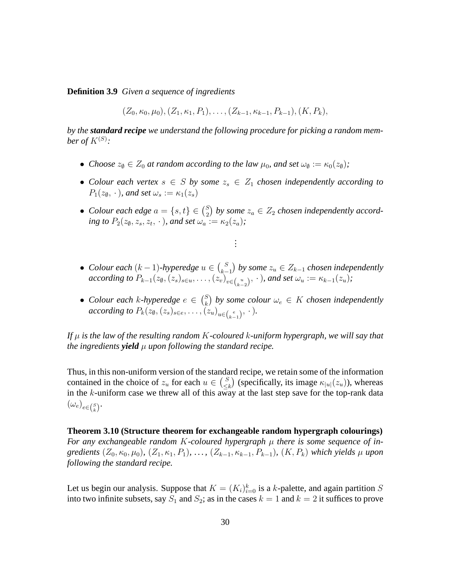**Definition 3.9** *Given a sequence of ingredients*

 $(Z_0, \kappa_0, \mu_0), (Z_1, \kappa_1, P_1), \ldots, (Z_{k-1}, \kappa_{k-1}, P_{k-1}), (K, P_k),$ 

*by the standard recipe we understand the following procedure for picking a random mem*ber of  $K^{(S)}$ :

- *Choose*  $z_{\emptyset} \in Z_0$  *at random according to the law*  $\mu_0$ *, and set*  $\omega_{\emptyset} := \kappa_0(z_{\emptyset})$ *;*
- *Colour each vertex*  $s \in S$  *by some*  $z_s \in Z_1$  *chosen independently according to*  $P_1(z_0, \cdot)$ *, and set*  $\omega_s := \kappa_1(z_s)$
- *Colour each edge*  $a = \{s, t\} \in {S \choose 2}$  $\binom{S}{2}$  by some  $z_a \in Z_2$  chosen independently accord*ing to*  $P_2(z_0, z_s, z_t, \cdot)$ *, and set*  $\omega_a := \kappa_2(z_a)$ *;*

*. . .*

- *Colour each*  $(k-1)$ -hyperedge  $u \in {S \choose k-1}$ k−1 *by some* z<sup>u</sup> ∈ Z<sup>k</sup>−<sup>1</sup> *chosen independently according to*  $P_{k-1}(z_0, (z_s)_{s \in u}, \ldots, (z_v)_{v \in {u \choose k-2}}, \cdot)$ *, and set*  $\omega_u := \kappa_{k-1}(z_u)$ *;*
- *Colour each k-hyperedge*  $e \in {S \choose k}$  $\binom{S}{k}$  by some colour  $\omega_e \in K$  chosen independently *according to*  $P_k(z_0, (z_s)_{s \in e}, \ldots, (z_u)_{u \in {e \choose k-1}}, \cdot).$

*If* µ *is the law of the resulting random* K*-coloured* k*-uniform hypergraph, we will say that the ingredients yield μ <i>upon following the standard recipe.* 

Thus, in this non-uniform version of the standard recipe, we retain some of the information contained in the choice of  $z_u$  for each  $u \in {S \choose \leq u}$  $\binom{S}{\leq k}$  (specifically, its image  $\kappa_{|u|}(z_u)$ ), whereas in the k-uniform case we threw all of this away at the last step save for the top-rank data  $(\omega_e)_{e \in {S \choose k}}$ .

**Theorem 3.10 (Structure theorem for exchangeable random hypergraph colourings)** *For any exchangeable random K-coloured hypergraph*  $\mu$  *there is some sequence of ingredients*  $(Z_0, \kappa_0, \mu_0)$ *,*  $(Z_1, \kappa_1, P_1)$ *, ...,*  $(Z_{k-1}, \kappa_{k-1}, P_{k-1})$ *,*  $(K, P_k)$  *which yields*  $\mu$  *upon following the standard recipe.*

Let us begin our analysis. Suppose that  $K = (K_i)_{i=0}^k$  is a k-palette, and again partition S into two infinite subsets, say  $S_1$  and  $S_2$ ; as in the cases  $k = 1$  and  $k = 2$  it suffices to prove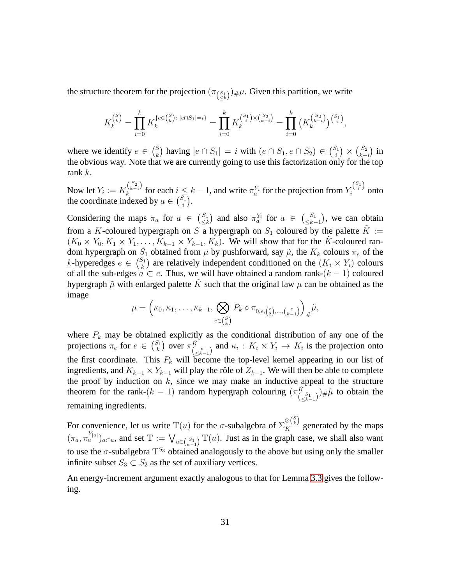the structure theorem for the projection  $(\pi_{(\le k)}^{-1})_{\#}\mu$ . Given this partition, we write

$$
K_k^{s \choose k} = \prod_{i=0}^k K_k^{\{e \in \binom{S}{k} : |e \cap S_1| = i\}} = \prod_{i=0}^k K_k^{s \choose i} \times \binom{s_2}{k-i} = \prod_{i=0}^k \left( K_k^{s \choose k-i} \right)^{s \choose i},
$$

where we identify  $e \in {S \choose k}$  $\binom{S}{k}$  having  $|e \cap S_1| = i$  with  $(e \cap S_1, e \cap S_2) \in \binom{S_1}{i}$  $\binom{S_1}{i} \times \binom{S_2}{k}$  $_{k-i}^{S_2}$ ) in the obvious way. Note that we are currently going to use this factorization only for the top rank k.

Now let  $Y_i := K_k^{S_2 \choose k-i}$  $\binom{S_2}{k-i}$  for each  $i \leq k-1$ , and write  $\pi_a^{Y_i}$  for the projection from  $Y_i^{S_1}$  $\sum_{i}^{i}$  onto the coordinate indexed by  $a \in \binom{S_1}{i}$  $i^{j_1}).$ 

Considering the maps  $\pi_a$  for  $a \in \binom{S_1}{\leq k}$  $\begin{array}{rcl} S_1 \\ \leq k \end{array}$  and also  $\pi_a^{Y_i}$  for  $a \in {\binom{S_1}{\leq k}}$  $\binom{S_1}{\leq k-1}$ , we can obtain from a K-coloured hypergraph on S a hypergraph on  $S_1$  coloured by the palette  $\tilde{K} :=$  $(K_0 \times Y_0, K_1 \times Y_1, \ldots, K_{k-1} \times Y_{k-1}, K_k)$ . We will show that for the K-coloured random hypergraph on  $S_1$  obtained from  $\mu$  by pushforward, say  $\tilde{\mu}$ , the  $K_k$  colours  $\pi_e$  of the *k*-hyperedges  $e \in {S_1 \choose k}$  $\binom{S_1}{k}$  are relatively independent conditioned on the  $(K_i \times Y_i)$  colours of all the sub-edges  $a \subset e$ . Thus, we will have obtained a random rank- $(k-1)$  coloured hypergraph  $\tilde{\mu}$  with enlarged palette K such that the original law  $\mu$  can be obtained as the image

$$
\mu = \left(\kappa_0, \kappa_1, \ldots, \kappa_{k-1}, \bigotimes_{e \in {S \choose k}} P_k \circ \pi_{0, e, {e \choose 2}, \ldots, {e \choose k-1}}\right)_{\#} \tilde{\mu},
$$

where  $P_k$  may be obtained explicitly as the conditional distribution of any one of the projections  $\pi_e$  for  $e \in {S_1 \choose k}$  $\begin{pmatrix} S_1 \\ k \end{pmatrix}$  over  $\pi \tilde{K}$  $\frac{K}{\binom{e}{\leq k-1}}$  and  $\kappa_i: K_i \times Y_i \to K_i$  is the projection onto the first coordinate. This  $P_k$  will become the top-level kernel appearing in our list of ingredients, and  $K_{k-1} \times Y_{k-1}$  will play the rôle of  $Z_{k-1}$ . We will then be able to complete the proof by induction on  $k$ , since we may make an inductive appeal to the structure theorem for the rank- $(k-1)$  random hypergraph colouring  $(\pi \tilde{k})$  $\binom{K}{\leq k-1}$   $\neq \tilde{\mu}$  to obtain the remaining ingredients.

For convenience, let us write  $T(u)$  for the  $\sigma$ -subalgebra of  $\Sigma_K^{ \otimes {S \choose k}}$  generated by the maps  $(\pi_a, \pi_a^{Y_{[a]}})_{a \subset u}$ , and set  $T := \bigvee_{u \in {S_1 \choose k-1}} T(u)$ . Just as in the graph case, we shall also want to use the  $\sigma$ -subalgebra  $T^{S_3}$  obtained analogously to the above but using only the smaller infinite subset  $S_3 \subset S_2$  as the set of auxiliary vertices.

<span id="page-30-0"></span>An energy-increment argument exactly analogous to that for Lemma [3.3](#page-24-0) gives the following.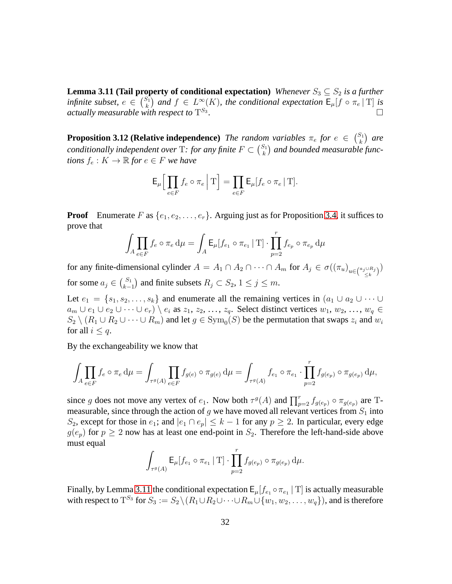**Lemma 3.11 (Tail property of conditional expectation)** *Whenever*  $S_3 \subseteq S_2$  *is a further infinite subset,*  $e \in {S_1 \choose k}$  $\binom{S_1}{k}$  and  $f \in L^\infty(K)$ , the conditional expectation  $\mathsf{E}_{\mu}[f \circ \pi_e | T]$  is actually measurable with respect to  $\mathrm{T}^{S_3}$ *.*

<span id="page-31-0"></span>**Proposition 3.12 (Relative independence)** *The random variables*  $\pi_e$  *for*  $e \in \binom{S_1}{k}$  $\binom{S_1}{k}$  are *conditionally independent over* T: for any finite  $F \subset {S_1 \choose k}$  $\binom{S_1}{k}$  and bounded measurable func*tions*  $f_e: K \to \mathbb{R}$  *for*  $e \in F$  *we have* 

$$
\mathsf{E}_{\mu} \Big[ \prod_{e \in F} f_e \circ \pi_e \, \Big| \, \mathrm{T} \Big] = \prod_{e \in F} \mathsf{E}_{\mu} [f_e \circ \pi_e \, \vert \, \mathrm{T}].
$$

**Proof** Enumerate F as  $\{e_1, e_2, \ldots, e_r\}$ . Arguing just as for Proposition [3.4,](#page-25-0) it suffices to prove that

$$
\int_{A} \prod_{e \in F} f_e \circ \pi_e d\mu = \int_{A} \mathsf{E}_{\mu}[f_{e_1} \circ \pi_{e_1} | \mathbf{T}] \cdot \prod_{p=2}^{r} f_{e_p} \circ \pi_{e_p} d\mu
$$

for any finite-dimensional cylinder  $A = A_1 \cap A_2 \cap \cdots \cap A_m$  for  $A_j \in \sigma((\pi_u)_{u \in {a_j \cup R_j \choose \leq k}})$ for some  $a_j \in {S_1 \choose k-1}$  $s_{1}^{S_{1}}$  and finite subsets  $R_{j} \subset S_{2}$ ,  $1 \leq j \leq m$ .

Let  $e_1 = \{s_1, s_2, \ldots, s_k\}$  and enumerate all the remaining vertices in  $(a_1 \cup a_2 \cup \cdots \cup a_k)$  $a_m \cup e_1 \cup e_2 \cup \cdots \cup e_r) \setminus e_i$  as  $z_1, z_2, \ldots, z_q$ . Select distinct vertices  $w_1, w_2, \ldots, w_q \in$  $S_2 \setminus (R_1 \cup R_2 \cup \cdots \cup R_m)$  and let  $g \in \text{Sym}_0(S)$  be the permutation that swaps  $z_i$  and  $w_i$ for all  $i \leq q$ .

By the exchangeability we know that

$$
\int_{A} \prod_{e \in F} f_e \circ \pi_e d\mu = \int_{\tau^g(A)} \prod_{e \in F} f_{g(e)} \circ \pi_{g(e)} d\mu = \int_{\tau^g(A)} f_{e_1} \circ \pi_{e_1} \cdot \prod_{p=2}^r f_{g(e_p)} \circ \pi_{g(e_p)} d\mu,
$$

since g does not move any vertex of  $e_1$ . Now both  $\tau^g(A)$  and  $\prod_{p=2}^r f_{g(e_p)} \circ \pi_{g(e_p)}$  are Tmeasurable, since through the action of g we have moved all relevant vertices from  $S_1$  into S<sub>2</sub>, except for those in  $e_1$ ; and  $|e_1 \cap e_p| \leq k-1$  for any  $p \geq 2$ . In particular, every edge  $g(e_p)$  for  $p \ge 2$  now has at least one end-point in  $S_2$ . Therefore the left-hand-side above must equal

$$
\int_{\tau^g(A)} \mathsf{E}_{\mu}[f_{e_1} \circ \pi_{e_1} | \mathbf{T}] \cdot \prod_{p=2}^r f_{g(e_p)} \circ \pi_{g(e_p)} d\mu.
$$

Finally, by Lemma [3.11](#page-30-0) the conditional expectation  $E_{\mu}$  [ $f_{e_1} \circ \pi_{e_1}$  | T] is actually measurable with respect to  $T^{S_3}$  for  $S_3 := S_2 \setminus (R_1 \cup R_2 \cup \cdots \cup R_m \cup \{w_1, w_2, \ldots, w_q\})$ , and is therefore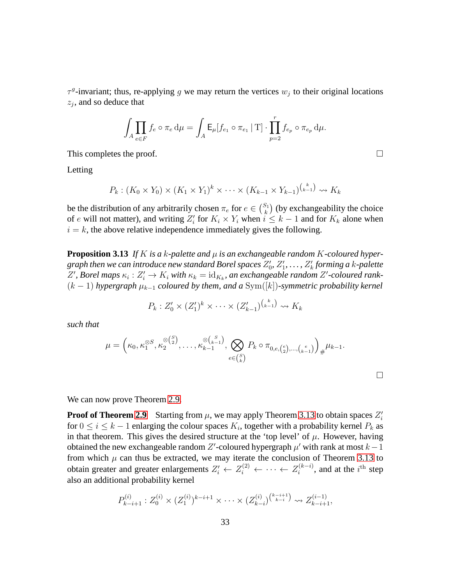$\tau^g$ -invariant; thus, re-applying g we may return the vertices  $w_j$  to their original locations  $z_j$ , and so deduce that

$$
\int_A \prod_{e \in F} f_e \circ \pi_e \, d\mu = \int_A \mathsf{E}_{\mu}[f_{e_1} \circ \pi_{e_1} | \mathbf{T}] \cdot \prod_{p=2}^r f_{e_p} \circ \pi_{e_p} \, d\mu.
$$

This completes the proof.

Letting

$$
P_k: (K_0 \times Y_0) \times (K_1 \times Y_1)^k \times \cdots \times (K_{k-1} \times Y_{k-1})^{k \choose k-1} \rightsquigarrow K_k
$$

<span id="page-32-0"></span>be the distribution of any arbitrarily chosen  $\pi_e$  for  $e \in \binom{S_1}{k}$  $\binom{S_1}{k}$  (by exchangeability the choice of e will not matter), and writing  $Z_i'$  for  $K_i \times Y_i$  when  $i \leq k-1$  and for  $K_k$  alone when  $i = k$ , the above relative independence immediately gives the following.

**Proposition 3.13** If K is a k-palette and  $\mu$  is an exchangeable random K-coloured hypergraph then we can introduce new standard Borel spaces  $Z_0',\,Z_1',\,\ldots,\,Z_k'$  forming a  $k$ -palette  $Z'$ , Borel maps  $\kappa_i : Z'_i \to K_i$  with  $\kappa_k = \text{id}_{K_k}$ , an exchangeable random  $Z'$ -coloured rank- $(k-1)$  *hypergraph*  $\mu_{k-1}$  *coloured by them, and a* Sym([k])-symmetric probability kernel

$$
P_k: Z'_0 \times (Z'_1)^k \times \cdots \times (Z'_{k-1})^{k \choose k-1} \rightsquigarrow K_k
$$

*such that*

$$
\mu = \left(\kappa_0, \kappa_1^{\otimes S}, \kappa_2^{\otimes {S \choose 2}}, \ldots, \kappa_{k-1}^{\otimes {S \choose k-1}}, \bigotimes_{e \in {S \choose k}} P_k \circ \pi_{0, e, {e \choose 2}, \ldots, {e \choose k-1}}\right)_{\#} \mu_{k-1}.
$$

|  | We can now prove Theorem 2.9. |  |
|--|-------------------------------|--|
|--|-------------------------------|--|

**Proof of Theorem [2.9](#page-15-0)** Starting from  $\mu$ , we may apply Theorem [3.13](#page-32-0) to obtain spaces  $Z_i'$ for  $0 \le i \le k-1$  enlarging the colour spaces  $K_i$ , together with a probability kernel  $P_k$  as in that theorem. This gives the desired structure at the 'top level' of  $\mu$ . However, having obtained the new exchangeable random Z'-coloured hypergraph  $\mu'$  with rank at most  $k-1$ from which  $\mu$  can thus be extracted, we may iterate the conclusion of Theorem [3.13](#page-32-0) to obtain greater and greater enlargements  $Z_i' \leftarrow Z_i^{(2)} \leftarrow \cdots \leftarrow Z_i^{(k-i)}$  $i^{(k-i)}$ , and at the  $i^{\text{th}}$  step also an additional probability kernel

$$
P_{k-i+1}^{(i)}: Z_0^{(i)} \times (Z_1^{(i)})^{k-i+1} \times \cdots \times (Z_{k-i}^{(i)})^{\binom{k-i+1}{k-i}} \rightsquigarrow Z_{k-i+1}^{(i-1)},
$$

 $\Box$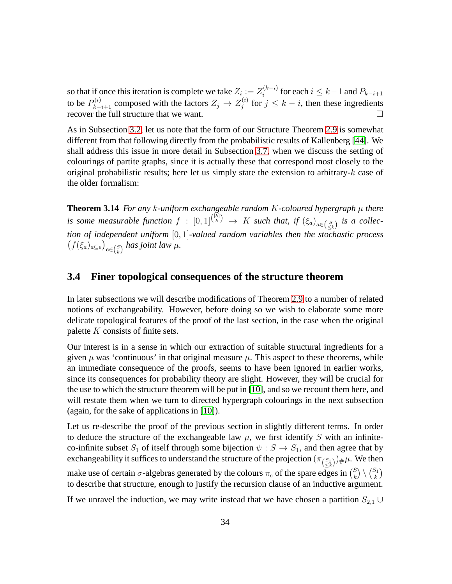so that if once this iteration is complete we take  $Z_i := Z_i^{(k-i)}$  $i^{(k-i)}$  for each  $i \leq k-1$  and  $P_{k-i+1}$ to be  $P_{k-i+1}^{(i)}$  composed with the factors  $Z_j \rightarrow Z_j^{(i)}$  $j^{(i)}$  for  $j \leq k - i$ , then these ingredients recover the full structure that we want.  $\square$ 

As in Subsection [3.2,](#page-23-0) let us note that the form of our Structure Theorem [2.9](#page-15-0) is somewhat different from that following directly from the probabilistic results of Kallenberg [\[44\]](#page-72-2). We shall address this issue in more detail in Subsection [3.7,](#page-43-0) when we discuss the setting of colourings of partite graphs, since it is actually these that correspond most closely to the original probabilistic results; here let us simply state the extension to arbitrary-k case of the older formalism:

**Theorem 3.14** *For any* k*-uniform exchangeable random* K*-coloured hypergraph* µ *there is some measurable function*  $f : [0,1]^{(k)} \to K$  *such that, if*  $(\xi_a)_{a \in \binom{S}{\leq k}}$  *is a collection of independent uniform* [0, 1]*-valued random variables then the stochastic process*  $(f(\xi_a)_{a\subseteq e})_{e\in \binom{S}{k}}$  has joint law  $\mu$ .

### <span id="page-33-0"></span>**3.4 Finer topological consequences of the structure theorem**

In later subsections we will describe modifications of Theorem [2.9](#page-15-0) to a number of related notions of exchangeability. However, before doing so we wish to elaborate some more delicate topological features of the proof of the last section, in the case when the original palette K consists of finite sets.

Our interest is in a sense in which our extraction of suitable structural ingredients for a given  $\mu$  was 'continuous' in that original measure  $\mu$ . This aspect to these theorems, while an immediate consequence of the proofs, seems to have been ignored in earlier works, since its consequences for probability theory are slight. However, they will be crucial for the use to which the structure theorem will be put in [\[10\]](#page-70-0), and so we recount them here, and will restate them when we turn to directed hypergraph colourings in the next subsection (again, for the sake of applications in [\[10\]](#page-70-0)).

Let us re-describe the proof of the previous section in slightly different terms. In order to deduce the structure of the exchangeable law  $\mu$ , we first identify S with an infiniteco-infinite subset  $S_1$  of itself through some bijection  $\psi : S \to S_1$ , and then agree that by exchangeability it suffices to understand the structure of the projection  $(\pi_{\binom{S_1}{\leq k}})_{\#}\mu.$  We then make use of certain  $\sigma$ -algebras generated by the colours  $\pi_e$  of the spare edges in  $\binom{S}{k}$  $\binom{S}{k} \setminus \binom{S_1}{k}$  $\binom{s_1}{k}$ to describe that structure, enough to justify the recursion clause of an inductive argument.

If we unravel the induction, we may write instead that we have chosen a partition  $S_{2,1}$  ∪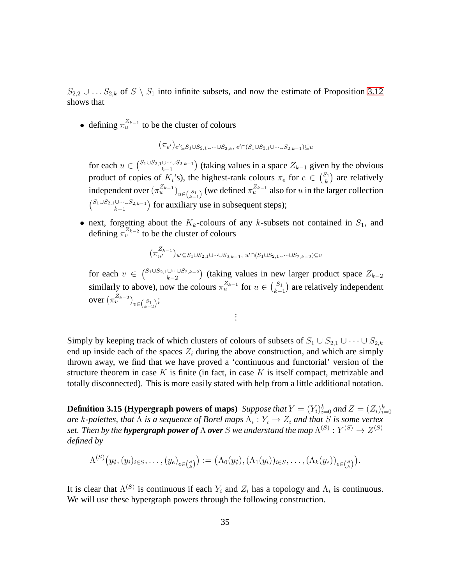$S_{2,2} \cup \ldots S_{2,k}$  of  $S \setminus S_1$  into infinite subsets, and now the estimate of Proposition [3.12](#page-31-0) shows that

• defining  $\pi_u^{Z_{k-1}}$  to be the cluster of colours

 $(\pi_{e'})_{e'\subseteq S_1\cup S_{2,1}\cup\dots\cup S_{2,k},\ e'\cap (S_1\cup S_{2,1}\cup\dots\cup S_{2,k-1})\subseteq u}$ 

for each  $u \in {S_1 \cup S_{2,1} \cup \cdots \cup S_{2,k-1} \choose k-1}$  $(\bigcup_{k=1}^{\ldots \bigcup S_{2,k-1}})$  (taking values in a space  $Z_{k-1}$  given by the obvious product of copies of  $K_i$ 's), the highest-rank colours  $\pi_e$  for  $e \in \binom{S_1}{k}$  $\binom{S_1}{k}$  are relatively independent over  $(\pi_u^{Z_{k-1}})_{u \in {S_1 \choose k-1}}$  (we defined  $\pi_u^{Z_{k-1}}$  also for u in the larger collection  $\binom{S_1\cup S_{2,1}\cup\cdots\cup S_{2,k-1}}{k-1}$  $\binom{\bigcup \cdots \bigcup S_{2,k-1}}{k-1}$  for auxiliary use in subsequent steps);

• next, forgetting about the  $K_k$ -colours of any k-subsets not contained in  $S_1$ , and defining  $\pi_v^{Z_{k-2}}$  to be the cluster of colours

$$
\big(\pi_{u'}^{Z_{k-1}}\big)_{u'\subseteq S_1\cup S_{2,1}\cup\dots\cup S_{2,k-1},\ u'\cap (S_1\cup S_{2,1}\cup\dots\cup S_{2,k-2})\subseteq v}
$$

for each  $v \in {S_1 \cup S_{2,1} \cup \cdots \cup S_{2,k-2} \choose k-2}$  $(\bigcup_{k=2}^{\ldots \bigcup S_{2,k-2}})$  (taking values in new larger product space  $Z_{k-2}$ similarly to above), now the colours  $\pi_u^{Z_{k-1}}$  for  $u \in {S_1 \choose k-1}$  $\binom{S_1}{k-1}$  are relatively independent over  $(\pi_v^{Z_{k-2}})_{v\in \binom{S_1}{k-2}};$ 

. . .

Simply by keeping track of which clusters of colours of subsets of  $S_1 \cup S_{2,1} \cup \cdots \cup S_{2,k}$ end up inside each of the spaces  $Z_i$  during the above construction, and which are simply thrown away, we find that we have proved a 'continuous and functorial' version of the structure theorem in case  $K$  is finite (in fact, in case  $K$  is itself compact, metrizable and totally disconnected). This is more easily stated with help from a little additional notation.

**Definition 3.15 (Hypergraph powers of maps)** Suppose that  $Y = (Y_i)_{i=0}^k$  and  $Z = (Z_i)_{i=0}^k$ *are k*-palettes, that Λ is a sequence of Borel maps  $Λ<sub>i</sub> : Y<sub>i</sub> → Z<sub>i</sub>$  and that S is some vertex set. Then by the **hypergraph power of**  $\Lambda$  **over**  $S$  we understand the map  $\Lambda^{(S)}: Y^{(S)} \to Z^{(S)}$ *defined by*

$$
\Lambda^{(S)}\big(y_{\emptyset},(y_i)_{i\in S},\ldots, (y_e)_{e\in {S\choose k}}\big):=\big(\Lambda_0(y_{\emptyset}),(\Lambda_1(y_i))_{i\in S},\ldots,(\Lambda_k(y_e))_{e\in {S\choose k}}\big).
$$

It is clear that  $\Lambda^{(S)}$  is continuous if each  $Y_i$  and  $Z_i$  has a topology and  $\Lambda_i$  is continuous. We will use these hypergraph powers through the following construction.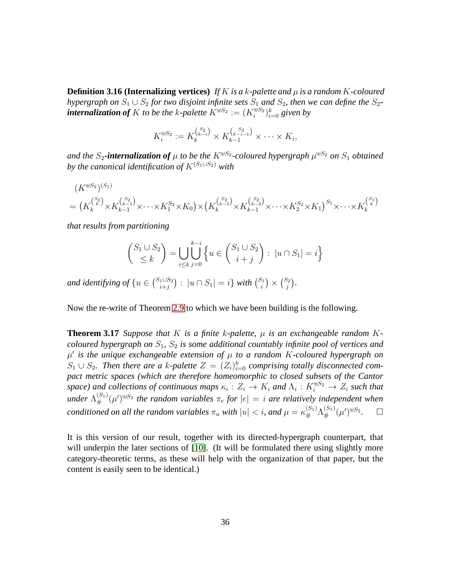**Definition 3.16 (Internalizing vertices)** If K is a k-palette and  $\mu$  is a random K-coloured *hypergraph on*  $S_1 \cup S_2$  *for two disjoint infinite sets*  $S_1$  *and*  $S_2$ *, then we can define the*  $S_2$ *-* $\bm{in}$  **ternalization of**  $K$  to be the  $k$ -palette  $K^{\uplus S_2}:=(K^{\uplus S_2}_i)_{i=0}^k$  given by

$$
K_i^{\oplus S_2} := K_k^{\binom{S_2}{k-i}} \times K_{k-1}^{\binom{S_2}{k-i-1}} \times \cdots \times K_i,
$$

and the  $S_2$ -internalization of  $\mu$  to be the  $K^{\uplus S_2}$ -coloured hypergraph  $\mu^{\uplus S_2}$  on  $S_1$  obtained *by the canonical identification of*  $K^{(S_1 \cup S_2)}$  *with* 

$$
(K^{\uplus S_2})^{(S_1)} = (K_k^{S_2}) \times K_{k-1}^{S_2} \times \cdots \times K_1^{S_2} \times K_0) \times (K_k^{S_2}) \times K_{k-1}^{S_2} \times \cdots \times K_2^{S_2} \times K_1)^{S_1} \times \cdots \times K_k^{S_1}
$$

*that results from partitioning*

$$
\binom{S_1 \cup S_2}{\leq k} = \bigcup_{i \leq k} \bigcup_{j=0}^{k-i} \left\{ u \in \binom{S_1 \cup S_2}{i+j} : |u \cap S_1| = i \right\}
$$

and identifying of  $\{u \in {S_1 \cup S_2 \atop i+j} \}$  $\binom{1\cup S_2}{i+j}$  :  $|u\cap S_1|=i\}$  with  $\binom{S_1}{i}$  $\binom{S_1}{i} \times \binom{S_2}{j}$  $j^{i_2})$ .

Now the re-write of Theorem [2.9](#page-15-0) to which we have been building is the following.

**Theorem 3.17** *Suppose that* K *is a finite* k-palette,  $\mu$  *is an exchangeable random* K*coloured hypergraph on*  $S_1$ ,  $S_2$  *is some additional countably infinite pool of vertices and* µ ′ *is the unique exchangeable extension of* µ *to a random* K*-coloured hypergraph on*  $S_1 \cup S_2$ . Then there are a k-palette  $Z = (Z_i)_{i=0}^k$  comprising totally disconnected com*pact metric spaces (which are therefore homeomorphic to closed subsets of the Cantor space)* and collections of continuous maps  $\kappa_i : Z_i \to K_i$  and  $\Lambda_i : K_i^{\oplus S_2} \to Z_i$  such that under  $\Lambda_{\#}^{(S_1)}(\mu')^{\oplus S_2}$  the random variables  $\pi_e$  for  $|e|=i$  are relatively independent when *conditioned on all the random variables*  $\pi_u$  *with*  $|u| < i$ , and  $\mu = \kappa_{\#}^{(S_1)} \Lambda_{\#}^{(S_1)} (\mu')^{\oplus S_2}$ *.*

It is this version of our result, together with its directed-hypergraph counterpart, that will underpin the later sections of [\[10\]](#page-70-0). (It will be formulated there using slightly more category-theoretic terms, as these will help with the organization of that paper, but the content is easily seen to be identical.)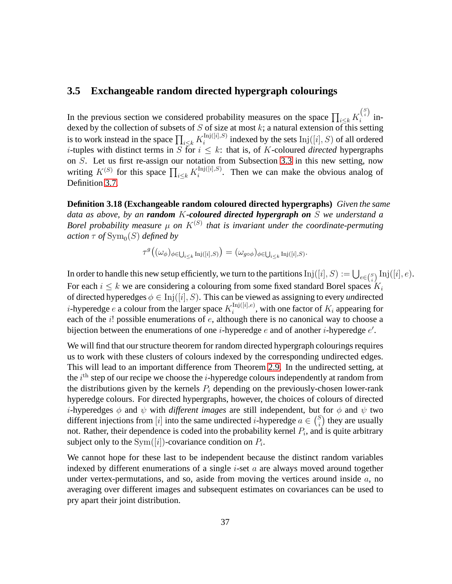## **3.5 Exchangeable random directed hypergraph colourings**

In the previous section we considered probability measures on the space  $\prod_{i\leq k} K_i^{S_i}$  $i^{(i)}$  indexed by the collection of subsets of  $S$  of size at most  $k$ ; a natural extension of this setting is to work instead in the space  $\prod_{i\leq k} K_i^{\text{Inj}([i],S)}$  $i_{i}^{\text{inj}([i], S)}$  indexed by the sets  $\text{Inj}([i], S)$  of all ordered *i*-tuples with distinct terms in S for  $i \leq k$ : that is, of K-coloured *directed* hypergraphs on S. Let us first re-assign our notation from Subsection [3.3](#page-27-0) in this new setting, now writing  $K^{(S)}$  for this space  $\prod_{i\leq k} K_i^{\text{Inj}([i],S)}$  $i_i^{\text{Inj}([i],S)}$ . Then we can make the obvious analog of Definition [3.7.](#page-28-0)

**Definition 3.18 (Exchangeable random coloured directed hypergraphs)** *Given the same data as above, by an random* K*-coloured directed hypergraph on* S *we understand a* Borel probability measure  $\mu$  on  $K^{(S)}$  that is invariant under the coordinate-permuting  $\arctan \tau$  of  $\mathrm{Sym}_0(S)$  defined by

$$
\tau^g\big((\omega_{\phi})_{\phi \in \bigcup_{i \leq k} \mathrm{Inj}([i], S)}\big) = (\omega_{g \circ \phi})_{\phi \in \bigcup_{i \leq k} \mathrm{Inj}([i], S)}.
$$

In order to handle this new setup efficiently, we turn to the partitions  ${\rm Inj}([i],S):=\bigcup_{e\in {S\choose i}}{\rm Inj}([i],e).$ For each  $i \leq k$  we are considering a colouring from some fixed standard Borel spaces  $K_i$ of directed hyperedges  $\phi \in \text{Inj}([i], S)$ . This can be viewed as assigning to every *un*directed  $i$ -hyperedge  $e$  a colour from the larger space  $K_i^{\text{Inj}([i],e)}$  $i_{i}^{\text{inj}([i],e)}$ , with one factor of  $K_{i}$  appearing for each of the  $i!$  possible enumerations of  $e$ , although there is no canonical way to choose a bijection between the enumerations of one  $i$ -hyperedge  $e$  and of another  $i$ -hyperedge  $e'$ .

We will find that our structure theorem for random directed hypergraph colourings requires us to work with these clusters of colours indexed by the corresponding undirected edges. This will lead to an important difference from Theorem [2.9.](#page-15-0) In the undirected setting, at the  $i<sup>th</sup>$  step of our recipe we choose the i-hyperedge colours independently at random from the distributions given by the kernels  $P_i$  depending on the previously-chosen lower-rank hyperedge colours. For directed hypergraphs, however, the choices of colours of directed *i*-hyperedges  $\phi$  and  $\psi$  with *different images* are still independent, but for  $\phi$  and  $\psi$  two different injections from [i] into the same undirected *i*-hyperedge  $a \in {S_i \choose i}$  $\binom{S}{i}$  they are usually not. Rather, their dependence is coded into the probability kernel  $P_i$ , and is quite arbitrary subject only to the  $Sym([i])$ -covariance condition on  $P_i$ .

We cannot hope for these last to be independent because the distinct random variables indexed by different enumerations of a single  $i$ -set  $a$  are always moved around together under vertex-permutations, and so, aside from moving the vertices around inside  $a$ , no averaging over different images and subsequent estimates on covariances can be used to pry apart their joint distribution.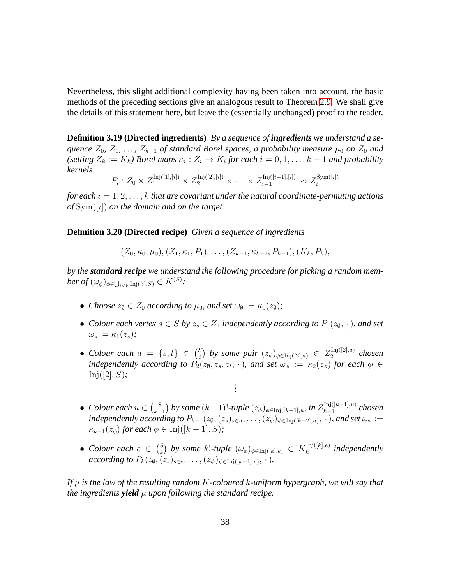Nevertheless, this slight additional complexity having been taken into account, the basic methods of the preceding sections give an analogous result to Theorem [2.9.](#page-15-0) We shall give the details of this statement here, but leave the (essentially unchanged) proof to the reader.

**Definition 3.19 (Directed ingredients)** *By a sequence of ingredients we understand a sequence*  $Z_0$ ,  $Z_1$ , ...,  $Z_{k-1}$  *of standard Borel spaces, a probability measure*  $\mu_0$  *on*  $Z_0$  *and*  $(setting\ Z_k := K_k)$  Borel maps  $\kappa_i : Z_i \to K_i$  for each  $i = 0, 1, \ldots, k - 1$  and probability *kernels*

> $P_i: Z_0 \times Z_1^{\text{Inj}([1],[i])} \times Z_2^{\text{Inj}([2],[i])} \times \cdots \times Z_{i-1}^{\text{Inj}([i-1],[i])} \rightsquigarrow Z_i^{\text{Sym}([i])}$ i

*for each*  $i = 1, 2, \ldots, k$  *that are covariant under the natural coordinate-permuting actions of* Sym([i]) *on the domain and on the target.*

**Definition 3.20 (Directed recipe)** *Given a sequence of ingredients*

 $(Z_0, \kappa_0, \mu_0), (Z_1, \kappa_1, P_1), \ldots, (Z_{k-1}, \kappa_{k-1}, P_{k-1}), (K_k, P_k),$ 

*by the standard recipe we understand the following procedure for picking a random mem* $ber\ of\ (\omega_{\phi})_{\phi\in\bigcup_{i\leq k}\textnormal{Inj}([i],S)}\in K^{(S)}$ :

- *Choose*  $z_{\emptyset} \in Z_0$  *according to*  $\mu_0$ *, and set*  $\omega_{\emptyset} := \kappa_0(z_{\emptyset})$ *;*
- *Colour each vertex*  $s \in S$  *by*  $z_s \in Z_1$  *independently according to*  $P_1(z_0, \cdot)$ *, and set*  $\omega_{s} := \kappa_{1}(z_{s})$ ;
- *Colour each*  $a = \{s, t\} \in {S \choose 2}$ *S*<sup>2</sup></sup> by some pair  $(z_{\phi})_{\phi \in Inj([2],a)}$  ∈  $Z_2^{\text{Inj}([2],a)}$  $\int_{2}^{\ln(2|Z|,a)}$  chosen *independently according to*  $P_2(z_0, z_s, z_t, \cdot)$ *, and set*  $\omega_{\phi} := \kappa_2(z_{\phi})$  *for each*  $\phi \in$ Inj([2], S)*; .*

*. .*

- *Colour each*  $u \in {S \choose k-1}$  $\binom{S}{k-1}$  by some  $(k-1)!$ -tuple  $(z_{\phi})_{\phi \in \text{Inj}([k-1],u)}$  in  $Z_{k-1}^{\text{Inj}([k-1],u)}$  $\sum_{k-1}^{\text{inj}(\lfloor k-1\rfloor, u)}$  chosen independently according to  $P_{k-1}(z_0,(z_s)_{s\in u},\ldots,(z_\psi)_{\psi\in\text{Inj}([k-2],u)},\cdot$  ), and set  $\omega_\phi:=$  $\kappa_{k-1}(z_{\phi})$  *for each*  $\phi \in \text{Inj}([k-1], S)$ ;
- *Colour each*  $e \in {S \choose k}$  $\binom{S}{k}$  by some k!-tuple  $(\omega_{\phi})_{\phi \in \text{Inj}([k], e)} \in K_k^{\text{Inj}([k], e)}$  $\int_k^{\text{inj}([K],e)}$  independently *according to*  $P_k(z_0, (z_s)_{s \in e}, \ldots, (z_{\psi})_{\psi \in Inj([k-1],e)}, \cdot).$

<span id="page-37-0"></span>*If* µ *is the law of the resulting random* K*-coloured* k*-uniform hypergraph, we will say that the ingredients yield*  $\mu$  *upon following the standard recipe.*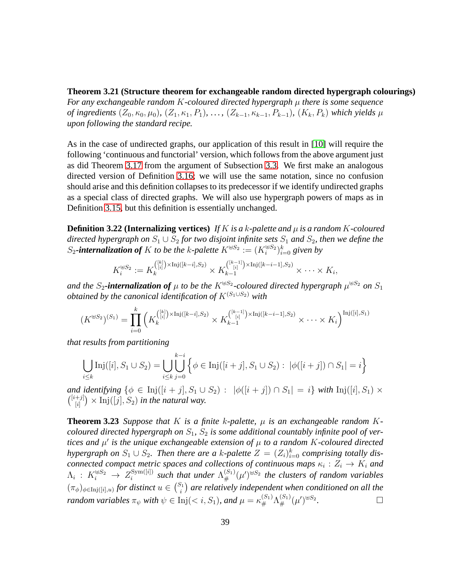**Theorem 3.21 (Structure theorem for exchangeable random directed hypergraph colourings)**

*For any exchangeable random* K*-coloured directed hypergraph* µ *there is some sequence of ingredients*  $(Z_0, \kappa_0, \mu_0)$ *,*  $(Z_1, \kappa_1, P_1)$ *, ...,*  $(Z_{k-1}, \kappa_{k-1}, P_{k-1})$ *,*  $(K_k, P_k)$  *which yields*  $\mu$ *upon following the standard recipe.*

As in the case of undirected graphs, our application of this result in [\[10\]](#page-70-0) will require the following 'continuous and functorial' version, which follows from the above argument just as did Theorem [3.17](#page-35-0) from the argument of Subsection [3.3.](#page-27-0) We first make an analogous directed version of Definition [3.16;](#page-34-0) we will use the same notation, since no confusion should arise and this definition collapses to its predecessor if we identify undirected graphs as a special class of directed graphs. We will also use hypergraph powers of maps as in Definition [3.15,](#page-34-1) but this definition is essentially unchanged.

**Definition 3.22 (Internalizing vertices)** If K is a k-palette and  $\mu$  is a random K-coloured *directed hypergraph on*  $S_1 \cup S_2$  *for two disjoint infinite sets*  $S_1$  *and*  $S_2$ *, then we define the*  $S_2$ **-internalization of** K to be the k-palette  $K^{\oplus S_2} := (K_i^{\oplus S_2})_{i=0}^k$  given by

$$
K_i^{\oplus S_2} := K_k^{([k]) \times \text{Inj}([k-i], S_2)} \times K_{k-1}^{([k-1]) \times \text{Inj}([k-i-1], S_2)} \times \cdots \times K_i,
$$

and the  $S_2$ -internalization of  $\mu$  to be the  $K^{\uplus S_2}$ -coloured directed hypergraph  $\mu^{\uplus S_2}$  on  $S_1$ *obtained by the canonical identification of* K(S1∪S2) *with*

$$
(K^{\oplus S_2})^{(S_1)} = \prod_{i=0}^k \left( K_k^{[k] \choose [i]} \times \text{Inj}([k-i], S_2) \times K_{k-1}^{[k-1]} \times \text{Inj}([k-i-1], S_2) \times \cdots \times K_i \right)^{\text{Inj}([i], S_1)}
$$

*that results from partitioning*

$$
\bigcup_{i \leq k} \text{Inj}([i], S_1 \cup S_2) = \bigcup_{i \leq k} \bigcup_{j=0}^{k-i} \left\{ \phi \in \text{Inj}([i+j], S_1 \cup S_2) : |\phi([i+j]) \cap S_1| = i \right\}
$$

*and identifying*  $\{\phi \in \text{Inj}([i + j], S_1 \cup S_2) : |\phi([i + j]) \cap S_1| = i\}$  *with*  $\text{Inj}([i], S_1) \times$  $\binom{[i+j]}{[i]}$  $\binom{+,j}{[i]} \times \text{Inj}([j], S_2)$  in the natural way.

<span id="page-38-0"></span>**Theorem 3.23** *Suppose that*  $K$  *is a finite*  $k$ -palette,  $\mu$  *is an exchangeable random*  $K$ *coloured directed hypergraph on*  $S_1$ ,  $S_2$  *is some additional countably infinite pool of vertices and* µ ′ *is the unique exchangeable extension of* µ *to a random* K*-coloured directed hypergraph on*  $S_1 \cup S_2$ . Then there are a k-palette  $Z = (Z_i)_{i=0}^k$  comprising totally dis*connected compact metric spaces and collections of continuous maps*  $\kappa_i : Z_i \to K_i$  and  $\Lambda_i$  :  $K_i^{\uplus S_2} \rightarrow Z_i^{\text{Sym}([i])}$  $\frac{\text{Sym}([i])}{i}$  such that under  $\Lambda_{\#}^{(S_1)}(\mu')^{\oplus S_2}$  the clusters of random variables  $(\pi_\phi)_{\phi \in \text{Inj}([i],u)}$  for distinct  $u \in {S_1 \choose i}$  $\mathcal{E}_i^{(n)}$  are relatively independent when conditioned on all the *random variables*  $\pi_{\psi}$  *with*  $\psi \in \text{Inj}(< i, S_1)$ *, and*  $\mu = \kappa_{\#}^{(S_1)} \Lambda_{\#}^{(S_1)}(\mu')^{\oplus S_2}$ *.*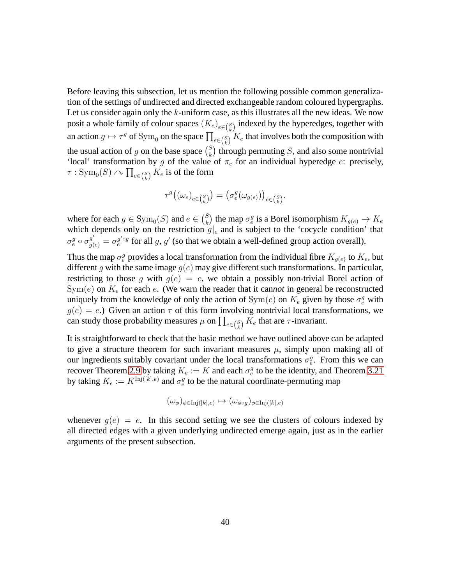Before leaving this subsection, let us mention the following possible common generalization of the settings of undirected and directed exchangeable random coloured hypergraphs. Let us consider again only the  $k$ -uniform case, as this illustrates all the new ideas. We now posit a whole family of colour spaces  $(K_e)_{e \in {S \choose k}}$  indexed by the hyperedges, together with an action  $g \mapsto \tau^g$  of Sym<sub>0</sub> on the space  $\prod_{e \in {S \choose k}} K_e$  that involves both the composition with the usual action of g on the base space  $\binom{S}{k}$  $\binom{S}{k}$  through permuting S, and also some nontrivial 'local' transformation by g of the value of  $\pi_e$  for an individual hyperedge e: precisely,  $\tau: \mathop{\mathrm {Sym}}\nolimits_0(S) \curvearrowright \prod_{e \in {S \choose k}} K_e$  is of the form

$$
\tau^g\big((\omega_e)_{e\in {S\choose k}}\big)=\big(\sigma^g_e(\omega_{g(e)})\big)_{e\in {S\choose k}},
$$

where for each  $g \in \text{Sym}_0(S)$  and  $e \in {S \choose k}$  $\binom{S}{k}$  the map  $\sigma_e^g$  is a Borel isomorphism  $K_{g(e)} \to K_e$ which depends only on the restriction  $g|_{e}$  and is subject to the 'cocycle condition' that  $\sigma_e^g \circ \sigma_{g(e)}^{g'} = \sigma_e^{g' \circ g}$  for all g, g' (so that we obtain a well-defined group action overall).

Thus the map  $\sigma_e^g$  provides a local transformation from the individual fibre  $K_{g(e)}$  to  $K_e$ , but different g with the same image  $g(e)$  may give different such transformations. In particular, restricting to those g with  $g(e) = e$ , we obtain a possibly non-trivial Borel action of  $Sym(e)$  on  $K_e$  for each  $e$ . (We warn the reader that it cannot in general be reconstructed uniquely from the knowledge of only the action of  $\text{Sym}(e)$  on  $K_e$  given by those  $\sigma_e^g$  with  $g(e) = e$ .) Given an action  $\tau$  of this form involving nontrivial local transformations, we can study those probability measures  $\mu$  on  $\prod_{e \in {S \choose k}} K_e$  that are  $\tau$ -invariant.

It is straightforward to check that the basic method we have outlined above can be adapted to give a structure theorem for such invariant measures  $\mu$ , simply upon making all of our ingredients suitably covariant under the local transformations  $\sigma_e^g$ . From this we can recover Theorem [2.9](#page-15-0) by taking  $K_e := K$  and each  $\sigma_e^g$  to be the identity, and Theorem [3.21](#page-37-0) by taking  $K_e := K^{\text{Inj}([k], e)}$  and  $\sigma_e^g$  to be the natural coordinate-permuting map

$$
(\omega_{\phi})_{\phi \in \text{Inj}([k], e)} \mapsto (\omega_{\phi \circ g})_{\phi \in \text{Inj}([k], e)}
$$

whenever  $g(e) = e$ . In this second setting we see the clusters of colours indexed by all directed edges with a given underlying undirected emerge again, just as in the earlier arguments of the present subsection.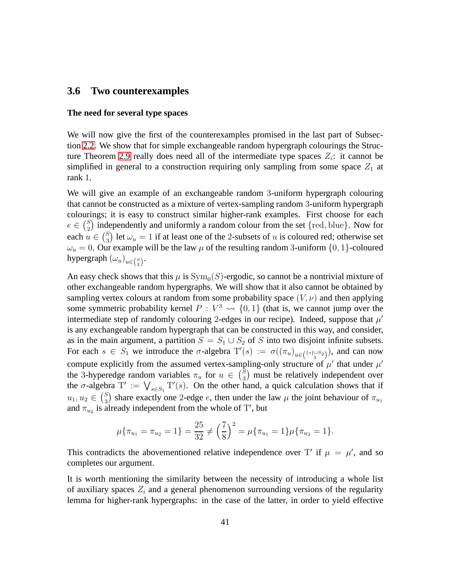#### <span id="page-40-0"></span>**3.6 Two counterexamples**

#### **The need for several type spaces**

We will now give the first of the counterexamples promised in the last part of Subsection [2.2.](#page-8-0) We show that for simple exchangeable random hypergraph colourings the Struc-ture Theorem [2.9](#page-15-0) really does need all of the intermediate type spaces  $Z_i$ : it cannot be simplified in general to a construction requiring only sampling from some space  $Z_1$  at rank 1.

We will give an example of an exchangeable random 3-uniform hypergraph colouring that cannot be constructed as a mixture of vertex-sampling random 3-uniform hypergraph colourings; it is easy to construct similar higher-rank examples. First choose for each  $e \in {S \choose 2}$  $\binom{5}{2}$  independently and uniformly a random colour from the set {red, blue}. Now for each  $u \in {S \choose 3}$  $\binom{5}{3}$  let  $\omega_u = 1$  if at least one of the 2-subsets of u is coloured red; otherwise set  $\omega_u = 0$ . Our example will be the law  $\mu$  of the resulting random 3-uniform  $\{0, 1\}$ -coloured hypergraph  $(\omega_u)_{u \in \binom{S}{3}}$ .

An easy check shows that this  $\mu$  is  $Sym_0(S)$ -ergodic, so cannot be a nontrivial mixture of other exchangeable random hypergraphs. We will show that it also cannot be obtained by sampling vertex colours at random from some probability space  $(V, \nu)$  and then applying some symmetric probability kernel  $P: V^3 \rightarrow \{0, 1\}$  (that is, we cannot jump over the intermediate step of randomly colouring 2-edges in our recipe). Indeed, suppose that  $\mu'$ is any exchangeable random hypergraph that can be constructed in this way, and consider, as in the main argument, a partition  $S = S_1 \cup S_2$  of S into two disjoint infinite subsets. For each  $s \in S_1$  we introduce the  $\sigma$ -algebra  $T'(s) := \sigma((\pi_u)_{u \in (\{\text{ss}\} \cup S_2\})})$ , and can now compute explicitly from the assumed vertex-sampling-only structure of  $\mu'$  that under  $\mu'$ the 3-hyperedge random variables  $\pi_u$  for  $u \in {S \choose 3}$  $_3^{\text{S}}$ ) must be relatively independent over the  $\sigma$ -algebra  $T' := \bigvee_{s \in S_1} T'(s)$ . On the other hand, a quick calculation shows that if  $u_1, u_2 \in {S \choose 3}$  $\binom{S}{3}$  share exactly one 2-edge *e*, then under the law  $\mu$  the joint behaviour of  $\pi_{u_1}$ and  $\pi_{u_2}$  is already independent from the whole of T', but

$$
\mu\{\pi_{u_1} = \pi_{u_2} = 1\} = \frac{25}{32} \neq \left(\frac{7}{8}\right)^2 = \mu\{\pi_{u_1} = 1\}\mu\{\pi_{u_2} = 1\}.
$$

This contradicts the abovementioned relative independence over T' if  $\mu = \mu'$ , and so completes our argument.

It is worth mentioning the similarity between the necessity of introducing a whole list of auxiliary spaces  $Z_i$  and a general phenomenon surrounding versions of the regularity lemma for higher-rank hypergraphs: in the case of the latter, in order to yield effective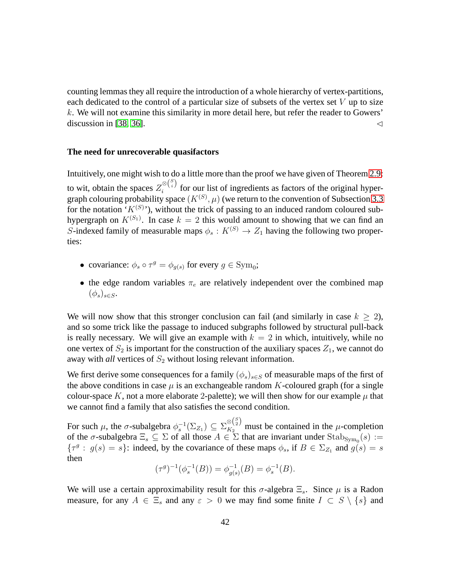counting lemmas they all require the introduction of a whole hierarchy of vertex-partitions, each dedicated to the control of a particular size of subsets of the vertex set  $V$  up to size k. We will not examine this similarity in more detail here, but refer the reader to Gowers' discussion in [\[38,](#page-72-0) [36\]](#page-72-1).  $\triangleleft$ 

#### **The need for unrecoverable quasifactors**

Intuitively, one might wish to do a little more than the proof we have given of Theorem [2.9:](#page-15-0) to wit, obtain the spaces  $Z_i^{\otimes {S \choose i}}$  $\sum_{i=1}^{\infty}$  for our list of ingredients as factors of the original hypergraph colouring probability space  $(K^{(S)}, \mu)$  (we return to the convention of Subsection [3.3](#page-27-0) for the notation ' $K^{(S)}$ '), without the trick of passing to an induced random coloured subhypergraph on  $K^{(S_1)}$ . In case  $k = 2$  this would amount to showing that we can find an S-indexed family of measurable maps  $\phi_s : K^{(S)} \to Z_1$  having the following two properties:

- covariance:  $\phi_s \circ \tau^g = \phi_{g(s)}$  for every  $g \in \text{Sym}_0$ ;
- the edge random variables  $\pi_e$  are relatively independent over the combined map  $(\phi_s)_{s\in S}$ .

We will now show that this stronger conclusion can fail (and similarly in case  $k > 2$ ), and so some trick like the passage to induced subgraphs followed by structural pull-back is really necessary. We will give an example with  $k = 2$  in which, intuitively, while no one vertex of  $S_2$  is important for the construction of the auxiliary spaces  $Z_1$ , we cannot do away with *all* vertices of  $S_2$  without losing relevant information.

We first derive some consequences for a family  $(\phi_s)_{s \in S}$  of measurable maps of the first of the above conditions in case  $\mu$  is an exchangeable random K-coloured graph (for a single colour-space K, not a more elaborate 2-palette); we will then show for our example  $\mu$  that we cannot find a family that also satisfies the second condition.

For such  $\mu$ , the  $\sigma$ -subalgebra  $\phi_s^{-1}(\Sigma_{Z_1}) \subseteq \Sigma_{K_2}^{\otimes {S \choose 2}}$  must be contained in the  $\mu$ -completion of the  $\sigma$ -subalgebra  $\Xi_s \subseteq \Sigma$  of all those  $A \in \Sigma$  that are invariant under Stab<sub>Sym<sub>0</sub></sub>(s) :=  $\{\tau^g : g(s) = s\}$ : indeed, by the covariance of these maps  $\phi_s$ , if  $B \in \Sigma_{Z_1}$  and  $g(s) = s$ then

$$
(\tau^g)^{-1}(\phi_s^{-1}(B)) = \phi_{g(s)}^{-1}(B) = \phi_s^{-1}(B).
$$

We will use a certain approximability result for this  $\sigma$ -algebra  $\Xi_s$ . Since  $\mu$  is a Radon measure, for any  $A \in \Xi_s$  and any  $\varepsilon > 0$  we may find some finite  $I \subset S \setminus \{s\}$  and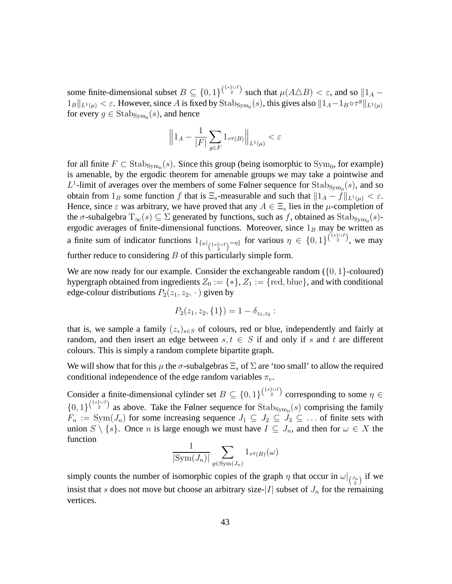some finite-dimensional subset  $B \subseteq \{0,1\}^{\binom{\{s\}\cup I}{2}}$  such that  $\mu(A \triangle B) < \varepsilon$ , and so  $\|A 1_B\|_{L^1(\mu)} < \varepsilon$ . However, since A is fixed by  $\text{Stab}_{\text{Sym}_0}(s)$ , this gives also  $\|1_A-1_B\circ\tau^g\|_{L^1(\mu)}$ for every  $g \in \text{Stab}_{\text{Sym}_0}(s)$ , and hence

$$
\Bigl\| 1_A - \frac{1}{|F|} \sum_{g \in F} 1_{\tau^g(B)} \Bigr\|_{L^1(\mu)} < \varepsilon
$$

for all finite  $F \subset \text{Stab}_{\text{Sym}_0}(s)$ . Since this group (being isomorphic to  $\text{Sym}_0$ , for example) is amenable, by the ergodic theorem for amenable groups we may take a pointwise and  $L^1$ -limit of averages over the members of some Følner sequence for  $\text{Stab}_{\text{Sym}_0}(s)$ , and so obtain from  $1_B$  some function f that is  $\Xi_s$ -measurable and such that  $||1_A - f||_{L^1(\mu)} < \varepsilon$ . Hence, since  $\varepsilon$  was arbitrary, we have proved that any  $A \in \Xi_s$  lies in the  $\mu$ -completion of the  $\sigma$ -subalgebra  $T_{\infty}(s) \subseteq \Sigma$  generated by functions, such as f, obtained as Stab<sub>Sym<sub>0</sub></sub>(s)ergodic averages of finite-dimensional functions. Moreover, since  $1_B$  may be written as a finite sum of indicator functions  $1_{\{\omega|_{\{\{s\}\cup I\}}=\eta\}}$  for various  $\eta \in \{0,1\}^{\{\{s\}\cup I\}}$ , we may further reduce to considering  $B$  of this particularly simple form.

We are now ready for our example. Consider the exchangeable random  $({0, 1}$ -coloured) hypergraph obtained from ingredients  $Z_0 := \{*\}, Z_1 := \{red, blue\}$ , and with conditional edge-colour distributions  $P_2(z_1, z_2, \cdot)$  given by

$$
P_2(z_1, z_2, \{1\}) = 1 - \delta_{z_1, z_2} :
$$

that is, we sample a family  $(z_s)_{s \in S}$  of colours, red or blue, independently and fairly at random, and then insert an edge between  $s, t \in S$  if and only if s and t are different colours. This is simply a random complete bipartite graph.

We will show that for this  $\mu$  the  $\sigma$ -subalgebras  $\Xi_s$  of  $\Sigma$  are 'too small' to allow the required conditional independence of the edge random variables  $\pi_e$ .

Consider a finite-dimensional cylinder set  $B \subseteq \{0,1\}^{\binom{\{s\}\cup I}{2}}$  corresponding to some  $\eta \in$  ${0,1}^{\binom{s}{2} \cup I}$  as above. Take the Følner sequence for Stab<sub>Sym<sub>0</sub></sub>(s) comprising the family  $F_n := \text{Sym}(J_n)$  for some increasing sequence  $J_1 \subseteq J_2 \subseteq J_3 \subseteq \ldots$  of finite sets with union  $S \setminus \{s\}$ . Once n is large enough we must have  $I \subseteq J_n$ , and then for  $\omega \in X$  the function

$$
\frac{1}{|\mathrm{Sym}(J_n)|} \sum_{g \in \mathrm{Sym}(J_n)} 1_{\tau^g(B)}(\omega)
$$

simply counts the number of isomorphic copies of the graph  $\eta$  that occur in  $\omega|_{\binom{J_n}{2}}$  if we insist that s does not move but choose an arbitrary size- $|I|$  subset of  $J_n$  for the remaining vertices.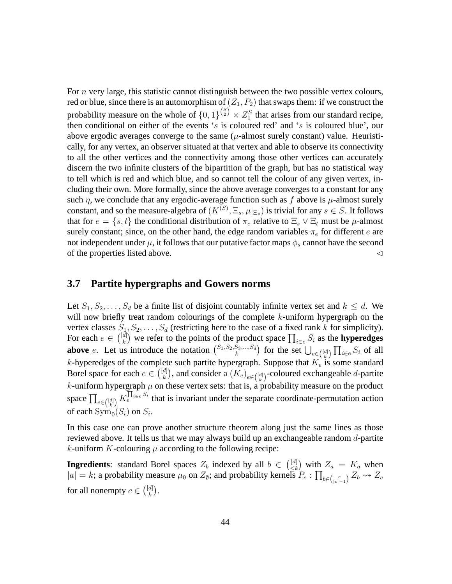For  $n$  very large, this statistic cannot distinguish between the two possible vertex colours, red or blue, since there is an automorphism of  $(Z_1, P_2)$  that swaps them: if we construct the probability measure on the whole of  $\{0,1\}^{\binom{S}{2}} \times Z_1^S$  that arises from our standard recipe, then conditional on either of the events 's is coloured red' and 's is coloured blue', our above ergodic averages converge to the same  $(\mu$ -almost surely constant) value. Heuristically, for any vertex, an observer situated at that vertex and able to observe its connectivity to all the other vertices and the connectivity among those other vertices can accurately discern the two infinite clusters of the bipartition of the graph, but has no statistical way to tell which is red and which blue, and so cannot tell the colour of any given vertex, including their own. More formally, since the above average converges to a constant for any such  $\eta$ , we conclude that any ergodic-average function such as f above is  $\mu$ -almost surely constant, and so the measure-algebra of  $(K^{(S)}, \Xi_s, \mu|_{\Xi_s})$  is trivial for any  $s \in S$ . It follows that for  $e = \{s, t\}$  the conditional distribution of  $\pi_e$  relative to  $\Xi_s \vee \Xi_t$  must be  $\mu$ -almost surely constant; since, on the other hand, the edge random variables  $\pi_e$  for different e are not independent under  $\mu$ , it follows that our putative factor maps  $\phi_s$  cannot have the second of the properties listed above. ⊳

### <span id="page-43-0"></span>**3.7 Partite hypergraphs and Gowers norms**

Let  $S_1, S_2, \ldots, S_d$  be a finite list of disjoint countably infinite vertex set and  $k \leq d$ . We will now briefly treat random colourings of the complete  $k$ -uniform hypergraph on the vertex classes  $S_1, S_2, \ldots, S_d$  (restricting here to the case of a fixed rank k for simplicity). For each  $e \in \binom{[d]}{k}$  $\binom{d}{k}$  we refer to the points of the product space  $\prod_{i \in e} S_i$  as the **hyperedges above** e. Let us introduce the notation  $\begin{pmatrix} S_1, S_2, S_3, ..., S_d \\ k \end{pmatrix}$  $\binom{S_3,\dots,S_d}{k}$  for the set  $\bigcup_{e \in \binom{[d]}{k}} \prod_{i \in e} S_i$  of all k-hyperedges of the complete such partite hypergraph. Suppose that  $K_e$  is some standard Borel space for each  $e \in \binom{[d]}{k}$  $\mathbf{E}_{k}^{[d]}$ ), and consider a  $(K_{e})_{e\in\binom{[d]}{k}}$ -coloured exchangeable *d*-partite k-uniform hypergraph  $\mu$  on these vertex sets: that is, a probability measure on the product space  $\prod_{e \in \binom{[d]}{k}} K_e^{\prod_{i \in e} S_i}$  that is invariant under the separate coordinate-permutation action of each  $\text{Sym}_0(S_i)$  on  $S_i$ .

In this case one can prove another structure theorem along just the same lines as those reviewed above. It tells us that we may always build up an exchangeable random d-partite k-uniform K-colouring  $\mu$  according to the following recipe:

**Ingredients**: standard Borel spaces  $Z_b$  indexed by all  $b \in \begin{pmatrix} [d] \\ \leq k \end{pmatrix}$  $\sum_{\leq k}^{\lfloor d \rfloor}$  with  $Z_a = K_a$  when  $|a|=k$ ; a probability measure  $\mu_0$  on  $Z_{\emptyset}$ ; and probability kernels  $P_c: \prod_{b \in {c \choose |c|-1}} Z_b \leadsto Z_c$ for all nonempty  $c \in \binom{[d]}{k}$  $\binom{d}{k}$ .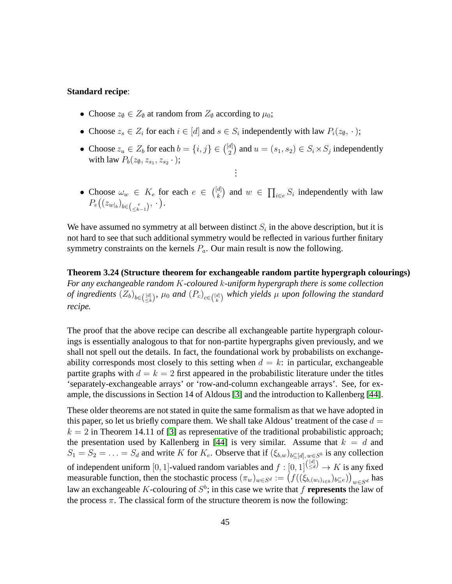#### **Standard recipe**:

- Choose  $z_{\emptyset} \in Z_{\emptyset}$  at random from  $Z_{\emptyset}$  according to  $\mu_0$ ;
- Choose  $z_s \in Z_i$  for each  $i \in [d]$  and  $s \in S_i$  independently with law  $P_i(z_0, \cdot)$ ;
- Choose  $z_u \in Z_b$  for each  $b = \{i, j\} \in \binom{[d]}{2}$  $\binom{d}{2}$  and  $u = (s_1, s_2) \in S_i \times S_j$  independently with law  $P_b(z_\emptyset, z_{s_1}, z_{s_2} \cdot);$ . . .
- Choose  $\omega_w \in K_e$  for each  $e \in \binom{[d]}{k}$  ${k \choose k}$  and  $w \in \prod_{i \in e} S_i$  independently with law  $P_e\bigl((z_{w|_b})_{b\in\binom{e}{\leq k-1}}, \, \cdot\,\bigr).$

<span id="page-44-0"></span>We have assumed no symmetry at all between distinct  $S_i$  in the above description, but it is not hard to see that such additional symmetry would be reflected in various further finitary symmetry constraints on the kernels  $P_a$ . Our main result is now the following.

**Theorem 3.24 (Structure theorem for exchangeable random partite hypergraph colourings)** *For any exchangeable random* K*-coloured* k*-uniform hypergraph there is some collection of ingredients*  $(Z_b)_{b \in \binom{[d]}{\leq k}}$ ,  $\mu_0$  and  $(P_c)_{c \in \binom{[d]}{k}}$  which yields  $\mu$  upon following the standard *recipe.*

The proof that the above recipe can describe all exchangeable partite hypergraph colourings is essentially analogous to that for non-partite hypergraphs given previously, and we shall not spell out the details. In fact, the foundational work by probabilists on exchangeability corresponds most closely to this setting when  $d = k$ : in particular, exchangeable partite graphs with  $d = k = 2$  first appeared in the probabilistic literature under the titles 'separately-exchangeable arrays' or 'row-and-column exchangeable arrays'. See, for example, the discussions in Section 14 of Aldous [\[3\]](#page-69-0) and the introduction to Kallenberg [\[44\]](#page-72-2).

<span id="page-44-1"></span>These older theorems are not stated in quite the same formalism as that we have adopted in this paper, so let us briefly compare them. We shall take Aldous' treatment of the case  $d =$  $k = 2$  in Theorem 14.11 of [\[3\]](#page-69-0) as representative of the traditional probabilistic approach; the presentation used by Kallenberg in [\[44\]](#page-72-2) is very similar. Assume that  $k = d$  and  $S_1 = S_2 = \ldots = S_d$  and write K for  $K_e$ . Observe that if  $(\xi_{b,w})_{b \subseteq [d], w \in S^b}$  is any collection of independent uniform [0, 1]-valued random variables and  $f: [0,1]^{(\frac{[d]}{\leq d})} \to K$  is any fixed measurable function, then the stochastic process  $(\pi_w)_{w \in S^d} := (f((\xi_{b,(w_i)_{i \in b}})_{b \subseteq e}))_{w \in S^d}$  has law an exchangeable K-colouring of  $S^b$ ; in this case we write that f **represents** the law of the process  $\pi$ . The classical form of the structure theorem is now the following: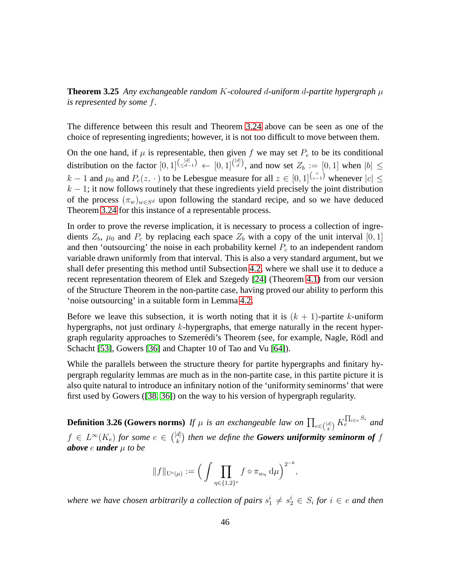**Theorem 3.25** *Any exchangeable random* K*-coloured* d*-uniform* d*-partite hypergraph* µ *is represented by some* f*.*

The difference between this result and Theorem [3.24](#page-44-0) above can be seen as one of the choice of representing ingredients; however, it is not too difficult to move between them.

On the one hand, if  $\mu$  is representable, then given f we may set  $P_e$  to be its conditional distribution on the factor  $[0,1]^{(\binom{d}{\leq d-1})}$   $\leftarrow$   $[0,1]^{(\binom{d}{d})}$ , and now set  $Z_b := [0,1]$  when  $|b| \leq$  $k-1$  and  $\mu_0$  and  $P_c(z, \cdot)$  to be Lebesgue measure for all  $z \in [0,1]^{(\binom{c}{c-1})}$  whenever  $|c| \leq$  $k - 1$ ; it now follows routinely that these ingredients yield precisely the joint distribution of the process  $(\pi_w)_{w \in S^d}$  upon following the standard recipe, and so we have deduced Theorem [3.24](#page-44-0) for this instance of a representable process.

In order to prove the reverse implication, it is necessary to process a collection of ingredients  $Z_b$ ,  $\mu_0$  and  $P_c$  by replacing each space  $Z_b$  with a copy of the unit interval [0, 1] and then 'outsourcing' the noise in each probability kernel  $P_c$  to an independent random variable drawn uniformly from that interval. This is also a very standard argument, but we shall defer presenting this method until Subsection [4.2,](#page-52-0) where we shall use it to deduce a recent representation theorem of Elek and Szegedy [\[24\]](#page-71-0) (Theorem [4.1\)](#page-52-1) from our version of the Structure Theorem in the non-partite case, having proved our ability to perform this 'noise outsourcing' in a suitable form in Lemma [4.2.](#page-53-0)

Before we leave this subsection, it is worth noting that it is  $(k + 1)$ -partite k-uniform hypergraphs, not just ordinary  $k$ -hypergraphs, that emerge naturally in the recent hypergraph regularity approaches to Szemerédi's Theorem (see, for example, Nagle, Rödl and Schacht [\[53\]](#page-73-0), Gowers [\[36\]](#page-72-1) and Chapter 10 of Tao and Vu [\[64\]](#page-74-0)).

While the parallels between the structure theory for partite hypergraphs and finitary hypergraph regularity lemmas are much as in the non-partite case, in this partite picture it is also quite natural to introduce an infinitary notion of the 'uniformity seminorms' that were first used by Gowers ([\[38,](#page-72-0) [36\]](#page-72-1)) on the way to his version of hypergraph regularity.

**Definition 3.26 (Gowers norms)** If  $\mu$  is an exchangeable law on  $\prod_{e \in \binom{[d]}{k}} K_e^{\prod_{i \in e} S_i}$  and  $f \in L^{\infty}(K_e)$  for some  $e \in {[d] \choose k}$  $\mathbf{f}_{k}^{d|}$ ) then we define the **Gowers uniformity seminorm of**  $f$ *above* e *under* µ *to be*

$$
||f||_{U^e(\mu)} := \left(\int \prod_{\eta \in \{1,2\}^e} f \circ \pi_{w_{\eta}} d\mu\right)^{2^{-k}},
$$

where we have chosen arbitrarily a collection of pairs  $s_1^i \neq s_2^i \in S_i$  for  $i \in e$  and then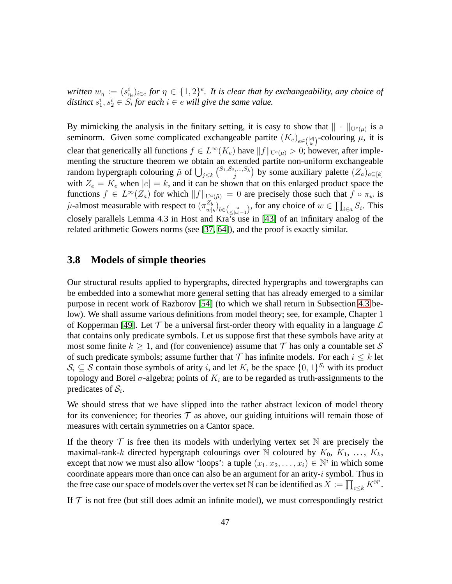written  $w_{\eta} := (s_{\eta_i}^i)_{i \in e}$  for  $\eta \in \{1,2\}^e$ . It is clear that by exchangeability, any choice of distinct  $s_1^i, s_2^i \in S_i$  for each  $i \in e$  will give the same value.

By mimicking the analysis in the finitary setting, it is easy to show that  $|| \cdot ||_{U^e(\mu)}$  is a seminorm. Given some complicated exchangeable partite  $(K_e)_{e \in \binom{[d]}{k}}$ -colouring  $\mu$ , it is clear that generically all functions  $f \in L^{\infty}(K_e)$  have  $||f||_{U^e(\mu)} > 0$ ; however, after implementing the structure theorem we obtain an extended partite non-uniform exchangeable random hypergraph colouring  $\tilde{\mu}$  of  $\bigcup_{j\leq k} \binom{S_1, S_2, ..., S_k}{j}$  $\left( \sum_{j} w_j S_{kj} \right)$  by some auxiliary palette  $(Z_a)_{a \subseteq [k]}$ with  $Z_e = K_e$  when  $|e| = k$ , and it can be shown that on this enlarged product space the functions  $f \in L^{\infty}(Z_a)$  for which  $||f||_{U^a(\tilde{\mu})} = 0$  are precisely those such that  $f \circ \pi_w$  is  $\tilde{\mu}$ -almost measurable with respect to  $(\pi_{m}^{Z_b})$  $\sum_{w|b}^{Z_b}$ <sub>b</sub> $\bigcup_{b \in \binom{a}{\leq |a|-1}}$ , for any choice of  $w \in \prod_{i \in a} S_i$ . This closely parallels Lemma 4.3 in Host and Kra's use in [\[43\]](#page-72-3) of an infinitary analog of the related arithmetic Gowers norms (see [\[37,](#page-72-4) [64\]](#page-74-0)), and the proof is exactly similar.

#### <span id="page-46-0"></span>**3.8 Models of simple theories**

Our structural results applied to hypergraphs, directed hypergraphs and towergraphs can be embedded into a somewhat more general setting that has already emerged to a similar purpose in recent work of Razborov [\[54\]](#page-73-1) (to which we shall return in Subsection [4.3](#page-55-0) below). We shall assume various definitions from model theory; see, for example, Chapter 1 of Kopperman [\[49\]](#page-73-2). Let  $\mathcal T$  be a universal first-order theory with equality in a language  $\mathcal L$ that contains only predicate symbols. Let us suppose first that these symbols have arity at most some finite  $k > 1$ , and (for convenience) assume that T has only a countable set S of such predicate symbols; assume further that  $\mathcal T$  has infinite models. For each  $i \leq k$  let  $S_i \subseteq S$  contain those symbols of arity i, and let  $K_i$  be the space  $\{0,1\}^{S_i}$  with its product topology and Borel  $\sigma$ -algebra; points of  $K_i$  are to be regarded as truth-assignments to the predicates of  $S_i$ .

We should stress that we have slipped into the rather abstract lexicon of model theory for its convenience; for theories  $\mathcal T$  as above, our guiding intuitions will remain those of measures with certain symmetries on a Cantor space.

If the theory  $\mathcal T$  is free then its models with underlying vertex set N are precisely the maximal-rank-k directed hypergraph colourings over N coloured by  $K_0, K_1, \ldots, K_k$ , except that now we must also allow 'loops': a tuple  $(x_1, x_2, ..., x_i) \in \mathbb{N}^i$  in which some coordinate appears more than once can also be an argument for an arity-*i* symbol. Thus in the free case our space of models over the vertex set  $\bar{\mathbb{N}}$  can be identified as  $X:=\prod_{i\leq k}K^{\mathbb{N}^i}.$ 

If  $T$  is not free (but still does admit an infinite model), we must correspondingly restrict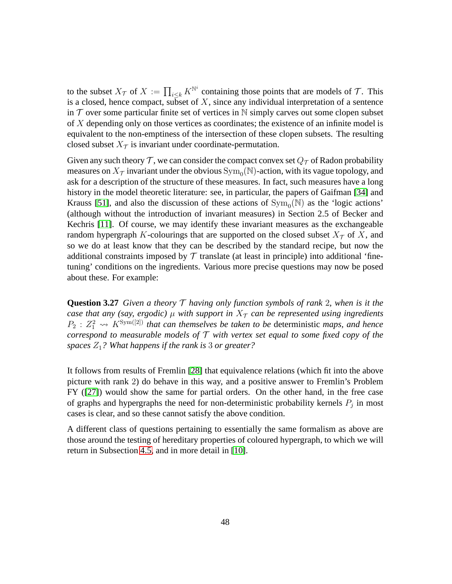to the subset  $X_{\mathcal{T}}$  of  $X := \prod_{i \leq k} K^{\mathbb{N}^i}$  containing those points that are models of  $\mathcal{T}$ . This is a closed, hence compact, subset of X, since any individual interpretation of a sentence in  $\mathcal T$  over some particular finite set of vertices in  $\mathbb N$  simply carves out some clopen subset of X depending only on those vertices as coordinates; the existence of an infinite model is equivalent to the non-emptiness of the intersection of these clopen subsets. The resulting closed subset  $X_{\tau}$  is invariant under coordinate-permutation.

Given any such theory  $\mathcal T$ , we can consider the compact convex set  $Q_{\mathcal T}$  of Radon probability measures on  $X_\mathcal{T}$  invariant under the obvious  $\mathrm{Sym}_0(\mathbb{N})$ -action, with its vague topology, and ask for a description of the structure of these measures. In fact, such measures have a long history in the model theoretic literature: see, in particular, the papers of Gaifman [\[34\]](#page-72-5) and Krauss [\[51\]](#page-73-3), and also the discussion of these actions of  $Sym_0(N)$  as the 'logic actions' (although without the introduction of invariant measures) in Section 2.5 of Becker and Kechris [\[11\]](#page-70-1). Of course, we may identify these invariant measures as the exchangeable random hypergraph K-colourings that are supported on the closed subset  $X_{\tau}$  of X, and so we do at least know that they can be described by the standard recipe, but now the additional constraints imposed by  $\mathcal T$  translate (at least in principle) into additional 'finetuning' conditions on the ingredients. Various more precise questions may now be posed about these. For example:

**Question 3.27** *Given a theory* T *having only function symbols of rank* 2*, when is it the case that any (say, ergodic)*  $\mu$  *with support in*  $X<sub>T</sub>$  *can be represented using ingredients*  $P_2: Z_1^2 \rightsquigarrow K^{\text{Sym}([2])}$  *that can themselves be taken to be deterministic maps, and hence correspond to measurable models of* T *with vertex set equal to some fixed copy of the spaces* Z1*? What happens if the rank is* 3 *or greater?*

It follows from results of Fremlin [\[28\]](#page-71-1) that equivalence relations (which fit into the above picture with rank 2) do behave in this way, and a positive answer to Fremlin's Problem FY ([\[27\]](#page-71-2)) would show the same for partial orders. On the other hand, in the free case of graphs and hypergraphs the need for non-deterministic probability kernels  $P_j$  in most cases is clear, and so these cannot satisfy the above condition.

A different class of questions pertaining to essentially the same formalism as above are those around the testing of hereditary properties of coloured hypergraph, to which we will return in Subsection [4.5,](#page-61-0) and in more detail in [\[10\]](#page-70-0).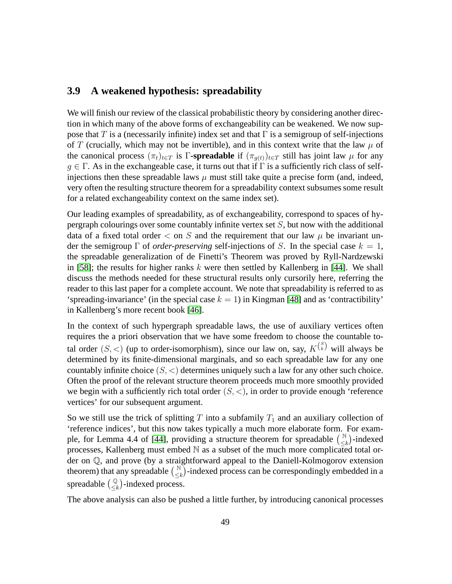## <span id="page-48-0"></span>**3.9 A weakened hypothesis: spreadability**

We will finish our review of the classical probabilistic theory by considering another direction in which many of the above forms of exchangeability can be weakened. We now suppose that T is a (necessarily infinite) index set and that  $\Gamma$  is a semigroup of self-injections of T (crucially, which may not be invertible), and in this context write that the law  $\mu$  of the canonical process  $(\pi_t)_{t\in T}$  is Γ**-spreadable** if  $(\pi_{q(t)})_{t\in T}$  still has joint law  $\mu$  for any  $g \in \Gamma$ . As in the exchangeable case, it turns out that if  $\Gamma$  is a sufficiently rich class of selfinjections then these spreadable laws  $\mu$  must still take quite a precise form (and, indeed, very often the resulting structure theorem for a spreadability context subsumes some result for a related exchangeability context on the same index set).

Our leading examples of spreadability, as of exchangeability, correspond to spaces of hypergraph colourings over some countably infinite vertex set  $S$ , but now with the additional data of a fixed total order  $\lt$  on S and the requirement that our law  $\mu$  be invariant under the semigroup  $\Gamma$  of *order-preserving* self-injections of S. In the special case  $k = 1$ , the spreadable generalization of de Finetti's Theorem was proved by Ryll-Nardzewski in [\[58\]](#page-73-4); the results for higher ranks  $k$  were then settled by Kallenberg in [\[44\]](#page-72-2). We shall discuss the methods needed for these structural results only cursorily here, referring the reader to this last paper for a complete account. We note that spreadability is referred to as 'spreading-invariance' (in the special case  $k = 1$ ) in Kingman [\[48\]](#page-73-5) and as 'contractibility' in Kallenberg's more recent book [\[46\]](#page-73-6).

In the context of such hypergraph spreadable laws, the use of auxiliary vertices often requires the a priori observation that we have some freedom to choose the countable total order  $(S, <)$  (up to order-isomorphism), since our law on, say,  $K^{S}$  will always be determined by its finite-dimensional marginals, and so each spreadable law for any one countably infinite choice  $(S, \langle \rangle)$  determines uniquely such a law for any other such choice. Often the proof of the relevant structure theorem proceeds much more smoothly provided we begin with a sufficiently rich total order  $(S, \leq)$ , in order to provide enough 'reference vertices' for our subsequent argument.

So we still use the trick of splitting T into a subfamily  $T_1$  and an auxiliary collection of 'reference indices', but this now takes typically a much more elaborate form. For exam-ple, for Lemma 4.4 of [\[44\]](#page-72-2), providing a structure theorem for spreadable  $\binom{N}{\leq N}$  $\binom{N}{\leq k}$ -indexed processes, Kallenberg must embed N as a subset of the much more complicated total order on Q, and prove (by a straightforward appeal to the Daniell-Kolmogorov extension theorem) that any spreadable  $\begin{pmatrix} \mathbb{N} \\ 1 \end{pmatrix}$  $\binom{\mathbb{N}}{\leq k}$ -indexed process can be correspondingly embedded in a spreadable  $\begin{pmatrix} \mathbb{Q} \\ \leq k \end{pmatrix}$ -indexed process.

The above analysis can also be pushed a little further, by introducing canonical processes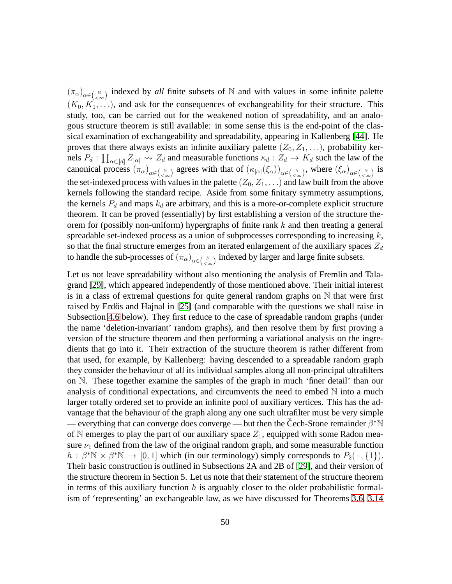$(\pi_\alpha)_{\alpha \in (\alpha \atop \infty})$  indexed by *all* finite subsets of N and with values in some infinite palette  $(K_0, K_1, \ldots)$ , and ask for the consequences of exchangeability for their structure. This study, too, can be carried out for the weakened notion of spreadability, and an analogous structure theorem is still available: in some sense this is the end-point of the classical examination of exchangeability and spreadability, appearing in Kallenberg [\[44\]](#page-72-2). He proves that there always exists an infinite auxiliary palette  $(Z_0, Z_1, \ldots)$ , probability kernels  $P_d$ :  $\prod_{\alpha \in [d]} Z_{|\alpha|} \leadsto Z_d$  and measurable functions  $\kappa_d : Z_d \to K_d$  such the law of the canonical process  $(\pi_{\alpha})_{\alpha \in (\alpha_{\infty})}$  agrees with that of  $(\kappa_{|\alpha|}(\xi_{\alpha}))_{\alpha \in (\alpha_{\infty})}$ , where  $(\xi_{\alpha})_{\alpha \in (\alpha_{\infty})}$  is the set-indexed process with values in the palette  $(Z_0, Z_1, \ldots)$  and law built from the above kernels following the standard recipe. Aside from some finitary symmetry assumptions, the kernels  $P_d$  and maps  $k_d$  are arbitrary, and this is a more-or-complete explicit structure theorem. It can be proved (essentially) by first establishing a version of the structure theorem for (possibly non-uniform) hypergraphs of finite rank  $k$  and then treating a general spreadable set-indexed process as a union of subprocesses corresponding to increasing  $k$ , so that the final structure emerges from an iterated enlargement of the auxiliary spaces  $Z_d$ to handle the sub-processes of  $(\pi_{\alpha})_{\alpha \in (\alpha \atop \leq \infty})$  indexed by larger and large finite subsets.

Let us not leave spreadability without also mentioning the analysis of Fremlin and Talagrand [\[29\]](#page-71-3), which appeared independently of those mentioned above. Their initial interest is in a class of extremal questions for quite general random graphs on  $\mathbb N$  that were first raised by Erdős and Hajnal in [\[25\]](#page-71-4) (and comparable with the questions we shall raise in Subsection [4.6](#page-64-0) below). They first reduce to the case of spreadable random graphs (under the name 'deletion-invariant' random graphs), and then resolve them by first proving a version of the structure theorem and then performing a variational analysis on the ingredients that go into it. Their extraction of the structure theorem is rather different from that used, for example, by Kallenberg: having descended to a spreadable random graph they consider the behaviour of all its individual samples along all non-principal ultrafilters on N. These together examine the samples of the graph in much 'finer detail' than our analysis of conditional expectations, and circumvents the need to embed  $\mathbb N$  into a much larger totally ordered set to provide an infinite pool of auxiliary vertices. This has the advantage that the behaviour of the graph along any one such ultrafilter must be very simple — everything that can converge does converge — but then the Čech-Stone remainder  $\beta^* N$ of N emerges to play the part of our auxiliary space  $Z_1$ , equipped with some Radon measure  $\nu_1$  defined from the law of the original random graph, and some measurable function  $h : \beta^* \mathbb{N} \times \beta^* \mathbb{N} \to [0, 1]$  which (in our terminology) simply corresponds to  $P_2(\cdot, \{1\})$ . Their basic construction is outlined in Subsections 2A and 2B of [\[29\]](#page-71-3), and their version of the structure theorem in Section 5. Let us note that their statement of the structure theorem in terms of this auxiliary function  $h$  is arguably closer to the older probabilistic formalism of 'representing' an exchangeable law, as we have discussed for Theorems [3.6,](#page-27-1) [3.14](#page-33-0)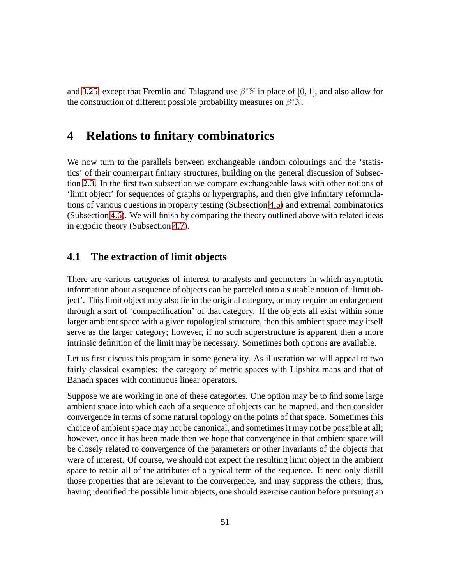and [3.25,](#page-44-1) except that Fremlin and Talagrand use  $\beta^*N$  in place of [0, 1], and also allow for the construction of different possible probability measures on  $\beta^* \mathbb{N}$ .

# **4 Relations to finitary combinatorics**

We now turn to the parallels between exchangeable random colourings and the 'statistics' of their counterpart finitary structures, building on the general discussion of Subsection [2.3.](#page-17-0) In the first two subsection we compare exchangeable laws with other notions of 'limit object' for sequences of graphs or hypergraphs, and then give infinitary reformulations of various questions in property testing (Subsection [4.5\)](#page-61-0) and extremal combinatorics (Subsection [4.6\)](#page-64-0). We will finish by comparing the theory outlined above with related ideas in ergodic theory (Subsection [4.7\)](#page-66-0).

## <span id="page-50-0"></span>**4.1 The extraction of limit objects**

There are various categories of interest to analysts and geometers in which asymptotic information about a sequence of objects can be parceled into a suitable notion of 'limit object'. This limit object may also lie in the original category, or may require an enlargement through a sort of 'compactification' of that category. If the objects all exist within some larger ambient space with a given topological structure, then this ambient space may itself serve as the larger category; however, if no such superstructure is apparent then a more intrinsic definition of the limit may be necessary. Sometimes both options are available.

Let us first discuss this program in some generality. As illustration we will appeal to two fairly classical examples: the category of metric spaces with Lipshitz maps and that of Banach spaces with continuous linear operators.

Suppose we are working in one of these categories. One option may be to find some large ambient space into which each of a sequence of objects can be mapped, and then consider convergence in terms of some natural topology on the points of that space. Sometimes this choice of ambient space may not be canonical, and sometimes it may not be possible at all; however, once it has been made then we hope that convergence in that ambient space will be closely related to convergence of the parameters or other invariants of the objects that were of interest. Of course, we should not expect the resulting limit object in the ambient space to retain all of the attributes of a typical term of the sequence. It need only distill those properties that are relevant to the convergence, and may suppress the others; thus, having identified the possible limit objects, one should exercise caution before pursuing an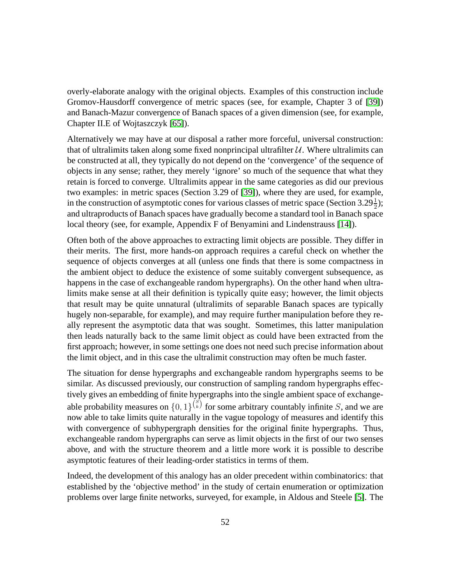overly-elaborate analogy with the original objects. Examples of this construction include Gromov-Hausdorff convergence of metric spaces (see, for example, Chapter 3 of [\[39\]](#page-72-6)) and Banach-Mazur convergence of Banach spaces of a given dimension (see, for example, Chapter II.E of Wojtaszczyk [\[65\]](#page-74-1)).

Alternatively we may have at our disposal a rather more forceful, universal construction: that of ultralimits taken along some fixed nonprincipal ultrafilter  $U$ . Where ultralimits can be constructed at all, they typically do not depend on the 'convergence' of the sequence of objects in any sense; rather, they merely 'ignore' so much of the sequence that what they retain is forced to converge. Ultralimits appear in the same categories as did our previous two examples: in metric spaces (Section 3.29 of [\[39\]](#page-72-6)), where they are used, for example, in the construction of asymptotic cones for various classes of metric space (Section 3.29 $\frac{1}{2}$ ); and ultraproducts of Banach spaces have gradually become a standard tool in Banach space local theory (see, for example, Appendix F of Benyamini and Lindenstrauss [\[14\]](#page-70-2)).

Often both of the above approaches to extracting limit objects are possible. They differ in their merits. The first, more hands-on approach requires a careful check on whether the sequence of objects converges at all (unless one finds that there is some compactness in the ambient object to deduce the existence of some suitably convergent subsequence, as happens in the case of exchangeable random hypergraphs). On the other hand when ultralimits make sense at all their definition is typically quite easy; however, the limit objects that result may be quite unnatural (ultralimits of separable Banach spaces are typically hugely non-separable, for example), and may require further manipulation before they really represent the asymptotic data that was sought. Sometimes, this latter manipulation then leads naturally back to the same limit object as could have been extracted from the first approach; however, in some settings one does not need such precise information about the limit object, and in this case the ultralimit construction may often be much faster.

The situation for dense hypergraphs and exchangeable random hypergraphs seems to be similar. As discussed previously, our construction of sampling random hypergraphs effectively gives an embedding of finite hypergraphs into the single ambient space of exchangeable probability measures on  $\{0,1\}^{\binom{S}{k}}$  for some arbitrary countably infinite S, and we are now able to take limits quite naturally in the vague topology of measures and identify this with convergence of subhypergraph densities for the original finite hypergraphs. Thus, exchangeable random hypergraphs can serve as limit objects in the first of our two senses above, and with the structure theorem and a little more work it is possible to describe asymptotic features of their leading-order statistics in terms of them.

Indeed, the development of this analogy has an older precedent within combinatorics: that established by the 'objective method' in the study of certain enumeration or optimization problems over large finite networks, surveyed, for example, in Aldous and Steele [\[5\]](#page-70-3). The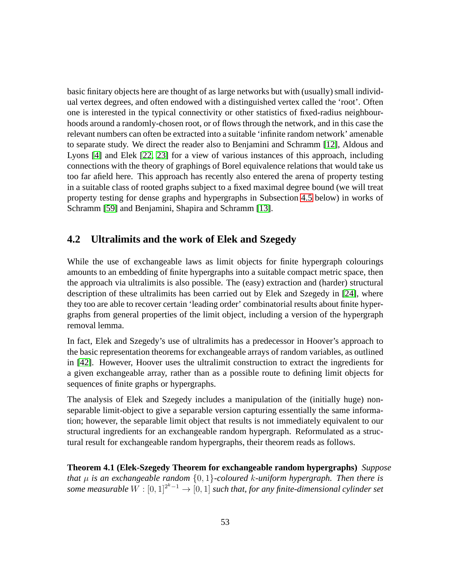basic finitary objects here are thought of as large networks but with (usually) small individual vertex degrees, and often endowed with a distinguished vertex called the 'root'. Often one is interested in the typical connectivity or other statistics of fixed-radius neighbourhoods around a randomly-chosen root, or of flows through the network, and in this case the relevant numbers can often be extracted into a suitable 'infinite random network' amenable to separate study. We direct the reader also to Benjamini and Schramm [\[12\]](#page-70-4), Aldous and Lyons [\[4\]](#page-70-5) and Elek [\[22,](#page-71-5) [23\]](#page-71-6) for a view of various instances of this approach, including connections with the theory of graphings of Borel equivalence relations that would take us too far afield here. This approach has recently also entered the arena of property testing in a suitable class of rooted graphs subject to a fixed maximal degree bound (we will treat property testing for dense graphs and hypergraphs in Subsection [4.5](#page-61-0) below) in works of Schramm [\[59\]](#page-73-7) and Benjamini, Shapira and Schramm [\[13\]](#page-70-6).

### <span id="page-52-0"></span>**4.2 Ultralimits and the work of Elek and Szegedy**

While the use of exchangeable laws as limit objects for finite hypergraph colourings amounts to an embedding of finite hypergraphs into a suitable compact metric space, then the approach via ultralimits is also possible. The (easy) extraction and (harder) structural description of these ultralimits has been carried out by Elek and Szegedy in [\[24\]](#page-71-0), where they too are able to recover certain 'leading order' combinatorial results about finite hypergraphs from general properties of the limit object, including a version of the hypergraph removal lemma.

In fact, Elek and Szegedy's use of ultralimits has a predecessor in Hoover's approach to the basic representation theorems for exchangeable arrays of random variables, as outlined in [\[42\]](#page-72-7). However, Hoover uses the ultralimit construction to extract the ingredients for a given exchangeable array, rather than as a possible route to defining limit objects for sequences of finite graphs or hypergraphs.

The analysis of Elek and Szegedy includes a manipulation of the (initially huge) nonseparable limit-object to give a separable version capturing essentially the same information; however, the separable limit object that results is not immediately equivalent to our structural ingredients for an exchangeable random hypergraph. Reformulated as a structural result for exchangeable random hypergraphs, their theorem reads as follows.

<span id="page-52-1"></span>**Theorem 4.1 (Elek-Szegedy Theorem for exchangeable random hypergraphs)** *Suppose that* µ *is an exchangeable random* {0, 1}*-coloured* k*-uniform hypergraph. Then there is* some measurable  $W:[0,1]^{2^k-1}\to [0,1]$  such that, for any finite-dimensional cylinder set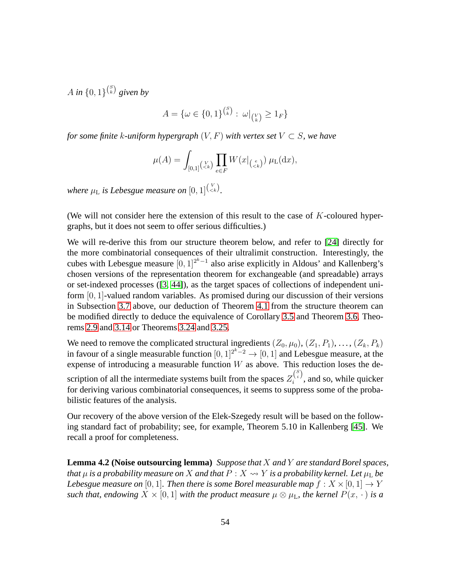$A$  in  $\{0,1\}^{\binom{S}{k}}$  given by

$$
A = \{ \omega \in \{0, 1\}^{\binom{S}{k}} : \omega|_{\binom{V}{k}} \ge 1_F \}
$$

*for some finite* k-uniform hypergraph  $(V, F)$  with vertex set  $V \subset S$ , we have

$$
\mu(A) = \int_{[0,1]} \left( \frac{V}{\epsilon k} \right) \prod_{e \in F} W(x|_{\left( \frac{e}{\epsilon k} \right)} ) \mu_{\mathcal{L}}(\mathrm{d} x),
$$

where  $\mu$ <sub>L</sub> is Lebesgue measure on  $[0,1]^{N \choose < k}$ .

(We will not consider here the extension of this result to the case of  $K$ -coloured hypergraphs, but it does not seem to offer serious difficulties.)

We will re-derive this from our structure theorem below, and refer to [\[24\]](#page-71-0) directly for the more combinatorial consequences of their ultralimit construction. Interestingly, the cubes with Lebesgue measure  $[0,1]^{2^k-1}$  also arise explicitly in Aldous' and Kallenberg's chosen versions of the representation theorem for exchangeable (and spreadable) arrays or set-indexed processes ([\[3,](#page-69-0) [44\]](#page-72-2)), as the target spaces of collections of independent uniform [0, 1]-valued random variables. As promised during our discussion of their versions in Subsection [3.7](#page-43-0) above, our deduction of Theorem [4.1](#page-52-1) from the structure theorem can be modified directly to deduce the equivalence of Corollary [3.5](#page-26-0) and Theorem [3.6,](#page-27-1) Theorems [2.9](#page-15-0) and [3.14](#page-33-0) or Theorems [3.24](#page-44-0) and [3.25.](#page-44-1)

We need to remove the complicated structural ingredients  $(Z_0, \mu_0), (Z_1, P_1), \ldots, (Z_k, P_k)$ in favour of a single measurable function  $[0, 1]^{2^k-2} \to [0, 1]$  and Lebesgue measure, at the expense of introducing a measurable function  $W$  as above. This reduction loses the description of all the intermediate systems built from the spaces  $Z_i^{S_i}$  $i^{(i)}$ , and so, while quicker for deriving various combinatorial consequences, it seems to suppress some of the probabilistic features of the analysis.

<span id="page-53-0"></span>Our recovery of the above version of the Elek-Szegedy result will be based on the following standard fact of probability; see, for example, Theorem 5.10 in Kallenberg [\[45\]](#page-73-8). We recall a proof for completeness.

**Lemma 4.2 (Noise outsourcing lemma)** *Suppose that* X *and* Y *are standard Borel spaces, that*  $\mu$  *is a probability measure on* X *and that*  $P: X \rightarrow Y$  *is a probability kernel. Let*  $\mu_L$  *be Lebesgue measure on* [0, 1]*. Then there is some Borel measurable map*  $f: X \times [0, 1] \rightarrow Y$ *such that, endowing*  $X \times [0, 1]$  *with the product measure*  $\mu \otimes \mu_L$ *, the kernel*  $P(x, \cdot)$  *is a*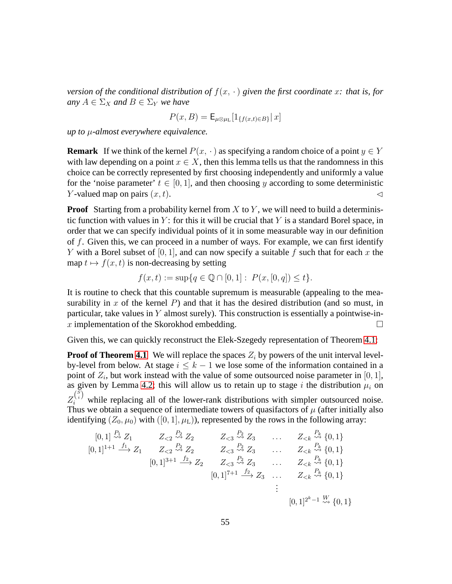*version of the conditional distribution of*  $f(x, \cdot)$  *given the first coordinate* x: that is, for *any*  $A \in \Sigma_X$  *and*  $B \in \Sigma_Y$  *we have* 

$$
P(x,B) = \mathsf{E}_{\mu \otimes \mu_{\mathrm{L}}}[1_{\{f(x,t) \in B\}} | x]
$$

*up to* µ*-almost everywhere equivalence.*

**Remark** If we think of the kernel  $P(x, \cdot)$  as specifying a random choice of a point  $y \in Y$ with law depending on a point  $x \in X$ , then this lemma tells us that the randomness in this choice can be correctly represented by first choosing independently and uniformly a value for the 'noise parameter'  $t \in [0, 1]$ , and then choosing y according to some deterministic Y-valued map on pairs  $(x, t)$ .

**Proof** Starting from a probability kernel from X to Y, we will need to build a deterministic function with values in  $Y$ : for this it will be crucial that Y is a standard Borel space, in order that we can specify individual points of it in some measurable way in our definition of  $f$ . Given this, we can proceed in a number of ways. For example, we can first identify Y with a Borel subset of [0, 1], and can now specify a suitable f such that for each x the map  $t \mapsto f(x, t)$  is non-decreasing by setting

$$
f(x,t) := \sup\{q \in \mathbb{Q} \cap [0,1]: P(x,[0,q]) \le t\}.
$$

It is routine to check that this countable supremum is measurable (appealing to the measurability in x of the kernel  $P$ ) and that it has the desired distribution (and so must, in particular, take values in  $Y$  almost surely). This construction is essentially a pointwise-inx implementation of the Skorokhod embedding.  $\Box$ 

Given this, we can quickly reconstruct the Elek-Szegedy representation of Theorem [4.1:](#page-52-1)

**Proof of Theorem [4.1](#page-52-1)** We will replace the spaces  $Z_i$  by powers of the unit interval levelby-level from below. At stage  $i \leq k - 1$  we lose some of the information contained in a point of  $Z_i$ , but work instead with the value of some outsourced noise parameter in [0, 1], as given by Lemma [4.2;](#page-53-0) this will allow us to retain up to stage i the distribution  $\mu_i$  on  $Z_i^{S_i}$  while replacing all of the lower-rank distributions with simpler outsourced noise. Thus we obtain a sequence of intermediate towers of quasifactors of  $\mu$  (after initially also identifying  $(Z_0, \mu_0)$  with  $([0, 1], \mu_L)$ ), represented by the rows in the following array:

$$
[0,1] \stackrel{P_1}{\rightsquigarrow} Z_1 \qquad Z_{<2} \stackrel{P_2}{\rightsquigarrow} Z_2 \qquad Z_{<3} \stackrel{P_2}{\rightsquigarrow} Z_3 \qquad \dots \qquad Z_{< k} \stackrel{P_k}{\rightsquigarrow} \{0,1\}
$$
  
\n
$$
[0,1]^{1+1} \stackrel{f_1}{\longrightarrow} Z_1 \qquad Z_{<2} \stackrel{P_2}{\rightsquigarrow} Z_2 \qquad Z_{<3} \stackrel{P_2}{\rightsquigarrow} Z_3 \qquad \dots \qquad Z_{< k} \stackrel{P_k}{\rightsquigarrow} \{0,1\}
$$
  
\n
$$
[0,1]^{3+1} \stackrel{f_2}{\longrightarrow} Z_2 \qquad Z_{<3} \stackrel{P_2}{\rightsquigarrow} Z_3 \qquad \dots \qquad Z_{< k} \stackrel{P_k}{\rightsquigarrow} \{0,1\}
$$
  
\n
$$
[0,1]^{7+1} \stackrel{f_2}{\longrightarrow} Z_3 \qquad \dots \qquad Z_{< k} \stackrel{P_k}{\rightsquigarrow} \{0,1\}
$$
  
\n
$$
\vdots
$$
  
\n
$$
[0,1]^{2^k-1} \stackrel{W}{\rightsquigarrow} \{0,1\}
$$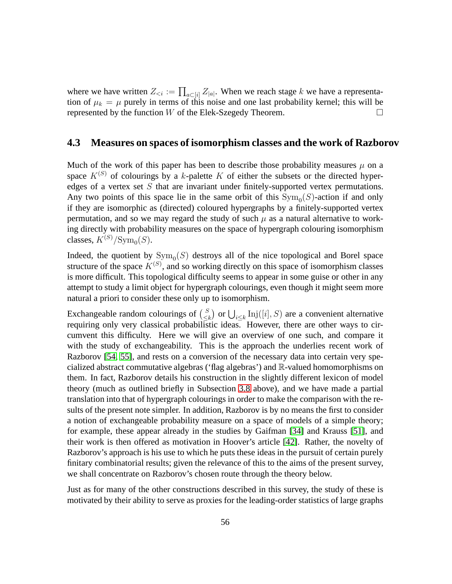where we have written  $Z_{\leq i} := \prod_{a \subset [i]} Z_{|a|}$ . When we reach stage k we have a representation of  $\mu_k = \mu$  purely in terms of this noise and one last probability kernel; this will be represented by the function  $W$  of the Elek-Szegedy Theorem.  $\Box$ 

#### <span id="page-55-0"></span>**4.3 Measures on spaces of isomorphism classes and the work of Razborov**

Much of the work of this paper has been to describe those probability measures  $\mu$  on a space  $K^{(S)}$  of colourings by a k-palette K of either the subsets or the directed hyperedges of a vertex set  $S$  that are invariant under finitely-supported vertex permutations. Any two points of this space lie in the same orbit of this  $Sym_0(S)$ -action if and only if they are isomorphic as (directed) coloured hypergraphs by a finitely-supported vertex permutation, and so we may regard the study of such  $\mu$  as a natural alternative to working directly with probability measures on the space of hypergraph colouring isomorphism classes,  $K^{(S)}/\text{Sym}_0(S)$ .

Indeed, the quotient by  $Sym_0(S)$  destroys all of the nice topological and Borel space structure of the space  $K^{(S)}$ , and so working directly on this space of isomorphism classes is more difficult. This topological difficulty seems to appear in some guise or other in any attempt to study a limit object for hypergraph colourings, even though it might seem more natural a priori to consider these only up to isomorphism.

Exchangeable random colourings of  $\binom{S}{\leq S}$  $\left\{\begin{matrix} S \\ \leq k \end{matrix}\right\}$  or  $\bigcup_{i \leq k}$  Inj $([i], S)$  are a convenient alternative requiring only very classical probabilistic ideas. However, there are other ways to circumvent this difficulty. Here we will give an overview of one such, and compare it with the study of exchangeability. This is the approach the underlies recent work of Razborov [\[54,](#page-73-1) [55\]](#page-73-9), and rests on a conversion of the necessary data into certain very specialized abstract commutative algebras ('flag algebras') and  $\mathbb R$ -valued homomorphisms on them. In fact, Razborov details his construction in the slightly different lexicon of model theory (much as outlined briefly in Subsection [3.8](#page-46-0) above), and we have made a partial translation into that of hypergraph colourings in order to make the comparison with the results of the present note simpler. In addition, Razborov is by no means the first to consider a notion of exchangeable probability measure on a space of models of a simple theory; for example, these appear already in the studies by Gaifman [\[34\]](#page-72-5) and Krauss [\[51\]](#page-73-3), and their work is then offered as motivation in Hoover's article [\[42\]](#page-72-7). Rather, the novelty of Razborov's approach is his use to which he puts these ideas in the pursuit of certain purely finitary combinatorial results; given the relevance of this to the aims of the present survey, we shall concentrate on Razborov's chosen route through the theory below.

Just as for many of the other constructions described in this survey, the study of these is motivated by their ability to serve as proxies for the leading-order statistics of large graphs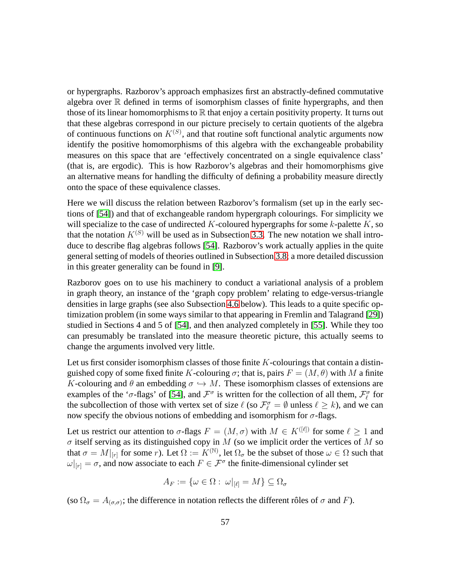or hypergraphs. Razborov's approach emphasizes first an abstractly-defined commutative algebra over  $\mathbb R$  defined in terms of isomorphism classes of finite hypergraphs, and then those of its linear homomorphisms to  $\mathbb R$  that enjoy a certain positivity property. It turns out that these algebras correspond in our picture precisely to certain quotients of the algebra of continuous functions on  $K^{(S)}$ , and that routine soft functional analytic arguments now identify the positive homomorphisms of this algebra with the exchangeable probability measures on this space that are 'effectively concentrated on a single equivalence class' (that is, are ergodic). This is how Razborov's algebras and their homomorphisms give an alternative means for handling the difficulty of defining a probability measure directly onto the space of these equivalence classes.

Here we will discuss the relation between Razborov's formalism (set up in the early sections of [\[54\]](#page-73-1)) and that of exchangeable random hypergraph colourings. For simplicity we will specialize to the case of undirected  $K$ -coloured hypergraphs for some  $k$ -palette  $K$ , so that the notation  $K^{(S)}$  will be used as in Subsection [3.3.](#page-27-0) The new notation we shall introduce to describe flag algebras follows [\[54\]](#page-73-1). Razborov's work actually applies in the quite general setting of models of theories outlined in Subsection [3.8;](#page-46-0) a more detailed discussion in this greater generality can be found in [\[9\]](#page-70-7).

Razborov goes on to use his machinery to conduct a variational analysis of a problem in graph theory, an instance of the 'graph copy problem' relating to edge-versus-triangle densities in large graphs (see also Subsection [4.6](#page-64-0) below). This leads to a quite specific optimization problem (in some ways similar to that appearing in Fremlin and Talagrand [\[29\]](#page-71-3)) studied in Sections 4 and 5 of [\[54\]](#page-73-1), and then analyzed completely in [\[55\]](#page-73-9). While they too can presumably be translated into the measure theoretic picture, this actually seems to change the arguments involved very little.

Let us first consider isomorphism classes of those finite  $K$ -colourings that contain a distinguished copy of some fixed finite K-colouring  $\sigma$ ; that is, pairs  $F = (M, \theta)$  with M a finite K-colouring and  $\theta$  an embedding  $\sigma \hookrightarrow M$ . These isomorphism classes of extensions are examples of the ' $\sigma$ -flags' of [\[54\]](#page-73-1), and  $\mathcal{F}^{\sigma}$  is written for the collection of all them,  $\mathcal{F}_{\ell}^{\sigma}$  for the subcollection of those with vertex set of size  $\ell$  (so  $\mathcal{F}_\ell^{\sigma} = \emptyset$  unless  $\ell \geq k$ ), and we can now specify the obvious notions of embedding and isomorphism for  $\sigma$ -flags.

Let us restrict our attention to  $\sigma$ -flags  $F = (M, \sigma)$  with  $M \in K^{([\ell])}$  for some  $\ell > 1$  and  $\sigma$  itself serving as its distinguished copy in M (so we implicit order the vertices of M so that  $\sigma = M|_{[r]}$  for some r). Let  $\Omega := K^{(\mathbb{N})}$ , let  $\Omega_{\sigma}$  be the subset of those  $\omega \in \Omega$  such that  $\omega|_{[r]} = \sigma$ , and now associate to each  $F \in \mathcal{F}^{\sigma}$  the finite-dimensional cylinder set

$$
A_F := \{ \omega \in \Omega : \left. \omega \right|_{[\ell]} = M \} \subseteq \Omega_\sigma
$$

(so  $\Omega_{\sigma} = A_{(\sigma,\sigma)}$ ; the difference in notation reflects the different rôles of  $\sigma$  and F).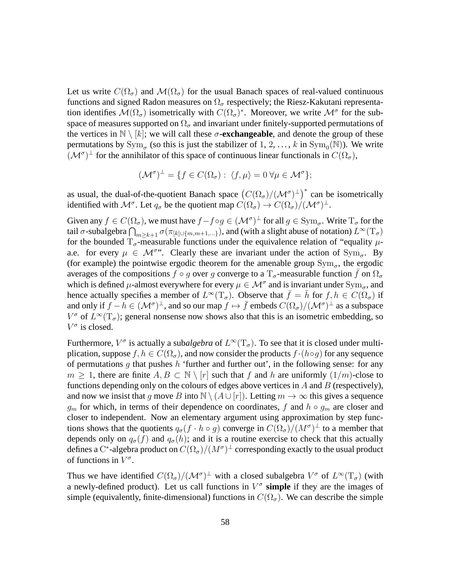Let us write  $C(\Omega_{\sigma})$  and  $\mathcal{M}(\Omega_{\sigma})$  for the usual Banach spaces of real-valued continuous functions and signed Radon measures on  $\Omega_{\sigma}$  respectively; the Riesz-Kakutani representation identifies  $\mathcal{M}(\Omega_{\sigma})$  isometrically with  $C(\Omega_{\sigma})^*$ . Moreover, we write  $\mathcal{M}^{\sigma}$  for the subspace of measures supported on  $\Omega_{\sigma}$  and invariant under finitely-supported permutations of the vertices in  $\mathbb{N} \setminus [k]$ ; we will call these  $\sigma$ **-exchangeable**, and denote the group of these permutations by  $\text{Sym}_{\sigma}$  (so this is just the stabilizer of 1, 2, ..., k in  $\text{Sym}_{0}(\mathbb{N})$ ). We write  $(\mathcal{M}^{\sigma})^{\perp}$  for the annihilator of this space of continuous linear functionals in  $C(\Omega_{\sigma})$ ,

$$
(\mathcal{M}^{\sigma})^{\perp} = \{ f \in C(\Omega_{\sigma}) : \langle f, \mu \rangle = 0 \,\forall \mu \in \mathcal{M}^{\sigma} \};
$$

as usual, the dual-of-the-quotient Banach space  $(C(\Omega_{\sigma})/(\mathcal{M}^{\sigma})^{\perp})^*$  can be isometrically identified with  $\mathcal{M}^{\sigma}$ . Let  $q_{\sigma}$  be the quotient map  $C(\Omega_{\sigma}) \to C(\Omega_{\sigma})/(\mathcal{M}^{\sigma})^{\perp}$ .

Given any  $f \in C(\Omega_{\sigma})$ , we must have  $f - f \circ g \in (\mathcal{M}^{\sigma})^{\perp}$  for all  $g \in \text{Sym}_{\sigma}$ . Write  $T_{\sigma}$  for the tail  $\sigma$ -subalgebra  $\bigcap_{m\geq k+1}\sigma(\pi_{[k]\cup\{m,m+1,...\}}),$  and (with a slight abuse of notation)  $L^\infty(\mathrm{T}_\sigma)$ for the bounded  $T_{\sigma}$ -measurable functions under the equivalence relation of "equality  $\mu$ a.e. for every  $\mu \in \mathcal{M}^{\sigma}$ . Clearly these are invariant under the action of  $Sym_{\sigma}$ . By (for example) the pointwise ergodic theorem for the amenable group  $Sym_{\sigma}$ , the ergodic averages of the compositions  $f \circ g$  over g converge to a  $T_{\sigma}$ -measurable function  $\bar{f}$  on  $\Omega_{\sigma}$ which is defined  $\mu$ -almost everywhere for every  $\mu \in \mathcal{M}^{\sigma}$  and is invariant under  $\text{Sym}_{\sigma}$ , and hence actually specifies a member of  $L^{\infty}(\mathcal{T}_{\sigma})$ . Observe that  $\bar{f} = \bar{h}$  for  $f, h \in C(\Omega_{\sigma})$  if and only if  $f - h \in (\mathcal{M}^{\sigma})^{\perp}$ , and so our map  $f \mapsto \bar{f}$  embeds  $C(\Omega_{\sigma})/(\mathcal{M}^{\sigma})^{\perp}$  as a subspace  $V^{\sigma}$  of  $L^{\infty}(\mathrm{T}_{\sigma})$ ; general nonsense now shows also that this is an isometric embedding, so  $V^{\sigma}$  is closed.

Furthermore,  $V^{\sigma}$  is actually a subalgebra of  $L^{\infty}(\mathcal{T}_{\sigma})$ . To see that it is closed under multiplication, suppose  $f, h \in C(\Omega_{\sigma})$ , and now consider the products  $f \cdot (h \circ g)$  for any sequence of permutations g that pushes h 'further and further out', in the following sense: for any  $m \geq 1$ , there are finite  $A, B \subset \mathbb{N} \setminus [r]$  such that f and h are uniformly  $(1/m)$ -close to functions depending only on the colours of edges above vertices in  $A$  and  $B$  (respectively), and now we insist that g move B into  $\mathbb{N} \setminus (A \cup [r])$ . Letting  $m \to \infty$  this gives a sequence  $g_m$  for which, in terms of their dependence on coordinates, f and  $h \circ g_m$  are closer and closer to independent. Now an elementary argument using approximation by step functions shows that the quotients  $q_{\sigma}(f \cdot h \circ g)$  converge in  $C(\Omega_{\sigma})/(M^{\sigma})^{\perp}$  to a member that depends only on  $q_{\sigma}(f)$  and  $q_{\sigma}(h)$ ; and it is a routine exercise to check that this actually defines a C\*-algebra product on  $C(\Omega_{\sigma})/(M^{\sigma})^{\perp}$  corresponding exactly to the usual product of functions in  $V^{\sigma}$ .

Thus we have identified  $C(\Omega_{\sigma})/(\mathcal{M}^{\sigma})^{\perp}$  with a closed subalgebra  $V^{\sigma}$  of  $L^{\infty}(\mathrm{T}_{\sigma})$  (with a newly-defined product). Let us call functions in  $V^{\sigma}$  simple if they are the images of simple (equivalently, finite-dimensional) functions in  $C(\Omega_{\sigma})$ . We can describe the simple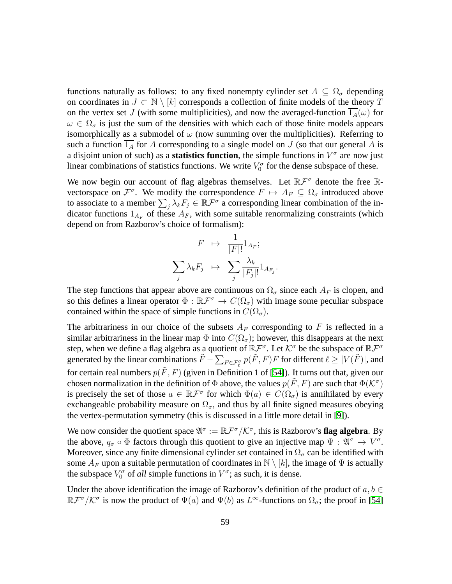functions naturally as follows: to any fixed nonempty cylinder set  $A \subseteq \Omega_{\sigma}$  depending on coordinates in  $J \subset \mathbb{N} \setminus [k]$  corresponds a collection of finite models of the theory T on the vertex set J (with some multiplicities), and now the averaged-function  $1_A(\omega)$  for  $\omega \in \Omega_{\sigma}$  is just the sum of the densities with which each of those finite models appears isomorphically as a submodel of  $\omega$  (now summing over the multiplicities). Referring to such a function  $\overline{1_A}$  for A corresponding to a single model on J (so that our general A is a disjoint union of such) as a **statistics function**, the simple functions in  $V^{\sigma}$  are now just linear combinations of statistics functions. We write  $V_0^{\sigma}$  for the dense subspace of these.

We now begin our account of flag algebras themselves. Let  $\mathbb{R} \mathcal{F}^{\sigma}$  denote the free  $\mathbb{R}$ vectorspace on  $\mathcal{F}^{\sigma}$ . We modify the correspondence  $F \mapsto A_F \subseteq \Omega_{\sigma}$  introduced above to associate to a member  $\sum_j \lambda_k F_j \in \mathbb{R} \mathcal{F}^{\sigma}$  a corresponding linear combination of the indicator functions  $1_{A_F}$  of these  $A_F$ , with some suitable renormalizing constraints (which depend on from Razborov's choice of formalism):

$$
F \mapsto \frac{1}{|F|!} 1_{A_F};
$$
  

$$
\sum_{j} \lambda_k F_j \mapsto \sum_{j} \frac{\lambda_k}{|F_j|!} 1_{A_{F_j}}
$$

.

The step functions that appear above are continuous on  $\Omega_{\sigma}$  since each  $A_F$  is clopen, and so this defines a linear operator  $\Phi : \mathbb{R} \mathcal{F}^{\sigma} \to C(\Omega_{\sigma})$  with image some peculiar subspace contained within the space of simple functions in  $C(\Omega_{\sigma})$ .

The arbitrariness in our choice of the subsets  $A_F$  corresponding to F is reflected in a similar arbitrariness in the linear map  $\Phi$  into  $C(\Omega_{\sigma})$ ; however, this disappears at the next step, when we define a flag algebra as a quotient of  $\mathbb{R}^{\mathcal{F}^{\sigma}}$ . Let  $\mathcal{K}^{\sigma}$  be the subspace of  $\mathbb{R}^{\mathcal{F}^{\sigma}}$ generated by the linear combinations  $\tilde{F} - \sum_{F \in \mathcal{F}_\ell^{\sigma}} p(\tilde{F}, F) F$  for different  $\ell \geq |V(\tilde{F})|$ , and for certain real numbers  $p(F, F)$  (given in Definition 1 of [\[54\]](#page-73-1)). It turns out that, given our chosen normalization in the definition of  $\Phi$  above, the values  $p(\tilde{F}, F)$  are such that  $\Phi(\mathcal{K}^{\sigma})$ is precisely the set of those  $a \in \mathbb{R} \mathcal{F}^{\sigma}$  for which  $\Phi(a) \in C(\Omega_{\sigma})$  is annihilated by every exchangeable probability measure on  $\Omega_{\sigma}$ , and thus by all finite signed measures obeying the vertex-permutation symmetry (this is discussed in a little more detail in [\[9\]](#page-70-7)).

We now consider the quotient space  $\mathfrak{A}^{\sigma} := \mathbb{R} \mathcal{F}^{\sigma}/\mathcal{K}^{\sigma}$ , this is Razborov's **flag algebra**. By the above,  $q_{\sigma} \circ \Phi$  factors through this quotient to give an injective map  $\Psi : \mathfrak{A}^{\sigma} \to V^{\sigma}$ . Moreover, since any finite dimensional cylinder set contained in  $\Omega_{\sigma}$  can be identified with some  $A_F$  upon a suitable permutation of coordinates in  $\mathbb{N} \setminus [k]$ , the image of  $\Psi$  is actually the subspace  $V_0^{\sigma}$  of *all* simple functions in  $V^{\sigma}$ ; as such, it is dense.

Under the above identification the image of Razborov's definition of the product of  $a, b \in$  $\mathbb{R} \mathcal{F}^{\sigma}/\mathcal{K}^{\sigma}$  is now the product of  $\Psi(a)$  and  $\Psi(b)$  as  $L^{\infty}$ -functions on  $\Omega_{\sigma}$ ; the proof in [\[54\]](#page-73-1)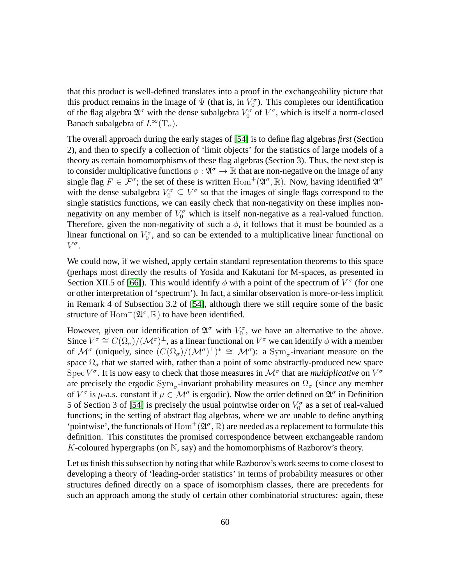that this product is well-defined translates into a proof in the exchangeability picture that this product remains in the image of  $\Psi$  (that is, in  $V_0^{\sigma}$ ). This completes our identification of the flag algebra  $\mathfrak{A}^{\sigma}$  with the dense subalgebra  $V_0^{\sigma}$  of  $V^{\sigma}$ , which is itself a norm-closed Banach subalgebra of  $L^{\infty}(\mathrm{T}_{\sigma}).$ 

The overall approach during the early stages of [\[54\]](#page-73-1) is to define flag algebras *first* (Section 2), and then to specify a collection of 'limit objects' for the statistics of large models of a theory as certain homomorphisms of these flag algebras (Section 3). Thus, the next step is to consider multiplicative functions  $\phi : \mathfrak{A}^{\sigma} \to \mathbb{R}$  that are non-negative on the image of any single flag  $F \in \mathcal{F}^{\sigma}$ ; the set of these is written  $\text{Hom}^+(\mathfrak{A}^{\sigma}, \mathbb{R})$ . Now, having identified  $\mathfrak{A}^{\sigma}$ with the dense subalgebra  $V_0^{\sigma} \subseteq V^{\sigma}$  so that the images of single flags correspond to the single statistics functions, we can easily check that non-negativity on these implies nonnegativity on any member of  $V_0^{\sigma}$  which is itself non-negative as a real-valued function. Therefore, given the non-negativity of such a  $\phi$ , it follows that it must be bounded as a linear functional on  $V_0^{\sigma}$ , and so can be extended to a multiplicative linear functional on  $V^{\sigma}$ .

We could now, if we wished, apply certain standard representation theorems to this space (perhaps most directly the results of Yosida and Kakutani for M-spaces, as presented in Section XII.5 of [\[66\]](#page-74-2)). This would identify  $\phi$  with a point of the spectrum of  $V^{\sigma}$  (for one or other interpretation of 'spectrum'). In fact, a similar observation is more-or-less implicit in Remark 4 of Subsection 3.2 of [\[54\]](#page-73-1), although there we still require some of the basic structure of  $\text{Hom}^+(\mathfrak{A}^\sigma,\mathbb{R})$  to have been identified.

However, given our identification of  $\mathfrak{A}^{\sigma}$  with  $V_0^{\sigma}$ , we have an alternative to the above. Since  $V^{\sigma} \cong C(\Omega_{\sigma})/(\mathcal{M}^{\sigma})^{\perp}$ , as a linear functional on  $V^{\sigma}$  we can identify  $\phi$  with a member of  $\mathcal{M}^{\sigma}$  (uniquely, since  $(C(\Omega_{\sigma})/(\mathcal{M}^{\sigma})^{\perp})^* \cong \mathcal{M}^{\sigma}$ ): a Sym<sub> $\sigma$ </sub>-invariant measure on the space  $\Omega_{\sigma}$  that we started with, rather than a point of some abstractly-produced new space Spec  $V^{\sigma}$ . It is now easy to check that those measures in  $\mathcal{M}^{\sigma}$  that are *multiplicative* on  $V^{\sigma}$ are precisely the ergodic  $Sym_{\sigma}$ -invariant probability measures on  $\Omega_{\sigma}$  (since any member of  $V^{\sigma}$  is  $\mu$ -a.s. constant if  $\mu \in M^{\sigma}$  is ergodic). Now the order defined on  $\mathfrak{A}^{\sigma}$  in Definition 5 of Section 3 of [\[54\]](#page-73-1) is precisely the usual pointwise order on  $V_0^{\sigma}$  as a set of real-valued functions; in the setting of abstract flag algebras, where we are unable to define anything 'pointwise', the functionals of  $\text{Hom}^+(\mathfrak{A}^\sigma,\mathbb{R})$  are needed as a replacement to formulate this definition. This constitutes the promised correspondence between exchangeable random K-coloured hypergraphs (on  $\mathbb N$ , say) and the homomorphisms of Razborov's theory.

Let us finish this subsection by noting that while Razborov's work seems to come closest to developing a theory of 'leading-order statistics' in terms of probability measures or other structures defined directly on a space of isomorphism classes, there are precedents for such an approach among the study of certain other combinatorial structures: again, these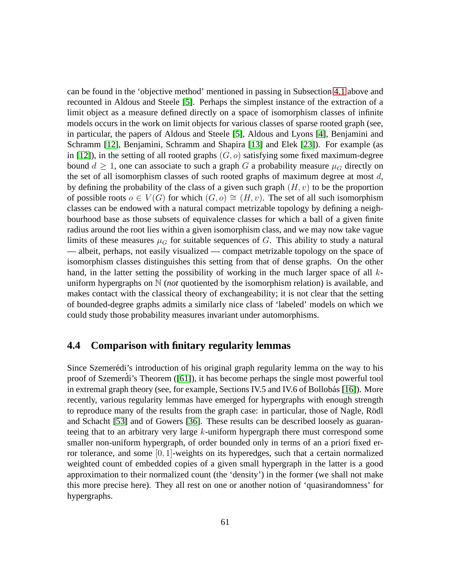can be found in the 'objective method' mentioned in passing in Subsection [4.1](#page-50-0) above and recounted in Aldous and Steele [\[5\]](#page-70-3). Perhaps the simplest instance of the extraction of a limit object as a measure defined directly on a space of isomorphism classes of infinite models occurs in the work on limit objects for various classes of sparse rooted graph (see, in particular, the papers of Aldous and Steele [\[5\]](#page-70-3), Aldous and Lyons [\[4\]](#page-70-5), Benjamini and Schramm [\[12\]](#page-70-4), Benjamini, Schramm and Shapira [\[13\]](#page-70-6) and Elek [\[23\]](#page-71-6)). For example (as in [\[12\]](#page-70-4)), in the setting of all rooted graphs  $(G, o)$  satisfying some fixed maximum-degree bound  $d > 1$ , one can associate to such a graph G a probability measure  $\mu_G$  directly on the set of all isomorphism classes of such rooted graphs of maximum degree at most  $d$ , by defining the probability of the class of a given such graph  $(H, v)$  to be the proportion of possible roots  $o \in V(G)$  for which  $(G, o) \cong (H, v)$ . The set of all such isomorphism classes can be endowed with a natural compact metrizable topology by defining a neighbourhood base as those subsets of equivalence classes for which a ball of a given finite radius around the root lies within a given isomorphism class, and we may now take vague limits of these measures  $\mu_G$  for suitable sequences of G. This ability to study a natural — albeit, perhaps, not easily visualized — compact metrizable topology on the space of isomorphism classes distinguishes this setting from that of dense graphs. On the other hand, in the latter setting the possibility of working in the much larger space of all kuniform hypergraphs on N (*not* quotiented by the isomorphism relation) is available, and makes contact with the classical theory of exchangeability; it is not clear that the setting of bounded-degree graphs admits a similarly nice class of 'labeled' models on which we could study those probability measures invariant under automorphisms.

## **4.4 Comparison with finitary regularity lemmas**

Since Szemerédi's introduction of his original graph regularity lemma on the way to his proof of Szemerdi's Theorem  $([61])$  $([61])$  $([61])$ , it has become perhaps the single most powerful tool in extremal graph theory (see, for example, Sections IV.5 and IV.6 of Bollobás [\[16\]](#page-70-8)). More recently, various regularity lemmas have emerged for hypergraphs with enough strength to reproduce many of the results from the graph case: in particular, those of Nagle, Rödl and Schacht [\[53\]](#page-73-0) and of Gowers [\[36\]](#page-72-1). These results can be described loosely as guaranteeing that to an arbitrary very large k-uniform hypergraph there must correspond some smaller non-uniform hypergraph, of order bounded only in terms of an a priori fixed error tolerance, and some  $[0, 1]$ -weights on its hyperedges, such that a certain normalized weighted count of embedded copies of a given small hypergraph in the latter is a good approximation to their normalized count (the 'density') in the former (we shall not make this more precise here). They all rest on one or another notion of 'quasirandomness' for hypergraphs.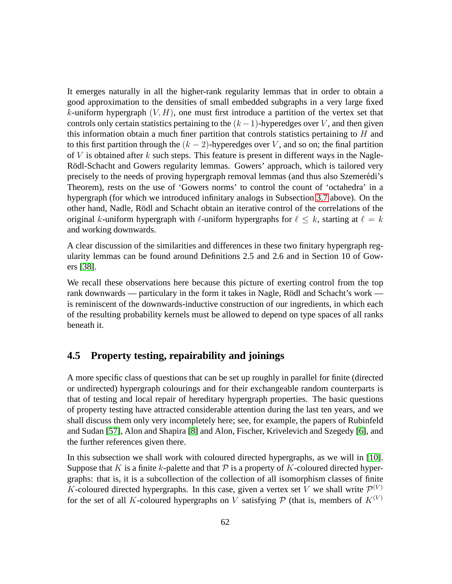It emerges naturally in all the higher-rank regularity lemmas that in order to obtain a good approximation to the densities of small embedded subgraphs in a very large fixed k-uniform hypergraph  $(V, H)$ , one must first introduce a partition of the vertex set that controls only certain statistics pertaining to the  $(k-1)$ -hyperedges over V, and then given this information obtain a much finer partition that controls statistics pertaining to  $H$  and to this first partition through the  $(k - 2)$ -hyperedges over V, and so on; the final partition of  $V$  is obtained after  $k$  such steps. This feature is present in different ways in the Nagle-Rödl-Schacht and Gowers regularity lemmas. Gowers' approach, which is tailored very precisely to the needs of proving hypergraph removal lemmas (and thus also Szemerédi's Theorem), rests on the use of 'Gowers norms' to control the count of 'octahedra' in a hypergraph (for which we introduced infinitary analogs in Subsection [3.7](#page-43-0) above). On the other hand, Nadle, R¨odl and Schacht obtain an iterative control of the correlations of the original k-uniform hypergraph with  $\ell$ -uniform hypergraphs for  $\ell \leq k$ , starting at  $\ell = k$ and working downwards.

A clear discussion of the similarities and differences in these two finitary hypergraph regularity lemmas can be found around Definitions 2.5 and 2.6 and in Section 10 of Gowers [\[38\]](#page-72-0).

We recall these observations here because this picture of exerting control from the top rank downwards — particulary in the form it takes in Nagle, Rödl and Schacht's work is reminiscent of the downwards-inductive construction of our ingredients, in which each of the resulting probability kernels must be allowed to depend on type spaces of all ranks beneath it.

#### <span id="page-61-0"></span>**4.5 Property testing, repairability and joinings**

A more specific class of questions that can be set up roughly in parallel for finite (directed or undirected) hypergraph colourings and for their exchangeable random counterparts is that of testing and local repair of hereditary hypergraph properties. The basic questions of property testing have attracted considerable attention during the last ten years, and we shall discuss them only very incompletely here; see, for example, the papers of Rubinfeld and Sudan [\[57\]](#page-73-10), Alon and Shapira [\[8\]](#page-70-9) and Alon, Fischer, Krivelevich and Szegedy [\[6\]](#page-70-10), and the further references given there.

In this subsection we shall work with coloured directed hypergraphs, as we will in [\[10\]](#page-70-0). Suppose that K is a finite k-palette and that  $\mathcal P$  is a property of K-coloured directed hypergraphs: that is, it is a subcollection of the collection of all isomorphism classes of finite K-coloured directed hypergraphs. In this case, given a vertex set V we shall write  $\mathcal{P}^{(V)}$ for the set of all K-coloured hypergraphs on V satisfying  $P$  (that is, members of  $K^{(V)}$ )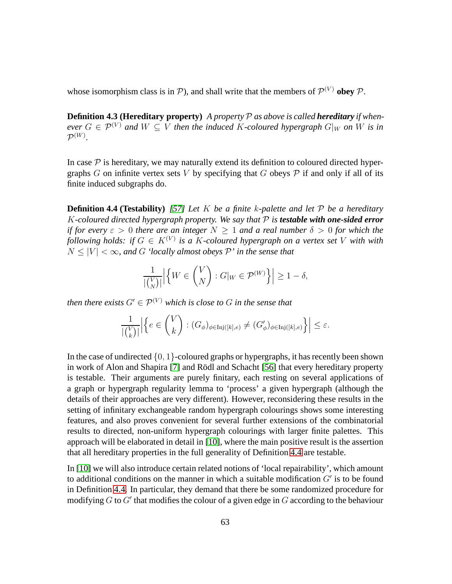whose isomorphism class is in  $P$ ), and shall write that the members of  $P^{(V)}$  obey  $P$ .

**Definition 4.3 (Hereditary property)** *A property*  $P$  *as above is called hereditary if whenever*  $G \in \mathcal{P}^{(V)}$  *and*  $W \subseteq V$  *then the induced* K-coloured hypergraph  $G|_W$  *on* W is in  $\mathcal{P}^{(W)}$ .

<span id="page-62-0"></span>In case  $\mathcal P$  is hereditary, we may naturally extend its definition to coloured directed hypergraphs G on infinite vertex sets V by specifying that G obeys  $P$  if and only if all of its finite induced subgraphs do.

**Definition 4.4 (Testability)** *[\[57\]](#page-73-10) Let* K *be a finite* k*-palette and let* P *be a hereditary* K-coloured directed hypergraph property. We say that  $P$  *is* **testable with one-sided error** *if for every*  $\varepsilon > 0$  *there are an integer*  $N > 1$  *and a real number*  $\delta > 0$  *for which the following holds: if*  $G \in K^{(V)}$  *is a K-coloured hypergraph on a vertex set* V *with with*  $N \leq |V| < \infty$ , and G 'locally almost obeys P' in the sense that

$$
\frac{1}{|\binom{V}{N}|} \Big| \Big\{ W \in \binom{V}{N} : G|_{W} \in \mathcal{P}^{(W)} \Big\} \Big| \ge 1 - \delta,
$$

*then there exists*  $G' \in \mathcal{P}^{(V)}$  *which is close to* G *in the sense that* 

$$
\frac{1}{|\binom{V}{k}|}\Big|\Big\{e\in\binom{V}{k}: (G_{\phi})_{\phi\in\text{Inj}([k],e)}\neq (G'_{\phi})_{\phi\in\text{Inj}([k],e)}\Big\}\Big|\leq\varepsilon.
$$

In the case of undirected  $\{0, 1\}$ -coloured graphs or hypergraphs, it has recently been shown in work of Alon and Shapira [\[7\]](#page-70-11) and Rödl and Schacht [\[56\]](#page-73-11) that every hereditary property is testable. Their arguments are purely finitary, each resting on several applications of a graph or hypergraph regularity lemma to 'process' a given hypergraph (although the details of their approaches are very different). However, reconsidering these results in the setting of infinitary exchangeable random hypergraph colourings shows some interesting features, and also proves convenient for several further extensions of the combinatorial results to directed, non-uniform hypergraph colourings with larger finite palettes. This approach will be elaborated in detail in [\[10\]](#page-70-0), where the main positive result is the assertion that all hereditary properties in the full generality of Definition [4.4](#page-62-0) are testable.

In [\[10\]](#page-70-0) we will also introduce certain related notions of 'local repairability', which amount to additional conditions on the manner in which a suitable modification  $G'$  is to be found in Definition [4.4.](#page-62-0) In particular, they demand that there be some randomized procedure for modifying  $G$  to  $G'$  that modifies the colour of a given edge in  $G$  according to the behaviour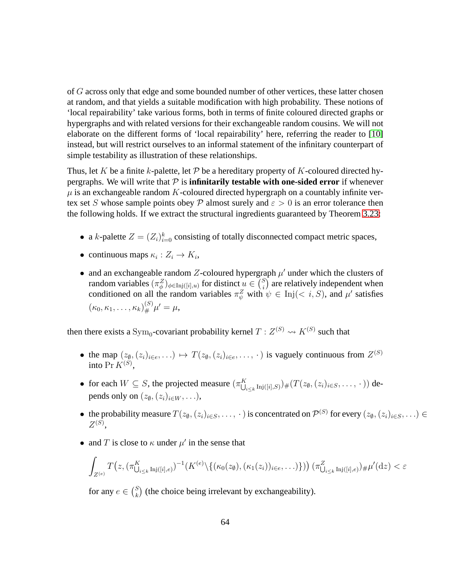of G across only that edge and some bounded number of other vertices, these latter chosen at random, and that yields a suitable modification with high probability. These notions of 'local repairability' take various forms, both in terms of finite coloured directed graphs or hypergraphs and with related versions for their exchangeable random cousins. We will not elaborate on the different forms of 'local repairability' here, referring the reader to [\[10\]](#page-70-0) instead, but will restrict ourselves to an informal statement of the infinitary counterpart of simple testability as illustration of these relationships.

Thus, let K be a finite k-palette, let P be a hereditary property of K-coloured directed hypergraphs. We will write that  $P$  is **infinitarily testable with one-sided error** if whenever  $\mu$  is an exchangeable random K-coloured directed hypergraph on a countably infinite vertex set S whose sample points obey P almost surely and  $\varepsilon > 0$  is an error tolerance then the following holds. If we extract the structural ingredients guaranteed by Theorem [3.23:](#page-38-0)

- a k-palette  $Z = (Z_i)_{i=0}^k$  consisting of totally disconnected compact metric spaces,
- continuous maps  $\kappa_i : Z_i \to K_i$ ,
- and an exchangeable random Z-coloured hypergraph  $\mu'$  under which the clusters of random variables  $(\pi_\phi^Z)_{\phi \in \text{Inj}([i],u)}$  for distinct  $u \in {S \choose i}$  $i$ ) are relatively independent when conditioned on all the random variables  $\pi_{\psi}^{Z}$  with  $\psi \in \text{Inj}(< i, S)$ , and  $\mu'$  satisfies  $(\kappa_0, \kappa_1, \ldots, \kappa_k)_{\#}^{(S)} \mu' = \mu,$

then there exists a  $\mathrm{Sym}_0$ -covariant probability kernel  $T:Z^{(S)}\leadsto K^{(S)}$  such that

- the map  $(z_0, (z_i)_{i \in e}, \ldots) \mapsto T(z_0, (z_i)_{i \in e}, \ldots)$  is vaguely continuous from  $Z^{(S)}$ into  $Pr K^{(S)}$ ,
- for each  $W \subseteq S$ , the projected measure  $(\pi_{\bigcup}^K)$  $\sum_{i\leq k}\text{Inj}([i],S)\big)\# \big(T(z_\emptyset,(z_i)_{i\in S},\ldots,\,\cdot\,)\big)$  depends only on  $(z_{\emptyset},(z_i)_{i\in W},\ldots)$ ,
- the probability measure  $T(z_0, (z_i)_{i \in S}, \ldots, \cdot)$  is concentrated on  $\mathcal{P}^{(S)}$  for every  $(z_0, (z_i)_{i \in S}, \ldots) \in$  $Z^{(S)},$
- and T is close to  $\kappa$  under  $\mu'$  in the sense that

$$
\int_{Z^{(e)}} T(z, (\pi_{\bigcup_{i\leq k} \mathrm{Inj}([i],e)})^{-1}(K^{(e)}\setminus \{(\kappa_0(z_{\emptyset}),(\kappa_1(z_i))_{i\in e},\ldots)\}) (\pi_{\bigcup_{i\leq k} \mathrm{Inj}([i],e)})\# \mu'(dz) < \varepsilon
$$

for any  $e \in {S \choose k}$  $k<sup>S</sup>$ ) (the choice being irrelevant by exchangeability).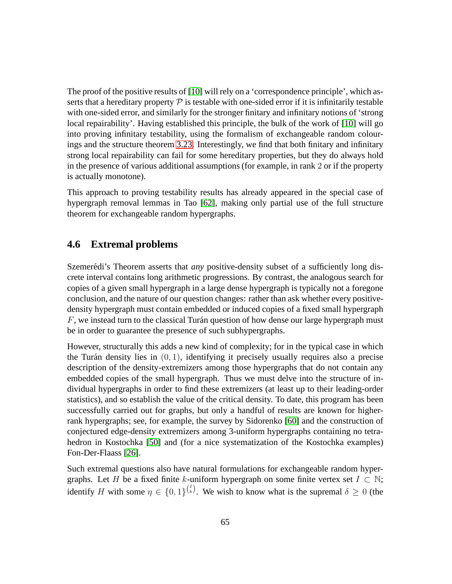The proof of the positive results of [\[10\]](#page-70-0) will rely on a 'correspondence principle', which asserts that a hereditary property  $P$  is testable with one-sided error if it is infinitarily testable with one-sided error, and similarly for the stronger finitary and infinitary notions of 'strong local repairability'. Having established this principle, the bulk of the work of [\[10\]](#page-70-0) will go into proving infinitary testability, using the formalism of exchangeable random colourings and the structure theorem [3.23.](#page-38-0) Interestingly, we find that both finitary and infinitary strong local repairability can fail for some hereditary properties, but they do always hold in the presence of various additional assumptions (for example, in rank 2 or if the property is actually monotone).

This approach to proving testability results has already appeared in the special case of hypergraph removal lemmas in Tao [\[62\]](#page-74-4), making only partial use of the full structure theorem for exchangeable random hypergraphs.

### <span id="page-64-0"></span>**4.6 Extremal problems**

Szemerédi's Theorem asserts that *any* positive-density subset of a sufficiently long discrete interval contains long arithmetic progressions. By contrast, the analogous search for copies of a given small hypergraph in a large dense hypergraph is typically not a foregone conclusion, and the nature of our question changes: rather than ask whether every positivedensity hypergraph must contain embedded or induced copies of a fixed small hypergraph  $F$ , we instead turn to the classical Turán question of how dense our large hypergraph must be in order to guarantee the presence of such subhypergraphs.

However, structurally this adds a new kind of complexity; for in the typical case in which the Turán density lies in  $(0, 1)$ , identifying it precisely usually requires also a precise description of the density-extremizers among those hypergraphs that do not contain any embedded copies of the small hypergraph. Thus we must delve into the structure of individual hypergraphs in order to find these extremizers (at least up to their leading-order statistics), and so establish the value of the critical density. To date, this program has been successfully carried out for graphs, but only a handful of results are known for higherrank hypergraphs; see, for example, the survey by Sidorenko [\[60\]](#page-74-5) and the construction of conjectured edge-density extremizers among 3-uniform hypergraphs containing no tetrahedron in Kostochka [\[50\]](#page-73-12) and (for a nice systematization of the Kostochka examples) Fon-Der-Flaass [\[26\]](#page-71-7).

Such extremal questions also have natural formulations for exchangeable random hypergraphs. Let H be a fixed finite k-uniform hypergraph on some finite vertex set  $I \subset \mathbb{N}$ ; identify H with some  $\eta \in \{0,1\}^{N \choose k}$ . We wish to know what is the supremal  $\delta \geq 0$  (the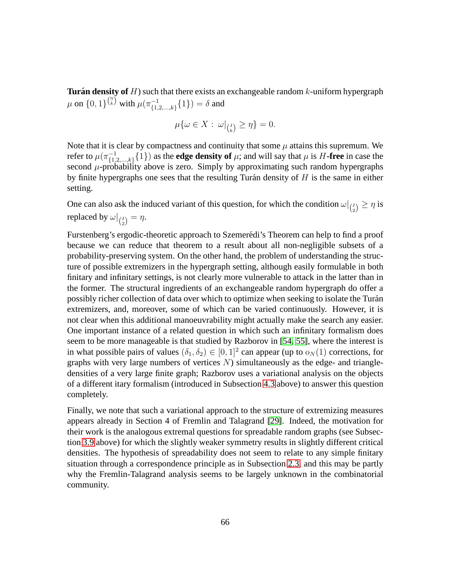**Turán density of**  $H$ ) such that there exists an exchangeable random  $k$ -uniform hypergraph  $\mu$  on  $\{0,1\}^{\binom{\mathbb{N}}{k}}$  with  $\mu(\pi_{\{1,1\}}^{-1}$  $\{1,2,...,k\}$  $\{1\}) = \delta$  and

$$
\mu\{\omega \in X : \omega|_{\binom{I}{k}} \ge \eta\} = 0.
$$

Note that it is clear by compactness and continuity that some  $\mu$  attains this supremum. We refer to  $\mu(\pi_{\mathfrak{c}_1}^{-1})$  $\{1,2,\ldots,k\}$   $\{1\}$  as the **edge density of**  $\mu$ ; and will say that  $\mu$  is  $H$ **-free** in case the second  $\mu$ -probability above is zero. Simply by approximating such random hypergraphs by finite hypergraphs one sees that the resulting Turán density of  $H$  is the same in either setting.

One can also ask the induced variant of this question, for which the condition  $\omega|_{\binom{I}{2}} \geq \eta$  is replaced by  $\omega|_{\binom{I}{2}} = \eta.$ 

Furstenberg's ergodic-theoretic approach to Szemerédi's Theorem can help to find a proof because we can reduce that theorem to a result about all non-negligible subsets of a probability-preserving system. On the other hand, the problem of understanding the structure of possible extremizers in the hypergraph setting, although easily formulable in both finitary and infinitary settings, is not clearly more vulnerable to attack in the latter than in the former. The structural ingredients of an exchangeable random hypergraph do offer a possibly richer collection of data over which to optimize when seeking to isolate the Turán extremizers, and, moreover, some of which can be varied continuously. However, it is not clear when this additional manoeuvrability might actually make the search any easier. One important instance of a related question in which such an infinitary formalism does seem to be more manageable is that studied by Razborov in [\[54,](#page-73-1) [55\]](#page-73-9), where the interest is in what possible pairs of values  $(\delta_1, \delta_2) \in [0, 1]^2$  can appear (up to  $o_N(1)$  corrections, for graphs with very large numbers of vertices  $N$ ) simultaneously as the edge- and triangledensities of a very large finite graph; Razborov uses a variational analysis on the objects of a different itary formalism (introduced in Subsection [4.3](#page-55-0) above) to answer this question completely.

Finally, we note that such a variational approach to the structure of extremizing measures appears already in Section 4 of Fremlin and Talagrand [\[29\]](#page-71-3). Indeed, the motivation for their work is the analogous extremal questions for spreadable random graphs (see Subsection [3.9](#page-48-0) above) for which the slightly weaker symmetry results in slightly different critical densities. The hypothesis of spreadability does not seem to relate to any simple finitary situation through a correspondence principle as in Subsection [2.3,](#page-17-0) and this may be partly why the Fremlin-Talagrand analysis seems to be largely unknown in the combinatorial community.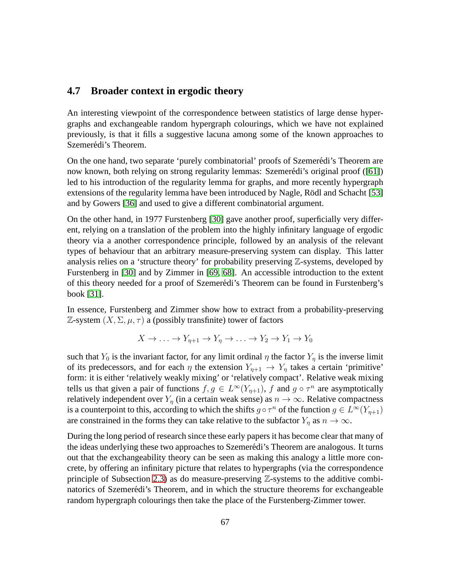#### <span id="page-66-0"></span>**4.7 Broader context in ergodic theory**

An interesting viewpoint of the correspondence between statistics of large dense hypergraphs and exchangeable random hypergraph colourings, which we have not explained previously, is that it fills a suggestive lacuna among some of the known approaches to Szemerédi's Theorem.

On the one hand, two separate 'purely combinatorial' proofs of Szemerédi's Theorem are now known, both relying on strong regularity lemmas: Szemerédi's original proof ([\[61\]](#page-74-3)) led to his introduction of the regularity lemma for graphs, and more recently hypergraph extensions of the regularity lemma have been introduced by Nagle, Rödl and Schacht [\[53\]](#page-73-0) and by Gowers [\[36\]](#page-72-1) and used to give a different combinatorial argument.

On the other hand, in 1977 Furstenberg [\[30\]](#page-72-8) gave another proof, superficially very different, relying on a translation of the problem into the highly infinitary language of ergodic theory via a another correspondence principle, followed by an analysis of the relevant types of behaviour that an arbitrary measure-preserving system can display. This latter analysis relies on a 'structure theory' for probability preserving Z-systems, developed by Furstenberg in [\[30\]](#page-72-8) and by Zimmer in [\[69,](#page-74-6) [68\]](#page-74-7). An accessible introduction to the extent of this theory needed for a proof of Szemerédi's Theorem can be found in Furstenberg's book [\[31\]](#page-72-9).

In essence, Furstenberg and Zimmer show how to extract from a probability-preserving Z-system  $(X, \Sigma, \mu, \tau)$  a (possibly transfinite) tower of factors

$$
X \to \dots \to Y_{\eta+1} \to Y_{\eta} \to \dots \to Y_2 \to Y_1 \to Y_0
$$

such that  $Y_0$  is the invariant factor, for any limit ordinal  $\eta$  the factor  $Y_n$  is the inverse limit of its predecessors, and for each  $\eta$  the extension  $Y_{\eta+1} \to Y_{\eta}$  takes a certain 'primitive' form: it is either 'relatively weakly mixing' or 'relatively compact'. Relative weak mixing tells us that given a pair of functions  $f, g \in L^{\infty}(Y_{\eta+1}),$  f and  $g \circ \tau^n$  are asymptotically relatively independent over  $Y_{\eta}$  (in a certain weak sense) as  $n \to \infty$ . Relative compactness is a counterpoint to this, according to which the shifts  $g \circ \tau^n$  of the function  $g \in L^{\infty}(Y_{\eta+1})$ are constrained in the forms they can take relative to the subfactor  $Y_n$  as  $n \to \infty$ .

During the long period of research since these early papers it has become clear that many of the ideas underlying these two approaches to Szemerédi's Theorem are analogous. It turns out that the exchangeability theory can be seen as making this analogy a little more concrete, by offering an infinitary picture that relates to hypergraphs (via the correspondence principle of Subsection [2.3\)](#page-17-0) as do measure-preserving  $\mathbb{Z}$ -systems to the additive combinatorics of Szemerédi's Theorem, and in which the structure theorems for exchangeable random hypergraph colourings then take the place of the Furstenberg-Zimmer tower.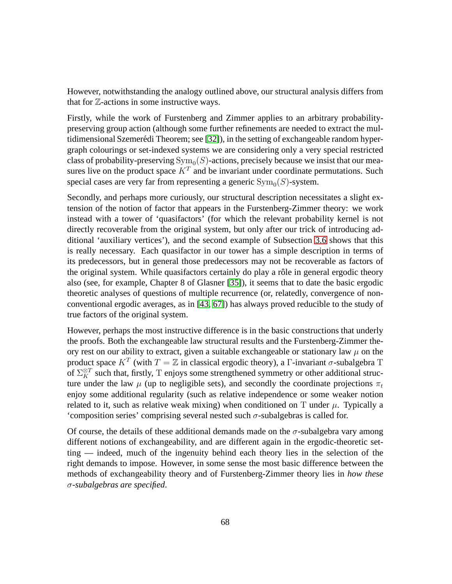However, notwithstanding the analogy outlined above, our structural analysis differs from that for Z-actions in some instructive ways.

Firstly, while the work of Furstenberg and Zimmer applies to an arbitrary probabilitypreserving group action (although some further refinements are needed to extract the multidimensional Szemerédi Theorem; see  $[32]$ ), in the setting of exchangeable random hypergraph colourings or set-indexed systems we are considering only a very special restricted class of probability-preserving  $\mathrm{Sym}_0(S)$ -actions, precisely because we insist that our measures live on the product space  $K<sup>T</sup>$  and be invariant under coordinate permutations. Such special cases are very far from representing a generic  $\text{Sym}_0(S)$ -system.

Secondly, and perhaps more curiously, our structural description necessitates a slight extension of the notion of factor that appears in the Furstenberg-Zimmer theory: we work instead with a tower of 'quasifactors' (for which the relevant probability kernel is not directly recoverable from the original system, but only after our trick of introducing additional 'auxiliary vertices'), and the second example of Subsection [3.6](#page-40-0) shows that this is really necessary. Each quasifactor in our tower has a simple description in terms of its predecessors, but in general those predecessors may not be recoverable as factors of the original system. While quasifactors certainly do play a rôle in general ergodic theory also (see, for example, Chapter 8 of Glasner [\[35\]](#page-72-11)), it seems that to date the basic ergodic theoretic analyses of questions of multiple recurrence (or, relatedly, convergence of nonconventional ergodic averages, as in [\[43,](#page-72-3) [67\]](#page-74-8)) has always proved reducible to the study of true factors of the original system.

However, perhaps the most instructive difference is in the basic constructions that underly the proofs. Both the exchangeable law structural results and the Furstenberg-Zimmer theory rest on our ability to extract, given a suitable exchangeable or stationary law  $\mu$  on the product space  $K^T$  (with  $T = \mathbb{Z}$  in classical ergodic theory), a  $\Gamma$ -invariant  $\sigma$ -subalgebra T of  $\Sigma_K^{\otimes T}$  such that, firstly, T enjoys some strengthened symmetry or other additional structure under the law  $\mu$  (up to negligible sets), and secondly the coordinate projections  $\pi_t$ enjoy some additional regularity (such as relative independence or some weaker notion related to it, such as relative weak mixing) when conditioned on  $T$  under  $\mu$ . Typically a 'composition series' comprising several nested such  $\sigma$ -subalgebras is called for.

Of course, the details of these additional demands made on the  $\sigma$ -subalgebra vary among different notions of exchangeability, and are different again in the ergodic-theoretic setting — indeed, much of the ingenuity behind each theory lies in the selection of the right demands to impose. However, in some sense the most basic difference between the methods of exchangeability theory and of Furstenberg-Zimmer theory lies in *how these* σ*-subalgebras are specified*.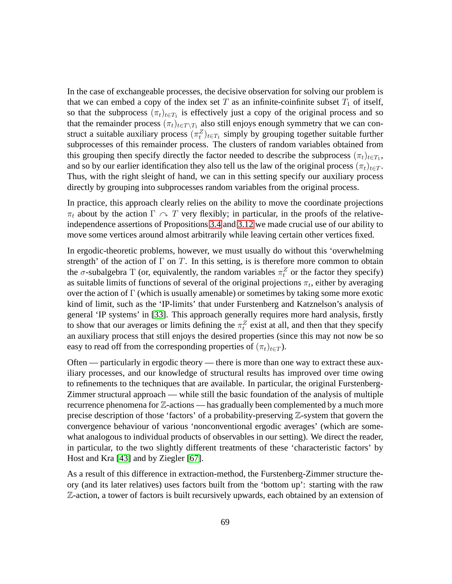In the case of exchangeable processes, the decisive observation for solving our problem is that we can embed a copy of the index set T as an infinite-coinfinite subset  $T_1$  of itself, so that the subprocess  $(\pi_t)_{t \in T_1}$  is effectively just a copy of the original process and so that the remainder process  $(\pi_t)_{t \in T \setminus T_1}$  also still enjoys enough symmetry that we can construct a suitable auxiliary process  $(\pi_t^Z)_{t \in T_1}$  simply by grouping together suitable further subprocesses of this remainder process. The clusters of random variables obtained from this grouping then specify directly the factor needed to describe the subprocess  $(\pi_t)_{t \in T_1}$ , and so by our earlier identification they also tell us the law of the original process  $(\pi_t)_{t \in T}$ . Thus, with the right sleight of hand, we can in this setting specify our auxiliary process directly by grouping into subprocesses random variables from the original process.

In practice, this approach clearly relies on the ability to move the coordinate projections  $\pi_t$  about by the action  $\Gamma \curvearrowright T$  very flexibly; in particular, in the proofs of the relativeindependence assertions of Propositions [3.4](#page-25-0) and [3.12](#page-31-0) we made crucial use of our ability to move some vertices around almost arbitrarily while leaving certain other vertices fixed.

In ergodic-theoretic problems, however, we must usually do without this 'overwhelming strength' of the action of  $\Gamma$  on  $T$ . In this setting, is is therefore more common to obtain the  $\sigma$ -subalgebra T (or, equivalently, the random variables  $\pi_t^Z$  or the factor they specify) as suitable limits of functions of several of the original projections  $\pi_t$ , either by averaging over the action of  $\Gamma$  (which is usually amenable) or sometimes by taking some more exotic kind of limit, such as the 'IP-limits' that under Furstenberg and Katznelson's analysis of general 'IP systems' in [\[33\]](#page-72-12). This approach generally requires more hard analysis, firstly to show that our averages or limits defining the  $\pi_t^Z$  exist at all, and then that they specify an auxiliary process that still enjoys the desired properties (since this may not now be so easy to read off from the corresponding properties of  $(\pi_t)_{t \in T}$ ).

Often — particularly in ergodic theory — there is more than one way to extract these auxiliary processes, and our knowledge of structural results has improved over time owing to refinements to the techniques that are available. In particular, the original Furstenberg-Zimmer structural approach — while still the basic foundation of the analysis of multiple recurrence phenomena for  $\mathbb{Z}$ -actions — has gradually been complemented by a much more precise description of those 'factors' of a probability-preserving Z-system that govern the convergence behaviour of various 'nonconventional ergodic averages' (which are somewhat analogous to individual products of observables in our setting). We direct the reader, in particular, to the two slightly different treatments of these 'characteristic factors' by Host and Kra [\[43\]](#page-72-3) and by Ziegler [\[67\]](#page-74-8).

As a result of this difference in extraction-method, the Furstenberg-Zimmer structure theory (and its later relatives) uses factors built from the 'bottom up': starting with the raw Z-action, a tower of factors is built recursively upwards, each obtained by an extension of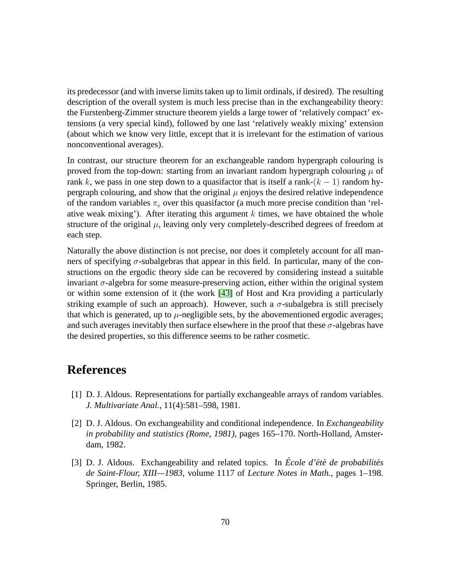its predecessor (and with inverse limits taken up to limit ordinals, if desired). The resulting description of the overall system is much less precise than in the exchangeability theory: the Furstenberg-Zimmer structure theorem yields a large tower of 'relatively compact' extensions (a very special kind), followed by one last 'relatively weakly mixing' extension (about which we know very little, except that it is irrelevant for the estimation of various nonconventional averages).

In contrast, our structure theorem for an exchangeable random hypergraph colouring is proved from the top-down: starting from an invariant random hypergraph colouring  $\mu$  of rank k, we pass in one step down to a quasifactor that is itself a rank- $(k - 1)$  random hypergraph colouring, and show that the original  $\mu$  enjoys the desired relative independence of the random variables  $\pi_e$  over this quasifactor (a much more precise condition than 'relative weak mixing'). After iterating this argument  $k$  times, we have obtained the whole structure of the original  $\mu$ , leaving only very completely-described degrees of freedom at each step.

Naturally the above distinction is not precise, nor does it completely account for all manners of specifying  $\sigma$ -subalgebras that appear in this field. In particular, many of the constructions on the ergodic theory side can be recovered by considering instead a suitable invariant  $\sigma$ -algebra for some measure-preserving action, either within the original system or within some extension of it (the work [\[43\]](#page-72-3) of Host and Kra providing a particularly striking example of such an approach). However, such a  $\sigma$ -subalgebra is still precisely that which is generated, up to  $\mu$ -negligible sets, by the abovementioned ergodic averages; and such averages inevitably then surface elsewhere in the proof that these  $\sigma$ -algebras have the desired properties, so this difference seems to be rather cosmetic.

# **References**

- [1] D. J. Aldous. Representations for partially exchangeable arrays of random variables. *J. Multivariate Anal.*, 11(4):581–598, 1981.
- [2] D. J. Aldous. On exchangeability and conditional independence. In *Exchangeability in probability and statistics (Rome, 1981)*, pages 165–170. North-Holland, Amsterdam, 1982.
- <span id="page-69-0"></span>[3] D. J. Aldous. Exchangeability and related topics. In *École d'été de probabilités de Saint-Flour, XIII—1983*, volume 1117 of *Lecture Notes in Math.*, pages 1–198. Springer, Berlin, 1985.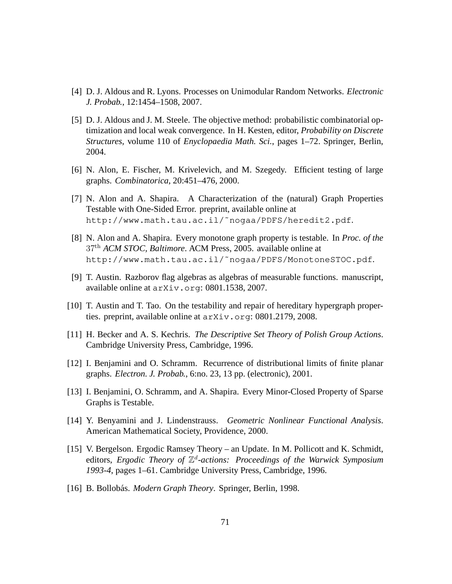- <span id="page-70-5"></span><span id="page-70-3"></span>[4] D. J. Aldous and R. Lyons. Processes on Unimodular Random Networks. *Electronic J. Probab.*, 12:1454–1508, 2007.
- [5] D. J. Aldous and J. M. Steele. The objective method: probabilistic combinatorial optimization and local weak convergence. In H. Kesten, editor, *Probability on Discrete Structures*, volume 110 of *Enyclopaedia Math. Sci.*, pages 1–72. Springer, Berlin, 2004.
- <span id="page-70-11"></span><span id="page-70-10"></span>[6] N. Alon, E. Fischer, M. Krivelevich, and M. Szegedy. Efficient testing of large graphs. *Combinatorica*, 20:451–476, 2000.
- [7] N. Alon and A. Shapira. A Characterization of the (natural) Graph Properties Testable with One-Sided Error. preprint, available online at http://www.math.tau.ac.il/˜nogaa/PDFS/heredit2.pdf.
- <span id="page-70-9"></span>[8] N. Alon and A. Shapira. Every monotone graph property is testable. In *Proc. of the* 37th *ACM STOC, Baltimore*. ACM Press, 2005. available online at http://www.math.tau.ac.il/˜nogaa/PDFS/MonotoneSTOC.pdf.
- <span id="page-70-7"></span><span id="page-70-0"></span>[9] T. Austin. Razborov flag algebras as algebras of measurable functions. manuscript, available online at arXiv.org: 0801.1538, 2007.
- <span id="page-70-1"></span>[10] T. Austin and T. Tao. On the testability and repair of hereditary hypergraph properties. preprint, available online at  $arXiv$ . org: 0801.2179, 2008.
- <span id="page-70-4"></span>[11] H. Becker and A. S. Kechris. *The Descriptive Set Theory of Polish Group Actions*. Cambridge University Press, Cambridge, 1996.
- <span id="page-70-6"></span>[12] I. Benjamini and O. Schramm. Recurrence of distributional limits of finite planar graphs. *Electron. J. Probab.*, 6:no. 23, 13 pp. (electronic), 2001.
- [13] I. Benjamini, O. Schramm, and A. Shapira. Every Minor-Closed Property of Sparse Graphs is Testable.
- <span id="page-70-2"></span>[14] Y. Benyamini and J. Lindenstrauss. *Geometric Nonlinear Functional Analysis*. American Mathematical Society, Providence, 2000.
- [15] V. Bergelson. Ergodic Ramsey Theory an Update. In M. Pollicott and K. Schmidt, editors, *Ergodic Theory of* Z d *-actions: Proceedings of the Warwick Symposium 1993-4*, pages 1–61. Cambridge University Press, Cambridge, 1996.
- <span id="page-70-8"></span>[16] B. Bollobás. *Modern Graph Theory*. Springer, Berlin, 1998.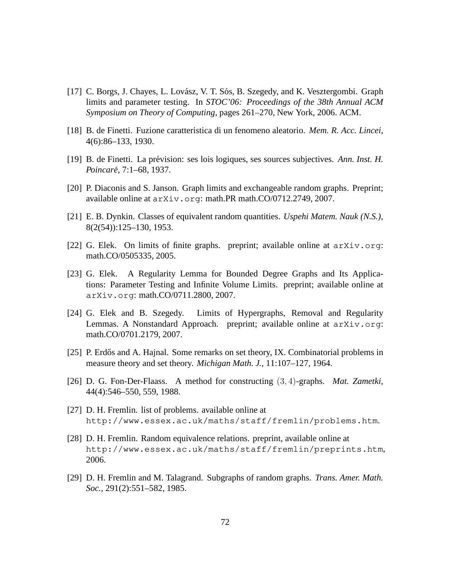- [17] C. Borgs, J. Chayes, L. Lovász, V. T. Sós, B. Szegedy, and K. Vesztergombi. Graph limits and parameter testing. In *STOC'06: Proceedings of the 38th Annual ACM Symposium on Theory of Computing*, pages 261–270, New York, 2006. ACM.
- [18] B. de Finetti. Fuzione caratteristica di un fenomeno aleatorio. *Mem. R. Acc. Lincei*, 4(6):86–133, 1930.
- [19] B. de Finetti. La pr´evision: ses lois logiques, ses sources subjectives. *Ann. Inst. H. Poincare´*, 7:1–68, 1937.
- [20] P. Diaconis and S. Janson. Graph limits and exchangeable random graphs. Preprint; available online at arXiv.org: math.PR math.CO/0712.2749, 2007.
- <span id="page-71-5"></span>[21] E. B. Dynkin. Classes of equivalent random quantities. *Uspehi Matem. Nauk (N.S.)*, 8(2(54)):125–130, 1953.
- <span id="page-71-6"></span>[22] G. Elek. On limits of finite graphs. preprint; available online at arXiv.org: math.CO/0505335, 2005.
- [23] G. Elek. A Regularity Lemma for Bounded Degree Graphs and Its Applications: Parameter Testing and Infinite Volume Limits. preprint; available online at arXiv.org: math.CO/0711.2800, 2007.
- <span id="page-71-0"></span>[24] G. Elek and B. Szegedy. Limits of Hypergraphs, Removal and Regularity Lemmas. A Nonstandard Approach. preprint; available online at arXiv.org: math.CO/0701.2179, 2007.
- <span id="page-71-4"></span>[25] P. Erdős and A. Hajnal. Some remarks on set theory, IX. Combinatorial problems in measure theory and set theory. *Michigan Math. J.*, 11:107–127, 1964.
- <span id="page-71-7"></span>[26] D. G. Fon-Der-Flaass. A method for constructing (3, 4)-graphs. *Mat. Zametki*, 44(4):546–550, 559, 1988.
- <span id="page-71-2"></span><span id="page-71-1"></span>[27] D. H. Fremlin. list of problems. available online at http://www.essex.ac.uk/maths/staff/fremlin/problems.htm.
- [28] D. H. Fremlin. Random equivalence relations. preprint, available online at http://www.essex.ac.uk/maths/staff/fremlin/preprints.htm, 2006.
- <span id="page-71-3"></span>[29] D. H. Fremlin and M. Talagrand. Subgraphs of random graphs. *Trans. Amer. Math. Soc.*, 291(2):551–582, 1985.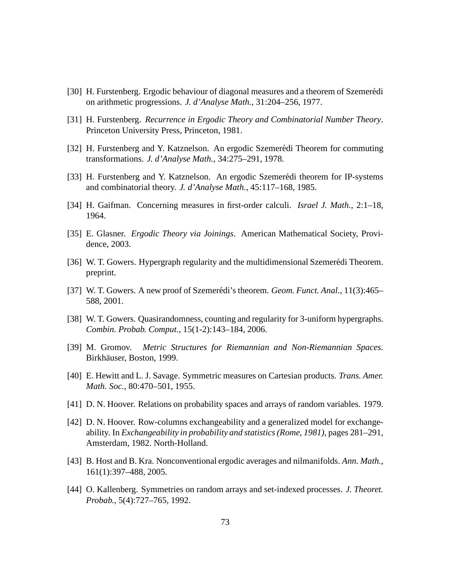- [30] H. Furstenberg. Ergodic behaviour of diagonal measures and a theorem of Szemerédi on arithmetic progressions. *J. d'Analyse Math.*, 31:204–256, 1977.
- [31] H. Furstenberg. *Recurrence in Ergodic Theory and Combinatorial Number Theory*. Princeton University Press, Princeton, 1981.
- [32] H. Furstenberg and Y. Katznelson. An ergodic Szemerédi Theorem for commuting transformations. *J. d'Analyse Math.*, 34:275–291, 1978.
- [33] H. Furstenberg and Y. Katznelson. An ergodic Szemerédi theorem for IP-systems and combinatorial theory. *J. d'Analyse Math.*, 45:117–168, 1985.
- [34] H. Gaifman. Concerning measures in first-order calculi. *Israel J. Math.*, 2:1–18, 1964.
- [35] E. Glasner. *Ergodic Theory via Joinings*. American Mathematical Society, Providence, 2003.
- [36] W. T. Gowers. Hypergraph regularity and the multidimensional Szemerédi Theorem. preprint.
- [37] W. T. Gowers. A new proof of Szemerédi's theorem. *Geom. Funct. Anal.*, 11(3):465– 588, 2001.
- [38] W. T. Gowers. Quasirandomness, counting and regularity for 3-uniform hypergraphs. *Combin. Probab. Comput.*, 15(1-2):143–184, 2006.
- [39] M. Gromov. *Metric Structures for Riemannian and Non-Riemannian Spaces*. Birkhäuser, Boston, 1999.
- [40] E. Hewitt and L. J. Savage. Symmetric measures on Cartesian products. *Trans. Amer. Math. Soc.*, 80:470–501, 1955.
- [41] D. N. Hoover. Relations on probability spaces and arrays of random variables. 1979.
- [42] D. N. Hoover. Row-columns exchangeability and a generalized model for exchangeability. In *Exchangeability in probability and statistics (Rome, 1981)*, pages 281–291, Amsterdam, 1982. North-Holland.
- [43] B. Host and B. Kra. Nonconventional ergodic averages and nilmanifolds. *Ann. Math.*, 161(1):397–488, 2005.
- [44] O. Kallenberg. Symmetries on random arrays and set-indexed processes. *J. Theoret. Probab.*, 5(4):727–765, 1992.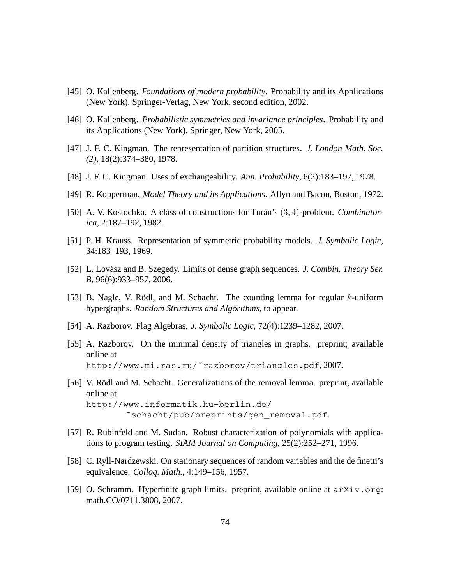- [45] O. Kallenberg. *Foundations of modern probability*. Probability and its Applications (New York). Springer-Verlag, New York, second edition, 2002.
- [46] O. Kallenberg. *Probabilistic symmetries and invariance principles*. Probability and its Applications (New York). Springer, New York, 2005.
- [47] J. F. C. Kingman. The representation of partition structures. *J. London Math. Soc. (2)*, 18(2):374–380, 1978.
- [48] J. F. C. Kingman. Uses of exchangeability. *Ann. Probability*, 6(2):183–197, 1978.
- [49] R. Kopperman. *Model Theory and its Applications*. Allyn and Bacon, Boston, 1972.
- [50] A. V. Kostochka. A class of constructions for Turán's  $(3, 4)$ -problem. *Combinatorica*, 2:187–192, 1982.
- [51] P. H. Krauss. Representation of symmetric probability models. *J. Symbolic Logic*, 34:183–193, 1969.
- [52] L. Lovász and B. Szegedy. Limits of dense graph sequences. *J. Combin. Theory Ser. B*, 96(6):933–957, 2006.
- [53] B. Nagle, V. Rödl, and M. Schacht. The counting lemma for regular  $k$ -uniform hypergraphs. *Random Structures and Algorithms*, to appear.
- [54] A. Razborov. Flag Algebras. *J. Symbolic Logic*, 72(4):1239–1282, 2007.
- [55] A. Razborov. On the minimal density of triangles in graphs. preprint; available online at http://www.mi.ras.ru/˜razborov/triangles.pdf, 2007.
- [56] V. Rödl and M. Schacht. Generalizations of the removal lemma. preprint, available online at http://www.informatik.hu-berlin.de/ ˜schacht/pub/preprints/gen\_removal.pdf.
- [57] R. Rubinfeld and M. Sudan. Robust characterization of polynomials with applications to program testing. *SIAM Journal on Computing*, 25(2):252–271, 1996.
- [58] C. Ryll-Nardzewski. On stationary sequences of random variables and the de finetti's equivalence. *Colloq. Math.*, 4:149–156, 1957.
- [59] O. Schramm. Hyperfinite graph limits. preprint, available online at arXiv.org: math.CO/0711.3808, 2007.